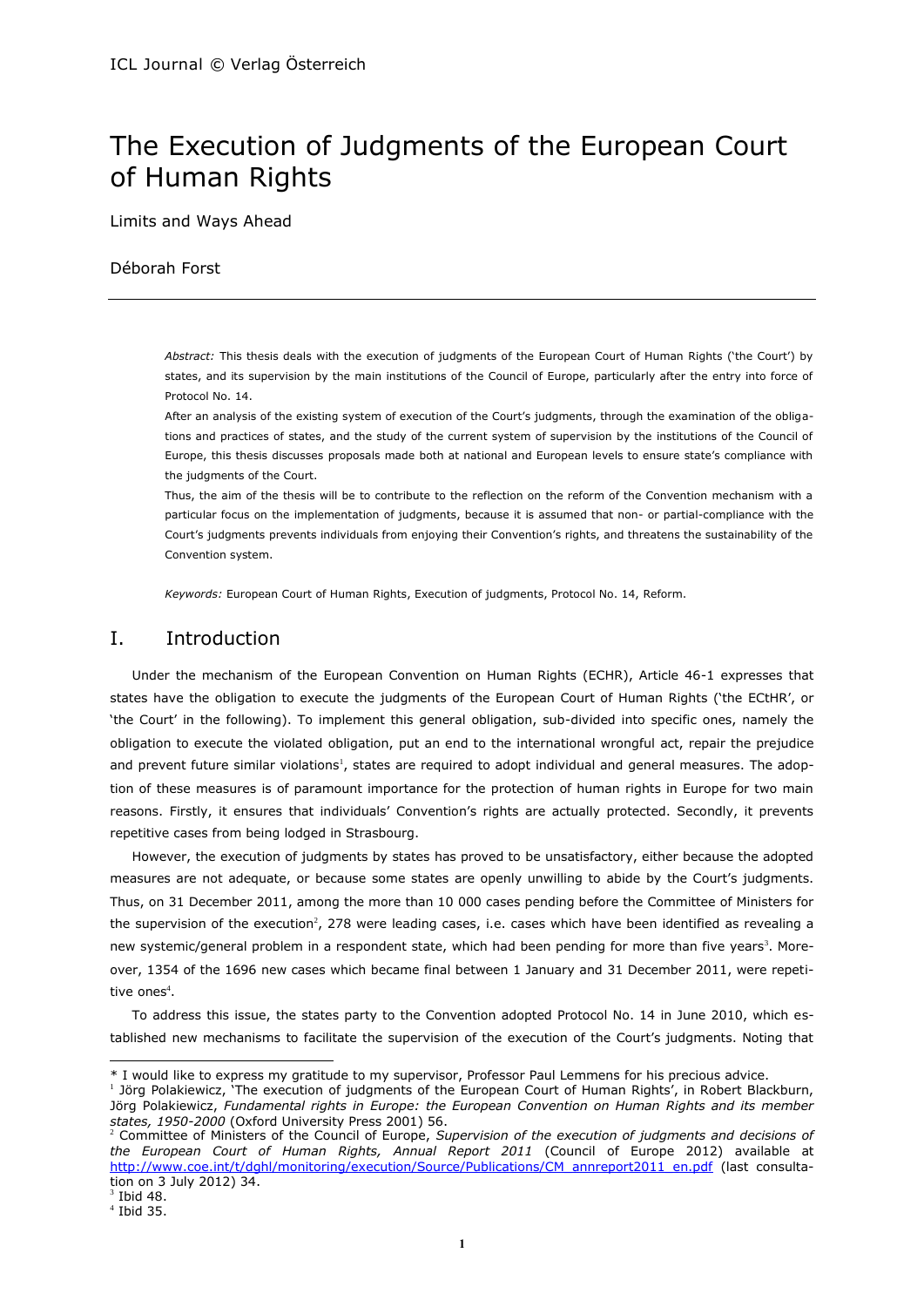# The Execution of Judgments of the European Court of Human Rights

Limits and Ways Ahead

# Déborah Forst

*Abstract:* This thesis deals with the execution of judgments of the European Court of Human Rights ('the Court') by states, and its supervision by the main institutions of the Council of Europe, particularly after the entry into force of Protocol No. 14.

After an analysis of the existing system of execution of the Court's judgments, through the examination of the obligations and practices of states, and the study of the current system of supervision by the institutions of the Council of Europe, this thesis discusses proposals made both at national and European levels to ensure state's compliance with the judgments of the Court.

Thus, the aim of the thesis will be to contribute to the reflection on the reform of the Convention mechanism with a particular focus on the implementation of judgments, because it is assumed that non- or partial-compliance with the Court's judgments prevents individuals from enjoying their Convention's rights, and threatens the sustainability of the Convention system.

<span id="page-0-0"></span>*Keywords:* European Court of Human Rights, Execution of judgments, Protocol No. 14, Reform.

# I. Introduction

Under the mechanism of the European Convention on Human Rights (ECHR), Article 46-1 expresses that states have the obligation to execute the judgments of the European Court of Human Rights ('the ECtHR', or 'the Court' in the following). To implement this general obligation, sub-divided into specific ones, namely the obligation to execute the violated obligation, put an end to the international wrongful act, repair the prejudice and prevent future similar violations<sup>1</sup>, states are required to adopt individual and general measures. The adoption of these measures is of paramount importance for the protection of human rights in Europe for two main reasons. Firstly, it ensures that individuals' Convention's rights are actually protected. Secondly, it prevents repetitive cases from being lodged in Strasbourg.

<span id="page-0-1"></span>However, the execution of judgments by states has proved to be unsatisfactory, either because the adopted measures are not adequate, or because some states are openly unwilling to abide by the Court's judgments. Thus, on 31 December 2011, among the more than 10 000 cases pending before the Committee of Ministers for the supervision of the execution<sup>2</sup>, 278 were leading cases, i.e. cases which have been identified as revealing a new systemic/general problem in a respondent state, which had been pending for more than five years<sup>3</sup>. Moreover, 1354 of the 1696 new cases which became final between 1 January and 31 December 2011, were repetitive ones $^4$ .

To address this issue, the states party to the Convention adopted Protocol No. 14 in June 2010, which established new mechanisms to facilitate the supervision of the execution of the Court's judgments. Noting that

<sup>\*</sup> I would like to express my gratitude to my supervisor, Professor Paul Lemmens for his precious advice.

<sup>&</sup>lt;sup>1</sup> Jörg Polakiewicz, 'The execution of judgments of the European Court of Human Rights', in Robert Blackburn, Jörg Polakiewicz, *Fundamental rights in Europe: the European Convention on Human Rights and its member states, 1950-2000* (Oxford University Press 2001) 56.

<sup>2</sup> Committee of Ministers of the Council of Europe, *Supervision of the execution of judgments and decisions of the European Court of Human Rights, Annual Report 2011* (Council of Europe 2012) available at [http://www.coe.int/t/dghl/monitoring/execution/Source/Publications/CM\\_annreport2011\\_en.pdf](http://www.coe.int/t/dghl/monitoring/execution/Source/Publications/CM_annreport2011_en.pdf) (last consultation on 3 July 2012) 34.

 $3$  Ibid 48.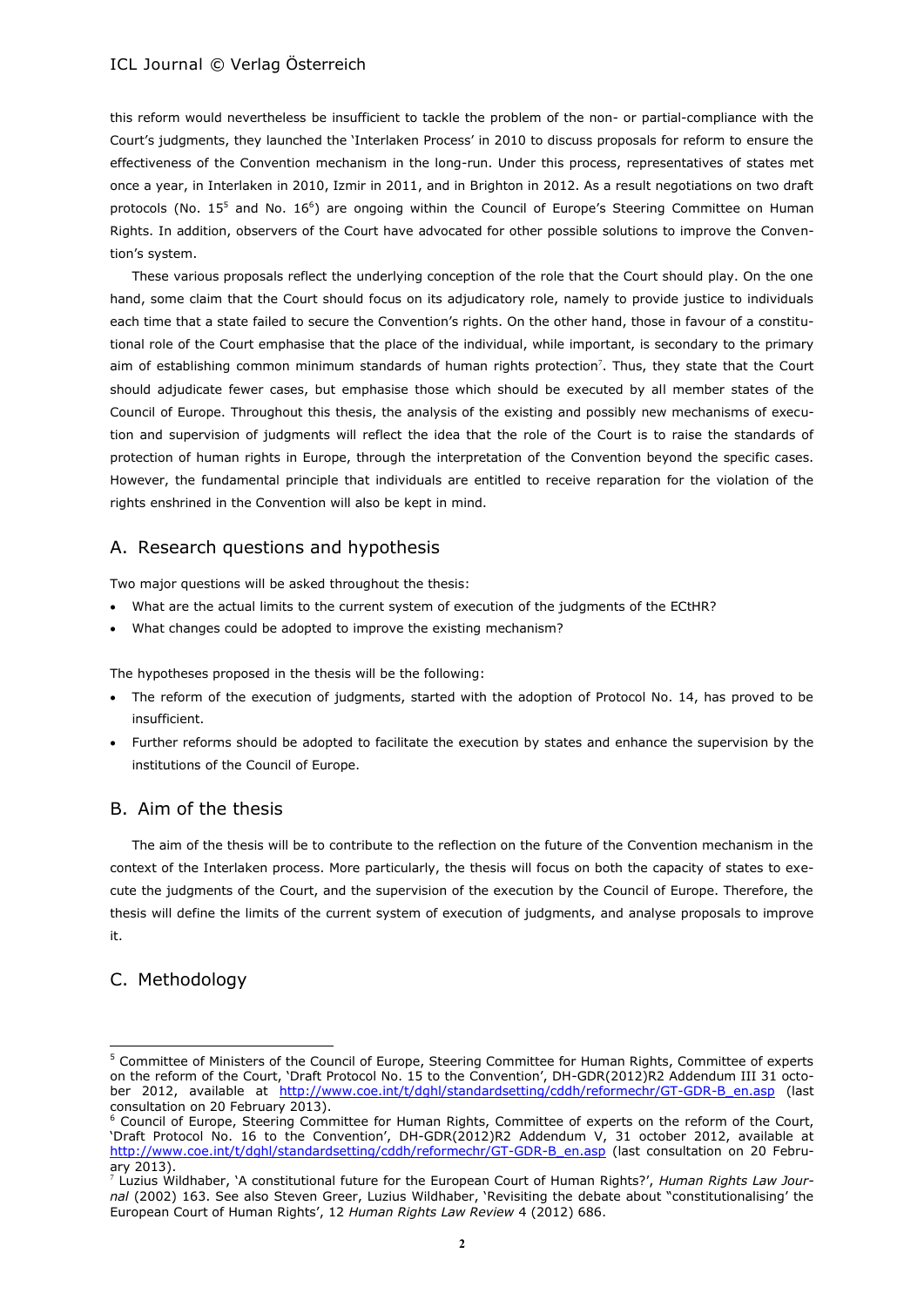this reform would nevertheless be insufficient to tackle the problem of the non- or partial-compliance with the Court's judgments, they launched the 'Interlaken Process' in 2010 to discuss proposals for reform to ensure the effectiveness of the Convention mechanism in the long-run. Under this process, representatives of states met once a year, in Interlaken in 2010, Izmir in 2011, and in Brighton in 2012. As a result negotiations on two draft protocols (No. 15<sup>5</sup> and No. 16<sup>6</sup>) are ongoing within the Council of Europe's Steering Committee on Human Rights. In addition, observers of the Court have advocated for other possible solutions to improve the Convention's system.

<span id="page-1-1"></span><span id="page-1-0"></span>These various proposals reflect the underlying conception of the role that the Court should play. On the one hand, some claim that the Court should focus on its adjudicatory role, namely to provide justice to individuals each time that a state failed to secure the Convention's rights. On the other hand, those in favour of a constitutional role of the Court emphasise that the place of the individual, while important, is secondary to the primary aim of establishing common minimum standards of human rights protection<sup>7</sup>. Thus, they state that the Court should adjudicate fewer cases, but emphasise those which should be executed by all member states of the Council of Europe. Throughout this thesis, the analysis of the existing and possibly new mechanisms of execution and supervision of judgments will reflect the idea that the role of the Court is to raise the standards of protection of human rights in Europe, through the interpretation of the Convention beyond the specific cases. However, the fundamental principle that individuals are entitled to receive reparation for the violation of the rights enshrined in the Convention will also be kept in mind.

# A. Research questions and hypothesis

Two major questions will be asked throughout the thesis:

- What are the actual limits to the current system of execution of the judgments of the ECtHR?
- What changes could be adopted to improve the existing mechanism?

The hypotheses proposed in the thesis will be the following:

- The reform of the execution of judgments, started with the adoption of Protocol No. 14, has proved to be insufficient.
- Further reforms should be adopted to facilitate the execution by states and enhance the supervision by the institutions of the Council of Europe.

# B. Aim of the thesis

The aim of the thesis will be to contribute to the reflection on the future of the Convention mechanism in the context of the Interlaken process. More particularly, the thesis will focus on both the capacity of states to execute the judgments of the Court, and the supervision of the execution by the Council of Europe. Therefore, the thesis will define the limits of the current system of execution of judgments, and analyse proposals to improve it.

# C. Methodology

<sup>5</sup> Committee of Ministers of the Council of Europe, Steering Committee for Human Rights, Committee of experts on the reform of the Court, 'Draft Protocol No. 15 to the Convention', DH-GDR(2012)R2 Addendum III 31 october 2012, available at [http://www.coe.int/t/dghl/standardsetting/cddh/reformechr/GT-GDR-B\\_en.asp](http://www.coe.int/t/dghl/standardsetting/cddh/reformechr/GT-GDR-B_en.asp) (last consultation on 20 February 2013).

<sup>&</sup>lt;sup>6</sup> Council of Europe, Steering Committee for Human Rights, Committee of experts on the reform of the Court, 'Draft Protocol No. 16 to the Convention', DH-GDR(2012)R2 Addendum V, 31 october 2012, available at [http://www.coe.int/t/dghl/standardsetting/cddh/reformechr/GT-GDR-B\\_en.asp](http://www.coe.int/t/dghl/standardsetting/cddh/reformechr/GT-GDR-B_en.asp) (last consultation on 20 February 2013).

<sup>7</sup> Luzius Wildhaber, 'A constitutional future for the European Court of Human Rights?', *Human Rights Law Journal* (2002) 163. See also Steven Greer, Luzius Wildhaber, 'Revisiting the debate about "constitutionalising' the European Court of Human Rights', 12 *Human Rights Law Review* 4 (2012) 686.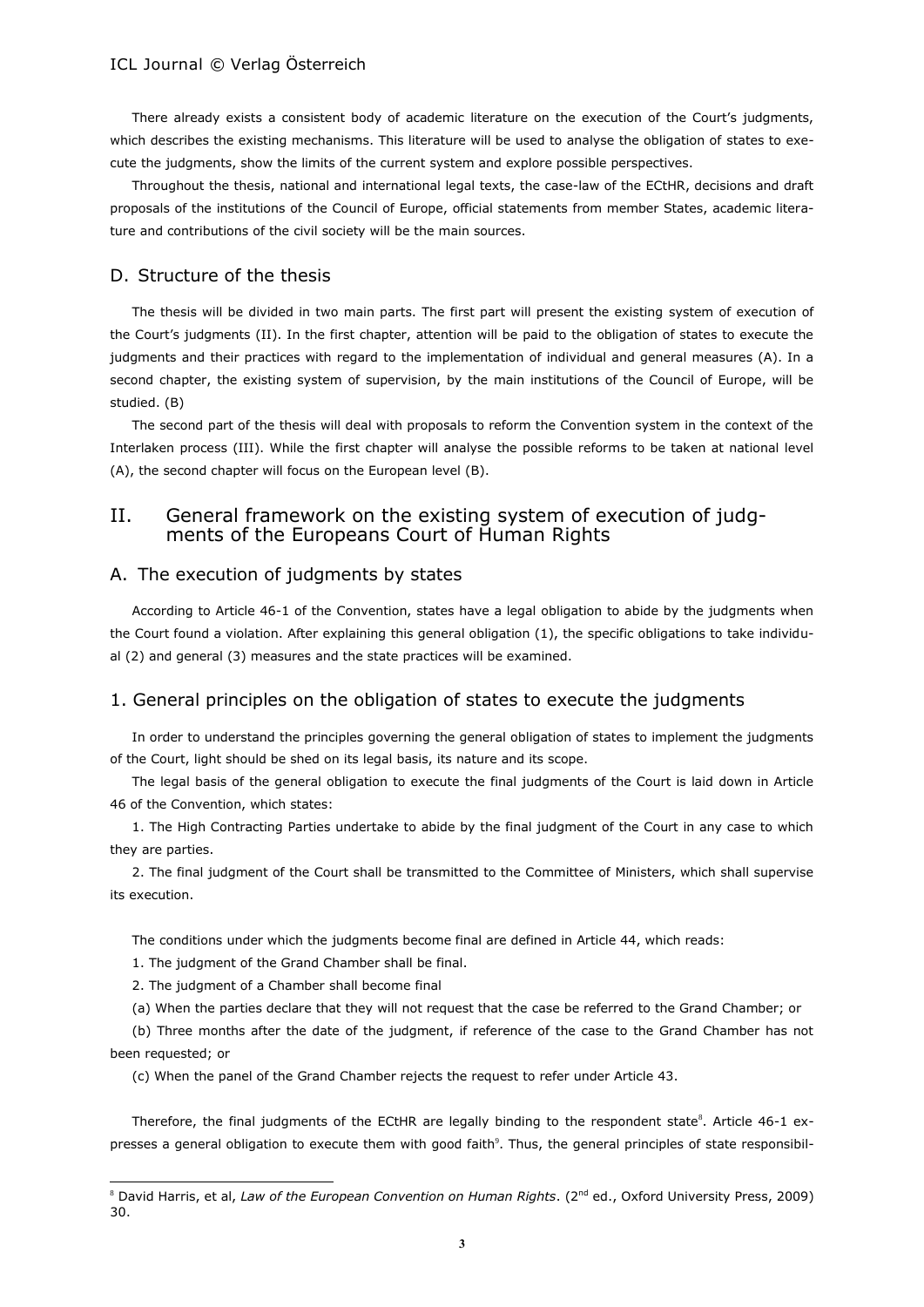There already exists a consistent body of academic literature on the execution of the Court's judgments, which describes the existing mechanisms. This literature will be used to analyse the obligation of states to execute the judgments, show the limits of the current system and explore possible perspectives.

Throughout the thesis, national and international legal texts, the case-law of the ECtHR, decisions and draft proposals of the institutions of the Council of Europe, official statements from member States, academic literature and contributions of the civil society will be the main sources.

# D. Structure of the thesis

The thesis will be divided in two main parts. The first part will present the existing system of execution of the Court's judgments (II). In the first chapter, attention will be paid to the obligation of states to execute the judgments and their practices with regard to the implementation of individual and general measures (A). In a second chapter, the existing system of supervision, by the main institutions of the Council of Europe, will be studied. (B)

The second part of the thesis will deal with proposals to reform the Convention system in the context of the Interlaken process (III). While the first chapter will analyse the possible reforms to be taken at national level (A), the second chapter will focus on the European level (B).

# II. General framework on the existing system of execution of judgments of the Europeans Court of Human Rights

# A. The execution of judgments by states

According to Article 46-1 of the Convention, states have a legal obligation to abide by the judgments when the Court found a violation. After explaining this general obligation (1), the specific obligations to take individual (2) and general (3) measures and the state practices will be examined.

# 1. General principles on the obligation of states to execute the judgments

In order to understand the principles governing the general obligation of states to implement the judgments of the Court, light should be shed on its legal basis, its nature and its scope.

The legal basis of the general obligation to execute the final judgments of the Court is laid down in Article 46 of the Convention, which states:

1. The High Contracting Parties undertake to abide by the final judgment of the Court in any case to which they are parties.

2. The final judgment of the Court shall be transmitted to the Committee of Ministers, which shall supervise its execution.

The conditions under which the judgments become final are defined in Article 44, which reads:

1. The judgment of the Grand Chamber shall be final.

2. The judgment of a Chamber shall become final

 $\overline{a}$ 

(a) When the parties declare that they will not request that the case be referred to the Grand Chamber; or

(b) Three months after the date of the judgment, if reference of the case to the Grand Chamber has not been requested; or

<span id="page-2-1"></span><span id="page-2-0"></span>(c) When the panel of the Grand Chamber rejects the request to refer under Article 43.

Therefore, the final judgments of the ECtHR are legally binding to the respondent state<sup>8</sup>. Article 46-1 expresses a general obligation to execute them with good faith<sup>9</sup>. Thus, the general principles of state responsibil-

<sup>&</sup>lt;sup>8</sup> David Harris, et al, *Law of the European Convention on Human Rights*. (2<sup>nd</sup> ed., Oxford University Press, 2009) 30.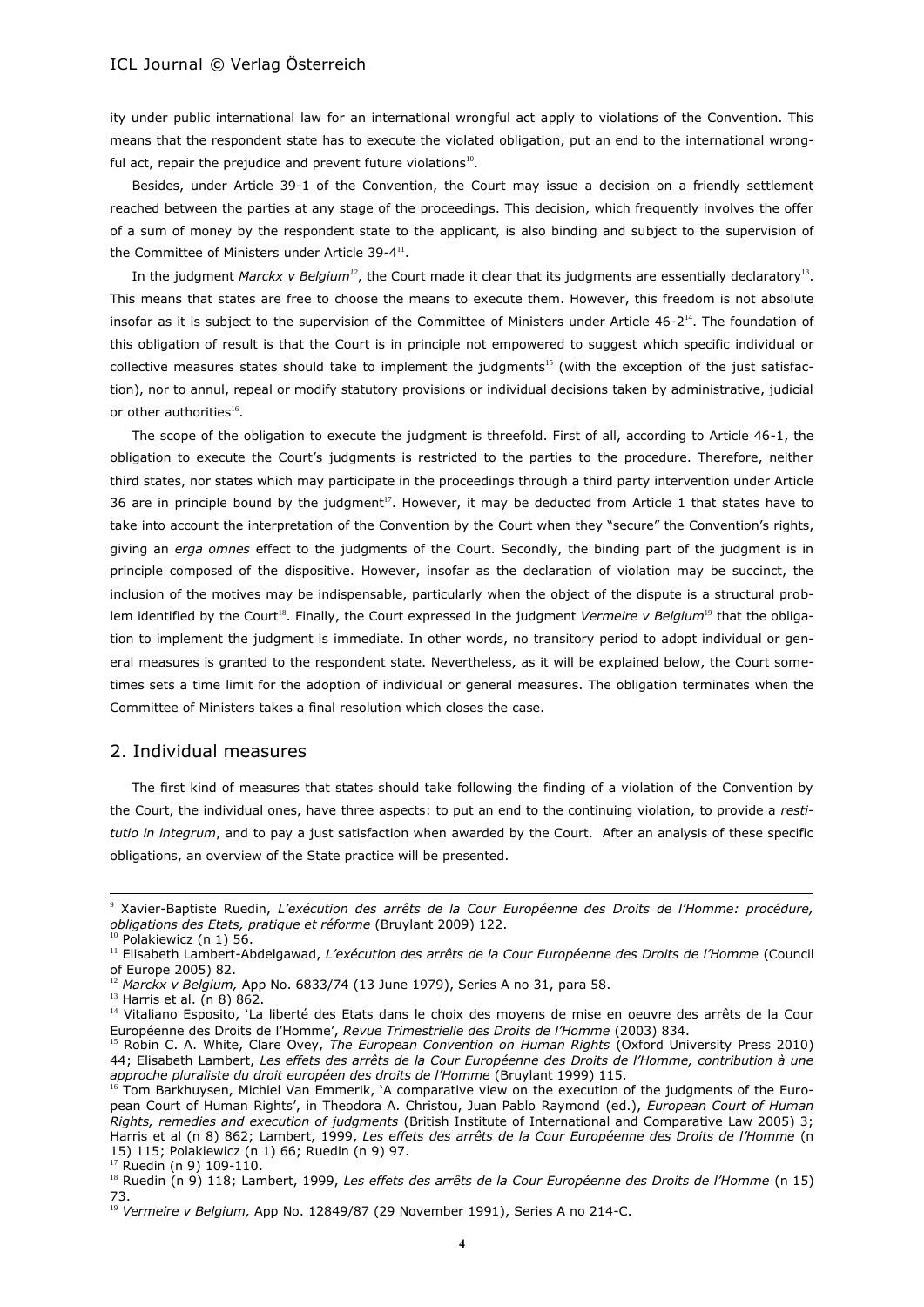ity under public international law for an international wrongful act apply to violations of the Convention. This means that the respondent state has to execute the violated obligation, put an end to the international wrongful act, repair the prejudice and prevent future violations $^{10}$ .

Besides, under Article 39-1 of the Convention, the Court may issue a decision on a friendly settlement reached between the parties at any stage of the proceedings. This decision, which frequently involves the offer of a sum of money by the respondent state to the applicant, is also binding and subject to the supervision of the Committee of Ministers under Article 39-4<sup>11</sup>.

In the judgment *Marckx v Belgium<sup>12</sup>*, the Court made it clear that its judgments are essentially declaratory<sup>13</sup>. This means that states are free to choose the means to execute them. However, this freedom is not absolute insofar as it is subject to the supervision of the Committee of Ministers under Article  $46$ - $2^{14}$ . The foundation of this obligation of result is that the Court is in principle not empowered to suggest which specific individual or collective measures states should take to implement the judgments<sup>15</sup> (with the exception of the just satisfaction), nor to annul, repeal or modify statutory provisions or individual decisions taken by administrative, judicial or other authorities $^{16}$ .

The scope of the obligation to execute the judgment is threefold. First of all, according to Article 46-1, the obligation to execute the Court's judgments is restricted to the parties to the procedure. Therefore, neither third states, nor states which may participate in the proceedings through a third party intervention under Article 36 are in principle bound by the judgment<sup>17</sup>. However, it may be deducted from Article 1 that states have to take into account the interpretation of the Convention by the Court when they "secure" the Convention's rights, giving an *erga omnes* effect to the judgments of the Court. Secondly, the binding part of the judgment is in principle composed of the dispositive. However, insofar as the declaration of violation may be succinct, the inclusion of the motives may be indispensable, particularly when the object of the dispute is a structural problem identified by the Court<sup>18</sup>. Finally, the Court expressed in the judgment *Vermeire v Belgium<sup>19</sup>* that the obligation to implement the judgment is immediate. In other words, no transitory period to adopt individual or general measures is granted to the respondent state. Nevertheless, as it will be explained below, the Court sometimes sets a time limit for the adoption of individual or general measures. The obligation terminates when the Committee of Ministers takes a final resolution which closes the case.

# 2. Individual measures

The first kind of measures that states should take following the finding of a violation of the Convention by the Court, the individual ones, have three aspects: to put an end to the continuing violation, to provide a *restitutio in integrum*, and to pay a just satisfaction when awarded by the Court. After an analysis of these specific obligations, an overview of the State practice will be presented.

<sup>9</sup> Xavier-Baptiste Ruedin, *L'exécution des arrêts de la Cour Européenne des Droits de l'Homme: procédure, obligations des Etats, pratique et réforme* (Bruylant 2009) 122.

 $10$  Polakiewicz (n [1\)](#page-0-0) 56.

<sup>&</sup>lt;sup>11</sup> Elisabeth Lambert-Abdelgawad, *L'exécution des arrêts de la Cour Européenne des Droits de l'Homme* (Council of Europe 2005) 82.

<sup>12</sup> *Marckx v Belgium,* App No. 6833/74 (13 June 1979), Series A no 31, para 58.

 $13$  Harris et al. (n [8\)](#page-2-0) 862.

<sup>&</sup>lt;sup>14</sup> Vitaliano Esposito, 'La liberté des Etats dans le choix des moyens de mise en oeuvre des arrêts de la Cour Européenne des Droits de l'Homme', *Revue Trimestrielle des Droits de l'Homme* (2003) 834.

<sup>15</sup> Robin C. A. White, Clare Ovey, *The European Convention on Human Rights* (Oxford University Press 2010) 44; Elisabeth Lambert, *Les effets des arrêts de la Cour Européenne des Droits de l'Homme, contribution à une approche pluraliste du droit européen des droits de l'Homme* (Bruylant 1999) 115.

<sup>16</sup> Tom Barkhuysen, Michiel Van Emmerik, 'A comparative view on the execution of the judgments of the European Court of Human Rights', in Theodora A. Christou, Juan Pablo Raymond (ed.), *European Court of Human Rights, remedies and execution of judgments* (British Institute of International and Comparative Law 2005) 3; Harris et al (n [8\)](#page-2-0) 862; Lambert, 1999, *Les effets des arrêts de la Cour Européenne des Droits de l'Homme* (n 15) 115; Polakiewicz (n [1\)](#page-0-0) 66; Ruedin (n [9\)](#page-2-1) 97.

 $17$  Ruedin ([n 9\)](#page-2-1) 109-110.

<sup>18</sup> Ruedin (n [9\)](#page-2-1) 118; Lambert, 1999, *Les effets des arrêts de la Cour Européenne des Droits de l'Homme* (n 15) 73.

<sup>&</sup>lt;sup>19</sup> Vermeire v Belgium, App No. 12849/87 (29 November 1991), Series A no 214-C.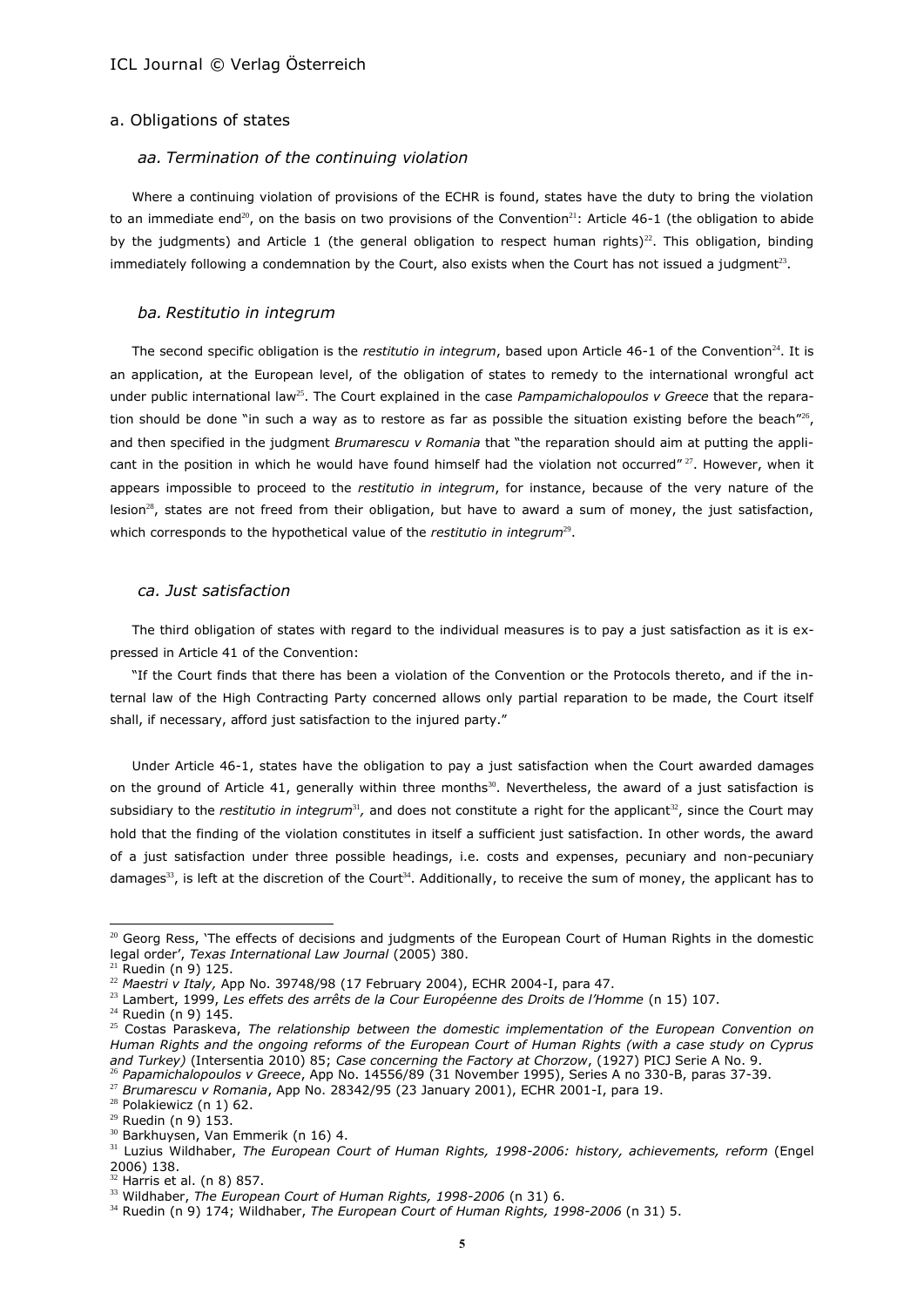#### a. Obligations of states

### *aa. Termination of the continuing violation*

Where a continuing violation of provisions of the ECHR is found, states have the duty to bring the violation to an immediate end<sup>20</sup>, on the basis on two provisions of the Convention<sup>21</sup>: Article 46-1 (the obligation to abide by the judgments) and Article 1 (the general obligation to respect human rights)<sup>22</sup>. This obligation, binding immediately following a condemnation by the Court, also exists when the Court has not issued a judgment<sup>23</sup>.

#### *ba. Restitutio in integrum*

The second specific obligation is the *restitutio in integrum*, based upon Article 46-1 of the Convention<sup>24</sup>. It is an application, at the European level, of the obligation of states to remedy to the international wrongful act under public international law<sup>25</sup>. The Court explained in the case *Pampamichalopoulos v Greece* that the reparation should be done "in such a way as to restore as far as possible the situation existing before the beach"<sup>26</sup>, and then specified in the judgment *Brumarescu v Romania* that "the reparation should aim at putting the applicant in the position in which he would have found himself had the violation not occurred"<sup>27</sup>. However, when it appears impossible to proceed to the *restitutio in integrum*, for instance, because of the very nature of the lesion<sup>28</sup>, states are not freed from their obligation, but have to award a sum of money, the just satisfaction, which corresponds to the hypothetical value of the *restitutio in integrum*<sup>29</sup>.

#### *ca. Just satisfaction*

The third obligation of states with regard to the individual measures is to pay a just satisfaction as it is expressed in Article 41 of the Convention:

"If the Court finds that there has been a violation of the Convention or the Protocols thereto, and if the internal law of the High Contracting Party concerned allows only partial reparation to be made, the Court itself shall, if necessary, afford just satisfaction to the injured party."

Under Article 46-1, states have the obligation to pay a just satisfaction when the Court awarded damages on the ground of Article 41, generally within three months $^{30}$ . Nevertheless, the award of a just satisfaction is subsidiary to the *restitutio in integrum*<sup>31</sup>, and does not constitute a right for the applicant<sup>32</sup>, since the Court may hold that the finding of the violation constitutes in itself a sufficient just satisfaction. In other words, the award of a just satisfaction under three possible headings, i.e. costs and expenses, pecuniary and non-pecuniary damages<sup>33</sup>, is left at the discretion of the Court<sup>34</sup>. Additionally, to receive the sum of money, the applicant has to

 $20$  Georg Ress, 'The effects of decisions and judgments of the European Court of Human Rights in the domestic legal order', *Texas International Law Journal* (2005) 380.

 $<sup>1</sup>$  Ruedin (n 9) 125.</sup>

<sup>22</sup> *Maestri v Italy,* App No. 39748/98 (17 February 2004), ECHR 2004-I, para 47.

<sup>23</sup> Lambert, 1999, *Les effets des arrêts de la Cour Européenne des Droits de l'Homme* (n 15) 107.

 $24$  Ruedin (n 9) 145.

<sup>25</sup> Costas Paraskeva, *The relationship between the domestic implementation of the European Convention on Human Rights and the ongoing reforms of the European Court of Human Rights (with a case study on Cyprus and Turkey)* (Intersentia 2010) 85; *Case concerning the Factory at Chorzow*, (1927) PICJ Serie A No. 9. <sup>26</sup> *Papamichalopoulos v Greece*, App No. 14556/89 (31 November 1995), Series A no 330-B, paras 37-39.

<sup>27</sup> *Brumarescu v Romania*, App No. 28342/95 (23 January 2001), ECHR 2001-I, para 19.

<sup>&</sup>lt;sup>28</sup> Polakiewicz (n [1\)](#page-0-0) 62.

 $29$  Ruedin (n 9) 153.

<sup>&</sup>lt;sup>30</sup> Barkhuysen, Van Emmerik (n 16) 4.

<sup>31</sup> Luzius Wildhaber, *The European Court of Human Rights, 1998-2006: history, achievements, reform* (Engel 2006) 138.

 $32$  Harris et al. (n [8\)](#page-2-0) 857.

<sup>33</sup> Wildhaber, *The European Court of Human Rights, 1998-2006* (n 31) 6.

<sup>34</sup> Ruedin (n 9) 174; Wildhaber, *The European Court of Human Rights, 1998-2006* (n 31) 5.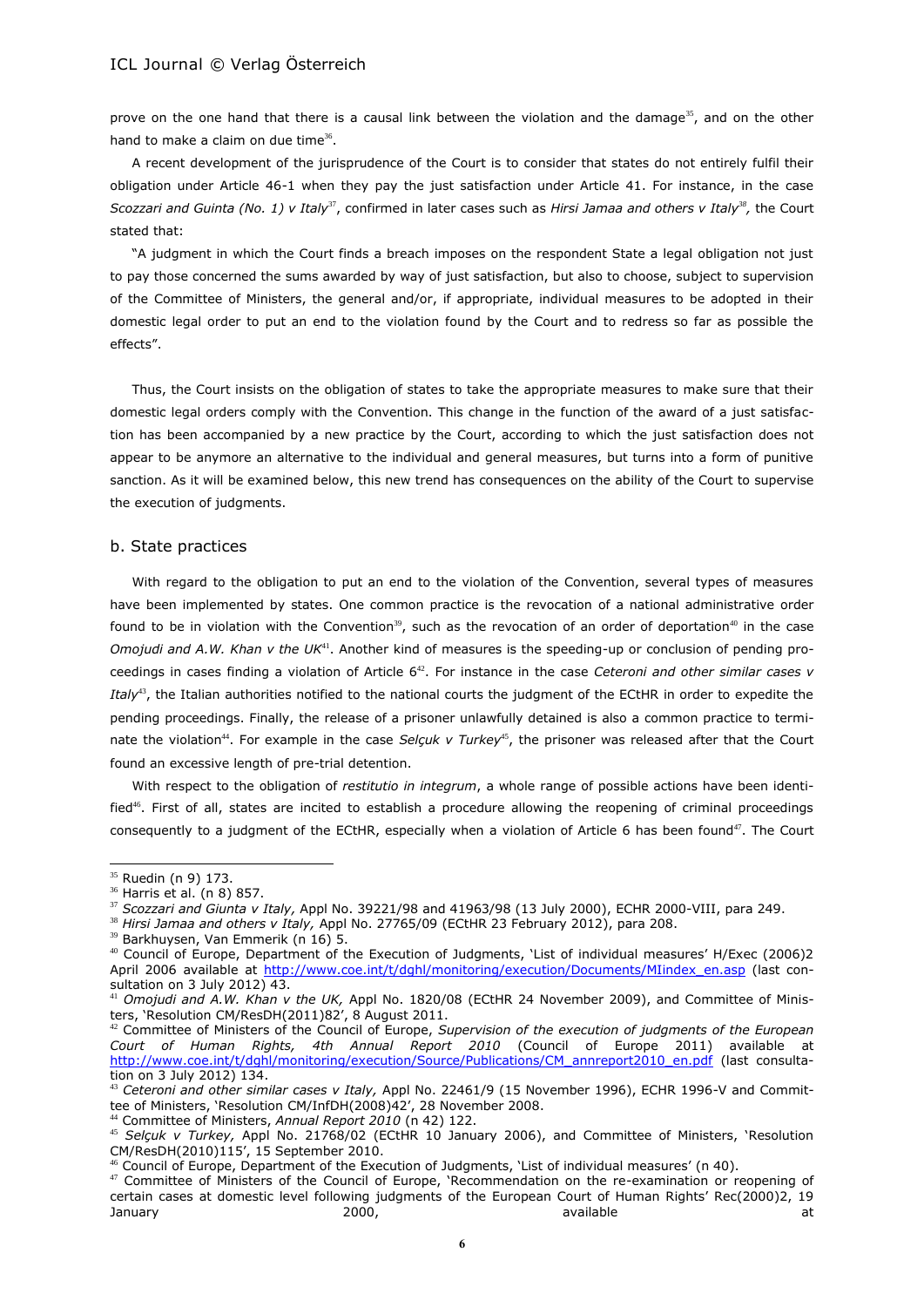prove on the one hand that there is a causal link between the violation and the damage<sup>35</sup>, and on the other hand to make a claim on due time $36$ .

A recent development of the jurisprudence of the Court is to consider that states do not entirely fulfil their obligation under Article 46-1 when they pay the just satisfaction under Article 41. For instance, in the case Scozzari and Guinta (No. 1) v Italy<sup>37</sup>, confirmed in later cases such as *Hirsi Jamaa and others v Italy*<sup>38</sup>, the Court stated that:

"A judgment in which the Court finds a breach imposes on the respondent State a legal obligation not just to pay those concerned the sums awarded by way of just satisfaction, but also to choose, subject to supervision of the Committee of Ministers, the general and/or, if appropriate, individual measures to be adopted in their domestic legal order to put an end to the violation found by the Court and to redress so far as possible the effects".

Thus, the Court insists on the obligation of states to take the appropriate measures to make sure that their domestic legal orders comply with the Convention. This change in the function of the award of a just satisfaction has been accompanied by a new practice by the Court, according to which the just satisfaction does not appear to be anymore an alternative to the individual and general measures, but turns into a form of punitive sanction. As it will be examined below, this new trend has consequences on the ability of the Court to supervise the execution of judgments.

#### b. State practices

With regard to the obligation to put an end to the violation of the Convention, several types of measures have been implemented by states. One common practice is the revocation of a national administrative order found to be in violation with the Convention<sup>39</sup>, such as the revocation of an order of deportation<sup>40</sup> in the case *Omojudi and A.W. Khan v the UK*<sup>41</sup>. Another kind of measures is the speeding-up or conclusion of pending proceedings in cases finding a violation of Article 6<sup>42</sup>. For instance in the case *Ceteroni and other similar cases v Italy*<sup>43</sup>, the Italian authorities notified to the national courts the judgment of the ECtHR in order to expedite the pending proceedings. Finally, the release of a prisoner unlawfully detained is also a common practice to terminate the violation<sup>44</sup>. For example in the case *Selcuk v Turkey*<sup>45</sup>, the prisoner was released after that the Court found an excessive length of pre-trial detention.

With respect to the obligation of *restitutio in integrum*, a whole range of possible actions have been identified<sup>46</sup>. First of all, states are incited to establish a procedure allowing the reopening of criminal proceedings consequently to a judgment of the ECtHR, especially when a violation of Article 6 has been found<sup>47</sup>. The Court

<sup>35</sup> Ruedin (n 9) 173.

<sup>36</sup> Harris et al. (n [8\)](#page-2-0) 857.

<sup>37</sup> *Scozzari and Giunta v Italy,* Appl No. 39221/98 and 41963/98 (13 July 2000), ECHR 2000-VIII, para 249.

<sup>38</sup> *Hirsi Jamaa and others v Italy,* Appl No. 27765/09 (ECtHR 23 February 2012), para 208.

<sup>&</sup>lt;sup>39</sup> Barkhuysen, Van Emmerik (n 16) 5.

<sup>40</sup> Council of Europe, Department of the Execution of Judgments, 'List of individual measures' H/Exec (2006)2 April 2006 available at [http://www.coe.int/t/dghl/monitoring/execution/Documents/MIindex\\_en.asp](http://www.coe.int/t/dghl/monitoring/execution/Documents/MIindex_en.asp) (last consultation on 3 July 2012) 43.

<sup>41</sup> *Omojudi and A.W. Khan v the UK,* Appl No. 1820/08 (ECtHR 24 November 2009), and Committee of Ministers, 'Resolution CM/ResDH(2011)82', 8 August 2011.

<sup>42</sup> Committee of Ministers of the Council of Europe, *Supervision of the execution of judgments of the European Court of Human Rights, 4th Annual Report 2010* (Council of Europe 2011) available at http://www.c<u>oe.int/t/dghl/monitoring/execution/Source/Publications/CM\_annreport2010\_en.pdf</u> (last consultation on 3 July 2012) 134.

<sup>43</sup> *Ceteroni and other similar cases v Italy,* Appl No. 22461/9 (15 November 1996), ECHR 1996-V and Committee of Ministers, 'Resolution CM/InfDH(2008)42', 28 November 2008.

<sup>44</sup> Committee of Ministers, *Annual Report 2010* (n 42) 122.

<sup>45</sup> *Selçuk v Turkey,* Appl No. 21768/02 (ECtHR 10 January 2006), and Committee of Ministers, 'Resolution CM/ResDH(2010)115', 15 September 2010.

<sup>46</sup> Council of Europe, Department of the Execution of Judgments, 'List of individual measures' (n 40).

<sup>47</sup> Committee of Ministers of the Council of Europe, 'Recommendation on the re-examination or reopening of certain cases at domestic level following judgments of the European Court of Human Rights' Rec(2000)2, 19<br>anuary available at January 2000, 2000, available at the attack at the attack and  $\alpha$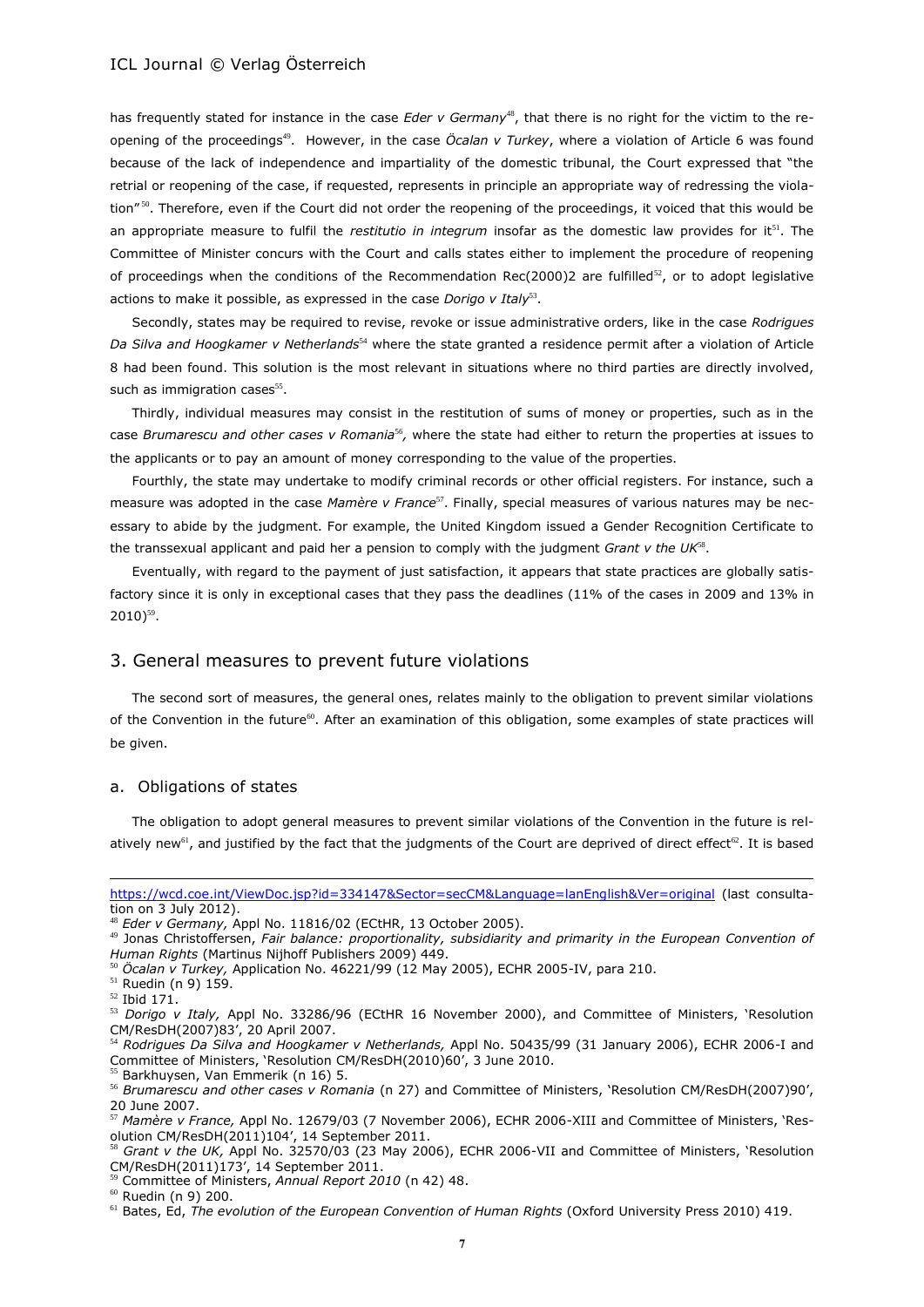has frequently stated for instance in the case *Eder v Germany*<sup>48</sup>, that there is no right for the victim to the reopening of the proceedings<sup>49</sup>. However, in the case *Öcalan v Turkey*, where a violation of Article 6 was found because of the lack of independence and impartiality of the domestic tribunal, the Court expressed that "the retrial or reopening of the case, if requested, represents in principle an appropriate way of redressing the violation"<sup>50</sup>. Therefore, even if the Court did not order the reopening of the proceedings, it voiced that this would be an appropriate measure to fulfil the *restitutio in integrum* insofar as the domestic law provides for it<sup>51</sup>. The Committee of Minister concurs with the Court and calls states either to implement the procedure of reopening of proceedings when the conditions of the Recommendation Rec(2000)2 are fulfilled<sup>52</sup>, or to adopt legislative actions to make it possible, as expressed in the case *Dorigo v Italy*<sup>53</sup>.

Secondly, states may be required to revise, revoke or issue administrative orders, like in the case *Rodrigues Da Silva and Hoogkamer v Netherlands*<sup>54</sup> where the state granted a residence permit after a violation of Article 8 had been found. This solution is the most relevant in situations where no third parties are directly involved, such as immigration cases<sup>55</sup>.

Thirdly, individual measures may consist in the restitution of sums of money or properties, such as in the case *Brumarescu and other cases v Romania<sup>56</sup>,* where the state had either to return the properties at issues to the applicants or to pay an amount of money corresponding to the value of the properties.

Fourthly, the state may undertake to modify criminal records or other official registers. For instance, such a measure was adopted in the case Mamère v France<sup>57</sup>. Finally, special measures of various natures may be necessary to abide by the judgment. For example, the United Kingdom issued a Gender Recognition Certificate to the transsexual applicant and paid her a pension to comply with the judgment *Grant v the UK*<sup>88</sup>.

Eventually, with regard to the payment of just satisfaction, it appears that state practices are globally satisfactory since it is only in exceptional cases that they pass the deadlines (11% of the cases in 2009 and 13% in  $2010)$ <sup>59</sup>.

# 3. General measures to prevent future violations

The second sort of measures, the general ones, relates mainly to the obligation to prevent similar violations of the Convention in the future<sup>60</sup>. After an examination of this obligation, some examples of state practices will be given.

### a. Obligations of states

The obligation to adopt general measures to prevent similar violations of the Convention in the future is relatively new<sup>61</sup>, and justified by the fact that the judgments of the Court are deprived of direct effect<sup>62</sup>. It is based

 $\overline{a}$ 

<sup>60</sup> Ruedin (n 9) 200.

<https://wcd.coe.int/ViewDoc.jsp?id=334147&Sector=secCM&Language=lanEnglish&Ver=original> (last consultation on 3 July 2012).

<sup>48</sup> *Eder v Germany,* Appl No. 11816/02 (ECtHR, 13 October 2005).

<sup>49</sup> Jonas Christoffersen, *Fair balance: proportionality, subsidiarity and primarity in the European Convention of Human Rights* (Martinus Nijhoff Publishers 2009) 449.

<sup>50</sup> *Öcalan v Turkey,* Application No. 46221/99 (12 May 2005), ECHR 2005-IV, para 210.

<sup>51</sup> Ruedin (n 9) 159.

<sup>52</sup> Ibid 171.

<sup>53</sup> *Dorigo v Italy,* Appl No. 33286/96 (ECtHR 16 November 2000), and Committee of Ministers, 'Resolution CM/ResDH(2007)83', 20 April 2007.

<sup>54</sup> *Rodrigues Da Silva and Hoogkamer v Netherlands,* Appl No. 50435/99 (31 January 2006), ECHR 2006-I and Committee of Ministers, 'Resolution CM/ResDH(2010)60', 3 June 2010.

<sup>&</sup>lt;sup>55</sup> Barkhuysen, Van Emmerik (n 16) 5.

<sup>56</sup> *Brumarescu and other cases v Romania* (n 27) and Committee of Ministers, 'Resolution CM/ResDH(2007)90', 20 June 2007.

<sup>57</sup> *Mamère v France,* Appl No. 12679/03 (7 November 2006), ECHR 2006-XIII and Committee of Ministers, 'Resolution CM/ResDH(2011)104', 14 September 2011.

<sup>58</sup> *Grant v the UK,* Appl No. 32570/03 (23 May 2006), ECHR 2006-VII and Committee of Ministers, 'Resolution CM/ResDH(2011)173', 14 September 2011.

<sup>59</sup> Committee of Ministers, *Annual Report 2010* (n 42) 48.

<sup>&</sup>lt;sup>61</sup> Bates, Ed, *The evolution of the European Convention of Human Rights* (Oxford University Press 2010) 419.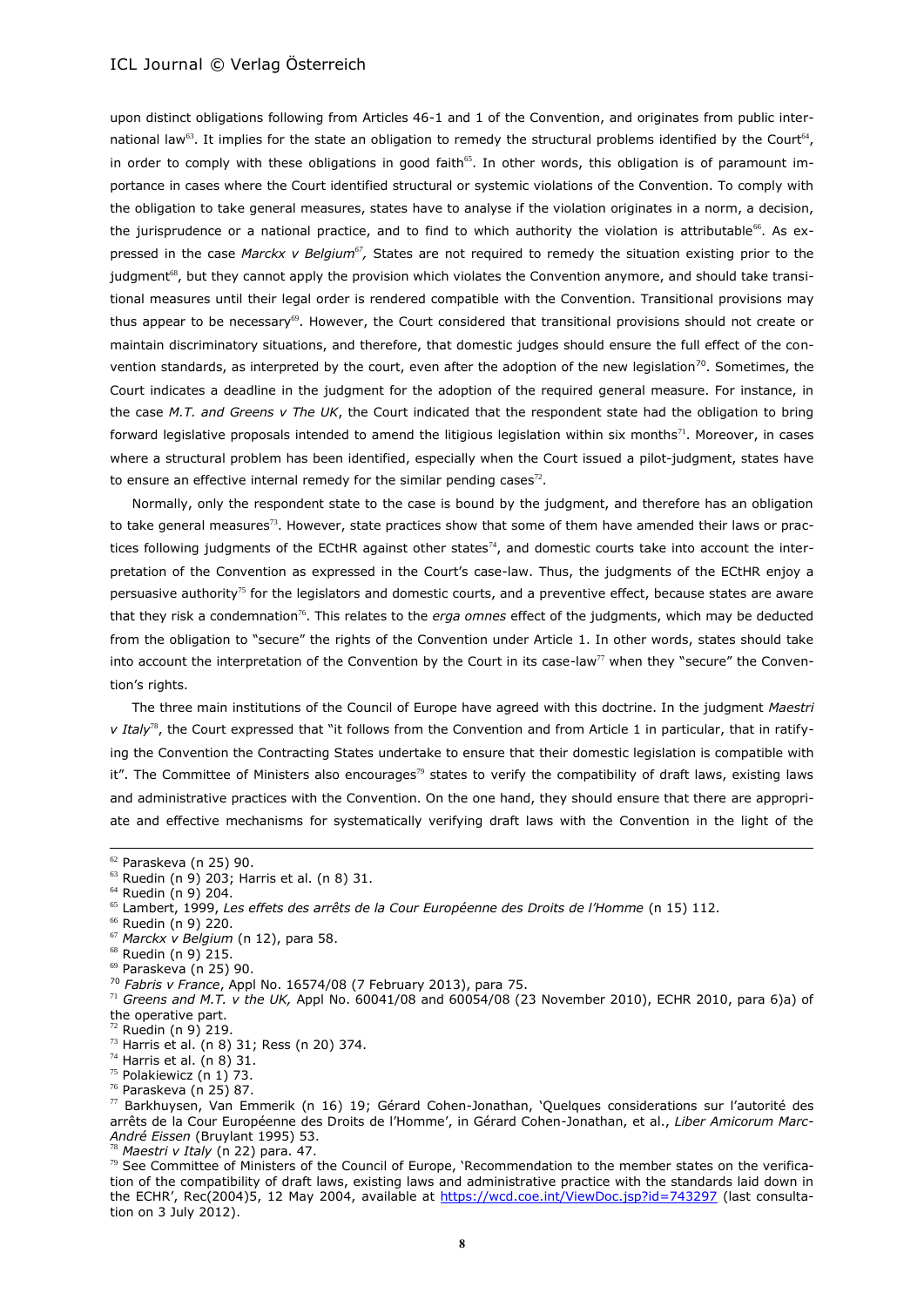upon distinct obligations following from Articles 46-1 and 1 of the Convention, and originates from public international law<sup>63</sup>. It implies for the state an obligation to remedy the structural problems identified by the Court<sup>64</sup>, in order to comply with these obligations in good faith<sup>65</sup>. In other words, this obligation is of paramount importance in cases where the Court identified structural or systemic violations of the Convention. To comply with the obligation to take general measures, states have to analyse if the violation originates in a norm, a decision, the jurisprudence or a national practice, and to find to which authority the violation is attributable<sup>66</sup>. As expressed in the case *Marckx v Belgium<sup>67</sup>*, States are not required to remedy the situation existing prior to the judgment<sup>68</sup>, but they cannot apply the provision which violates the Convention anymore, and should take transitional measures until their legal order is rendered compatible with the Convention. Transitional provisions may thus appear to be necessary<sup>69</sup>. However, the Court considered that transitional provisions should not create or maintain discriminatory situations, and therefore, that domestic judges should ensure the full effect of the convention standards, as interpreted by the court, even after the adoption of the new legislation<sup>70</sup>. Sometimes, the Court indicates a deadline in the judgment for the adoption of the required general measure. For instance, in the case *M.T. and Greens v The UK*, the Court indicated that the respondent state had the obligation to bring forward legislative proposals intended to amend the litigious legislation within six months<sup>71</sup>. Moreover, in cases where a structural problem has been identified, especially when the Court issued a pilot-judgment, states have to ensure an effective internal remedy for the similar pending cases<sup>72</sup>.

Normally, only the respondent state to the case is bound by the judgment, and therefore has an obligation to take general measures<sup>73</sup>. However, state practices show that some of them have amended their laws or practices following judgments of the ECtHR against other states $74$ , and domestic courts take into account the interpretation of the Convention as expressed in the Court's case-law. Thus, the judgments of the ECtHR enjoy a persuasive authority<sup>75</sup> for the legislators and domestic courts, and a preventive effect, because states are aware that they risk a condemnation<sup>76</sup>. This relates to the *erga omnes* effect of the judgments, which may be deducted from the obligation to "secure" the rights of the Convention under Article 1. In other words, states should take into account the interpretation of the Convention by the Court in its case-law<sup>77</sup> when they "secure" the Convention's rights.

The three main institutions of the Council of Europe have agreed with this doctrine. In the judgment *Maestri v Italy*<sup>78</sup>, the Court expressed that "it follows from the Convention and from Article 1 in particular, that in ratifying the Convention the Contracting States undertake to ensure that their domestic legislation is compatible with it". The Committee of Ministers also encourages<sup>79</sup> states to verify the compatibility of draft laws, existing laws and administrative practices with the Convention. On the one hand, they should ensure that there are appropriate and effective mechanisms for systematically verifying draft laws with the Convention in the light of the

 $\overline{a}$ 

- <sup>70</sup> *Fabris v France*, Appl No. 16574/08 (7 February 2013), para 75.
- <sup>71</sup> *Greens and M.T. v the UK,* Appl No. 60041/08 and 60054/08 (23 November 2010), ECHR 2010, para 6)a) of the operative part.

<sup>78</sup> *Maestri v Italy* (n 22) para. 47.

<sup>62</sup> Paraskeva (n 25) 90.

 $^{63}$  Ruedin (n 9) 203; Harris et al. (n [8\)](#page-2-0) 31.

 $64$  Ruedin (n 9) 204.

<sup>65</sup> Lambert, 1999, *Les effets des arrêts de la Cour Européenne des Droits de l'Homme* (n 15) 112.

<sup>66</sup> Ruedin (n 9) 220.

<sup>67</sup> *Marckx v Belgium* (n 12), para 58.

<sup>68</sup> Ruedin (n 9) 215.

<sup>69</sup> Paraskeva (n 25) 90.

 $2^2$  Ruedin (n 9) 219.

 $73$  Harris et al. (n [8\)](#page-2-0) 31; Ress (n 20) 374.

 $74$  Harris et al. (n [8\)](#page-2-0) 31.

<sup>75</sup> Polakiewicz (n [1\)](#page-0-0) 73.

<sup>76</sup> Paraskeva (n 25) 87.

 $77$  Barkhuysen, Van Emmerik (n 16) 19; Gérard Cohen-Jonathan, 'Quelques considerations sur l'autorité des arrêts de la Cour Européenne des Droits de l'Homme', in Gérard Cohen-Jonathan, et al., *Liber Amicorum Marc-André Eissen* (Bruylant 1995) 53.

 $\frac{79}{2}$  See Committee of Ministers of the Council of Europe, 'Recommendation to the member states on the verification of the compatibility of draft laws, existing laws and administrative practice with the standards laid down in the ECHR', Rec(2004)5, 12 May 2004, available at<https://wcd.coe.int/ViewDoc.jsp?id=743297> (last consultation on 3 July 2012).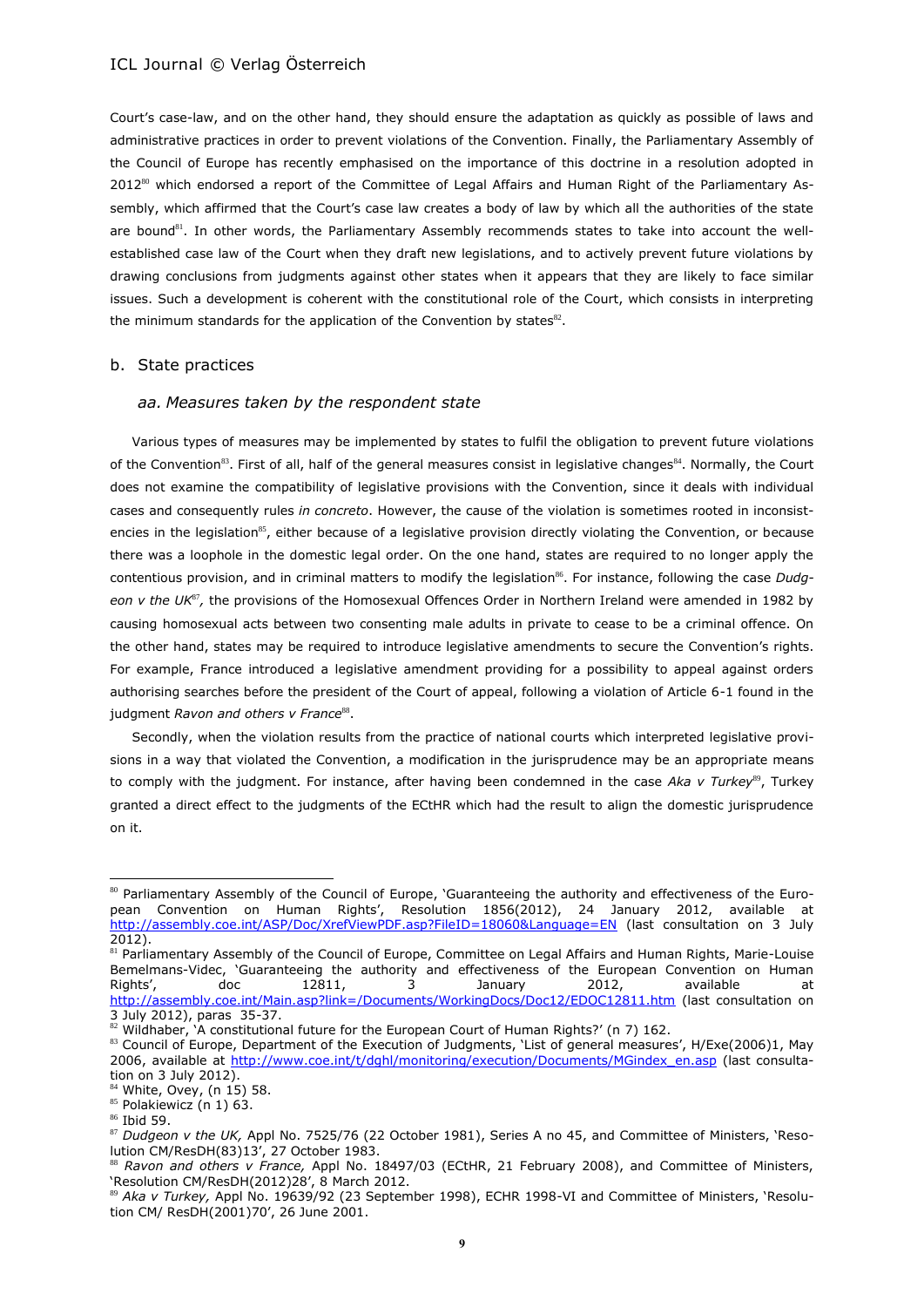Court's case-law, and on the other hand, they should ensure the adaptation as quickly as possible of laws and administrative practices in order to prevent violations of the Convention. Finally, the Parliamentary Assembly of the Council of Europe has recently emphasised on the importance of this doctrine in a resolution adopted in 2012<sup>80</sup> which endorsed a report of the Committee of Legal Affairs and Human Right of the Parliamentary Assembly, which affirmed that the Court's case law creates a body of law by which all the authorities of the state are bound<sup>81</sup>. In other words, the Parliamentary Assembly recommends states to take into account the wellestablished case law of the Court when they draft new legislations, and to actively prevent future violations by drawing conclusions from judgments against other states when it appears that they are likely to face similar issues. Such a development is coherent with the constitutional role of the Court, which consists in interpreting the minimum standards for the application of the Convention by states $^{82}$ .

#### b. State practices

### *aa. Measures taken by the respondent state*

Various types of measures may be implemented by states to fulfil the obligation to prevent future violations of the Convention<sup>83</sup>. First of all, half of the general measures consist in legislative changes<sup>84</sup>. Normally, the Court does not examine the compatibility of legislative provisions with the Convention, since it deals with individual cases and consequently rules *in concreto*. However, the cause of the violation is sometimes rooted in inconsistencies in the legislation<sup>85</sup>, either because of a legislative provision directly violating the Convention, or because there was a loophole in the domestic legal order. On the one hand, states are required to no longer apply the contentious provision, and in criminal matters to modify the legislation<sup>86</sup>. For instance, following the case *Dudg*eon v the UK<sup>87</sup>, the provisions of the Homosexual Offences Order in Northern Ireland were amended in 1982 by causing homosexual acts between two consenting male adults in private to cease to be a criminal offence. On the other hand, states may be required to introduce legislative amendments to secure the Convention's rights. For example, France introduced a legislative amendment providing for a possibility to appeal against orders authorising searches before the president of the Court of appeal, following a violation of Article 6-1 found in the judgment *Ravon and others v France*<sup>88</sup>.

Secondly, when the violation results from the practice of national courts which interpreted legislative provisions in a way that violated the Convention, a modification in the jurisprudence may be an appropriate means to comply with the judgment. For instance, after having been condemned in the case Aka v Turkey<sup>89</sup>, Turkey granted a direct effect to the judgments of the ECtHR which had the result to align the domestic jurisprudence on it.

l

<sup>&</sup>lt;sup>80</sup> Parliamentary Assembly of the Council of Europe, 'Guaranteeing the authority and effectiveness of the European Convention on Human Rights', Resolution 1856(2012), 24 January 2012, available at <http://assembly.coe.int/ASP/Doc/XrefViewPDF.asp?FileID=18060&Language=EN> (last consultation on 3 July 2012).

<sup>&</sup>lt;sup>81</sup> Parliamentary Assembly of the Council of Europe, Committee on Legal Affairs and Human Rights, Marie-Louise Bemelmans-Videc, 'Guaranteeing the authority and effectiveness of the European Convention on Human<br>Rights', doc 12811, 3 January 2012, available at Rights', doc 12811, 3 January 2012, available at <http://assembly.coe.int/Main.asp?link=/Documents/WorkingDocs/Doc12/EDOC12811.htm> (last consultation on 3 July 2012), paras 35-37.

<sup>82</sup> Wildhaber, 'A constitutional future for the European Court of Human Rights?' (n [7\)](#page-1-0) 162.

<sup>83</sup> Council of Europe, Department of the Execution of Judgments, 'List of general measures', H/Exe(2006)1, May 2006, available at [http://www.coe.int/t/dghl/monitoring/execution/Documents/MGindex\\_en.asp](http://www.coe.int/t/dghl/monitoring/execution/Documents/MGindex_en.asp) (last consultation on 3 July 2012).

 $4$  White, Ovey, (n 15) 58. 85 Polakiewicz (n [1\)](#page-0-0) 63.

<sup>86</sup> Ibid 59.

<sup>87</sup> *Dudgeon v the UK,* Appl No. 7525/76 (22 October 1981), Series A no 45, and Committee of Ministers, 'Resolution CM/ResDH(83)13', 27 October 1983.

<sup>88</sup> *Ravon and others v France,* Appl No. 18497/03 (ECtHR, 21 February 2008), and Committee of Ministers, 'Resolution CM/ResDH(2012)28', 8 March 2012.

<sup>&</sup>lt;sup>89</sup> Aka v Turkey, Appl No. 19639/92 (23 September 1998), ECHR 1998-VI and Committee of Ministers, 'Resolution CM/ ResDH(2001)70', 26 June 2001.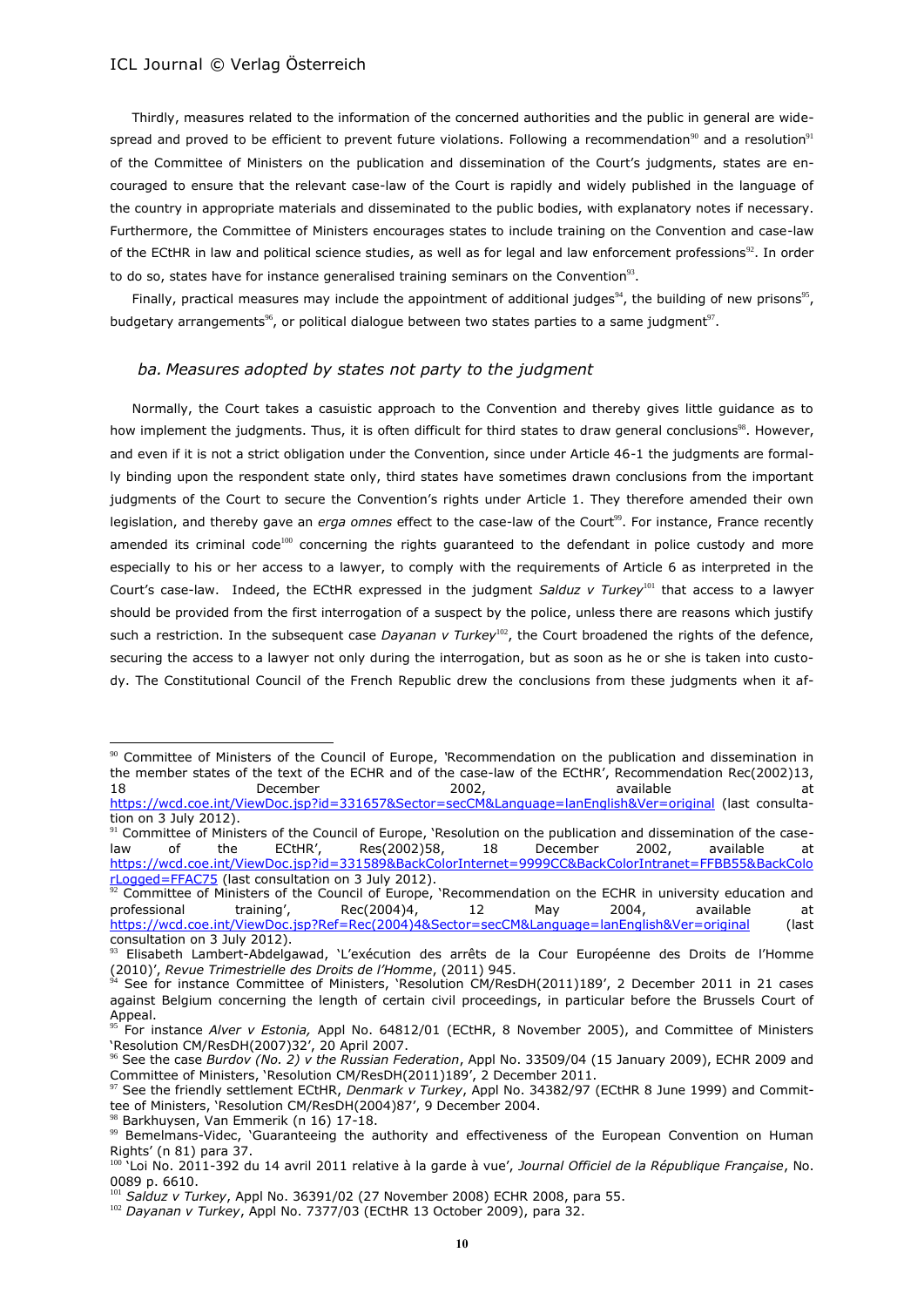Thirdly, measures related to the information of the concerned authorities and the public in general are widespread and proved to be efficient to prevent future violations. Following a recommendation<sup>90</sup> and a resolution<sup>91</sup> of the Committee of Ministers on the publication and dissemination of the Court's judgments, states are encouraged to ensure that the relevant case-law of the Court is rapidly and widely published in the language of the country in appropriate materials and disseminated to the public bodies, with explanatory notes if necessary. Furthermore, the Committee of Ministers encourages states to include training on the Convention and case-law of the ECtHR in law and political science studies, as well as for legal and law enforcement professions<sup>92</sup>. In order to do so, states have for instance generalised training seminars on the Convention<sup>93</sup>.

Finally, practical measures may include the appointment of additional judges<sup>94</sup>, the building of new prisons<sup>95</sup>, budgetary arrangements<sup>%</sup>, or political dialogue between two states parties to a same judgment<sup>97</sup>.

#### *ba. Measures adopted by states not party to the judgment*

Normally, the Court takes a casuistic approach to the Convention and thereby gives little guidance as to how implement the judgments. Thus, it is often difficult for third states to draw general conclusions<sup>98</sup>. However, and even if it is not a strict obligation under the Convention, since under Article 46-1 the judgments are formally binding upon the respondent state only, third states have sometimes drawn conclusions from the important judgments of the Court to secure the Convention's rights under Article 1. They therefore amended their own legislation, and thereby gave an *erga omnes* effect to the case-law of the Court<sup>99</sup>. For instance, France recently amended its criminal code<sup>100</sup> concerning the rights guaranteed to the defendant in police custody and more especially to his or her access to a lawyer, to comply with the requirements of Article 6 as interpreted in the Court's case-law. Indeed, the ECtHR expressed in the judgment *Salduz v Turkey* <sup>101</sup> that access to a lawyer should be provided from the first interrogation of a suspect by the police, unless there are reasons which justify such a restriction. In the subsequent case *Dayanan v Turkey*<sup>102</sup>, the Court broadened the rights of the defence, securing the access to a lawyer not only during the interrogation, but as soon as he or she is taken into custody. The Constitutional Council of the French Republic drew the conclusions from these judgments when it af-

l

<sup>90</sup> Committee of Ministers of the Council of Europe, *'*Recommendation on the publication and dissemination in the member states of the text of the ECHR and of the case-law of the ECtHR', Recommendation Rec(2002)13, 18 December 2002, available at <https://wcd.coe.int/ViewDoc.jsp?id=331657&Sector=secCM&Language=lanEnglish&Ver=original> (last consultation on 3 July 2012).

<sup>&</sup>lt;sup>91</sup> Committee of Ministers of the Council of Europe, 'Resolution on the publication and dissemination of the caselaw of the ECtHR', Res(2002)58, 18 December 2002, available at [https://wcd.coe.int/ViewDoc.jsp?id=331589&BackColorInternet=9999CC&BackColorIntranet=FFBB55&BackColo](https://wcd.coe.int/ViewDoc.jsp?id=331589&BackColorInternet=9999CC&BackColorIntranet=FFBB55&BackColorLogged=FFAC75) Logged=FFAC75 (last consultation on 3 July 2012).

 $92$  Committee of Ministers of the Council of Europe, 'Recommendation on the ECHR in university education and professional training', Rec(2004)4, 12 May 2004, available at [https://wcd.coe.int/ViewDoc.jsp?Ref=Rec\(2004\)4&Sector=secCM&Language=lanEnglish&Ver=original](https://wcd.coe.int/ViewDoc.jsp?Ref=Rec(2004)4&Sector=secCM&Language=lanEnglish&Ver=original) (last consultation on 3 July 2012).

<sup>&</sup>lt;sup>93</sup> Elisabeth Lambert-Abdelgawad, `L'exécution des arrêts de la Cour Européenne des Droits de l'Homme (2010)', *Revue Trimestrielle des Droits de l'Homme*, (2011) 945.

<sup>94</sup> See for instance Committee of Ministers, 'Resolution CM/ResDH(2011)189', 2 December 2011 in 21 cases against Belgium concerning the length of certain civil proceedings, in particular before the Brussels Court of Appeal.

<sup>95</sup> For instance *Alver v Estonia,* Appl No. 64812/01 (ECtHR, 8 November 2005), and Committee of Ministers 'Resolution CM/ResDH(2007)32', 20 April 2007.

<sup>96</sup> See the case *Burdov (No. 2) v the Russian Federation*, Appl No. 33509/04 (15 January 2009), ECHR 2009 and Committee of Ministers, 'Resolution CM/ResDH(2011)189', 2 December 2011.

<sup>97</sup> See the friendly settlement ECtHR, *Denmark v Turkey*, Appl No. 34382/97 (ECtHR 8 June 1999) and Committee of Ministers, 'Resolution CM/ResDH(2004)87', 9 December 2004.

Barkhuysen, Van Emmerik (n 16) 17-18.

<sup>99</sup> Bemelmans-Videc, 'Guaranteeing the authority and effectiveness of the European Convention on Human Rights' (n 81) para 37.

<sup>100</sup> 'Loi No. 2011-392 du 14 avril 2011 relative à la garde à vue', *Journal Officiel de la République Française*, No. 0089 p. 6610.

<sup>&</sup>lt;sup>1</sup> Salduz v Turkey, Appl No. 36391/02 (27 November 2008) ECHR 2008, para 55.

<sup>102</sup> *Dayanan v Turkey*, Appl No. 7377/03 (ECtHR 13 October 2009), para 32.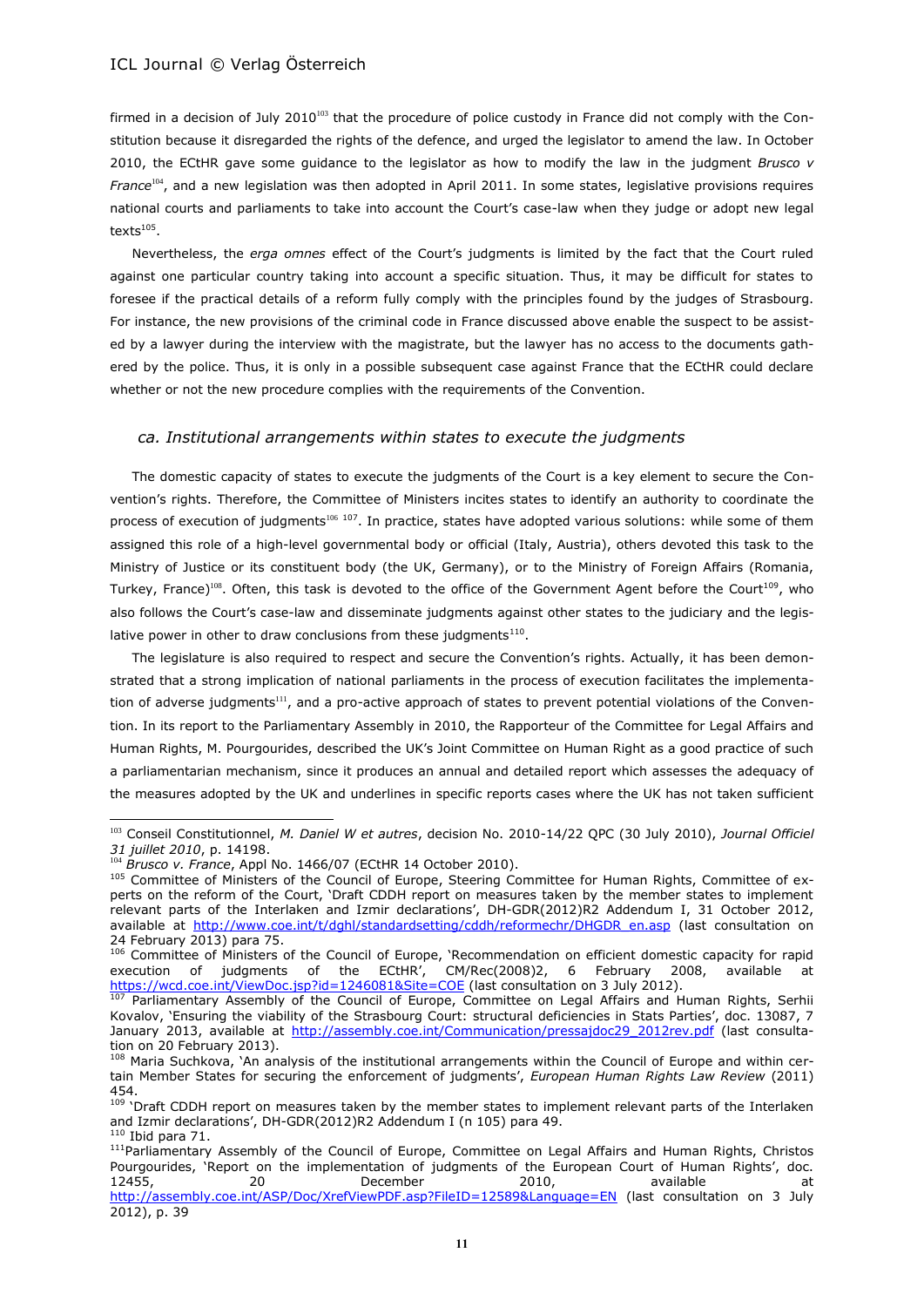firmed in a decision of July 2010<sup>103</sup> that the procedure of police custody in France did not comply with the Constitution because it disregarded the rights of the defence, and urged the legislator to amend the law. In October 2010, the ECtHR gave some guidance to the legislator as how to modify the law in the judgment *Brusco v France*<sup>104</sup>, and a new legislation was then adopted in April 2011. In some states, legislative provisions requires national courts and parliaments to take into account the Court's case-law when they judge or adopt new legal texts $^{\rm 105}.$ 

Nevertheless, the *erga omnes* effect of the Court's judgments is limited by the fact that the Court ruled against one particular country taking into account a specific situation. Thus, it may be difficult for states to foresee if the practical details of a reform fully comply with the principles found by the judges of Strasbourg. For instance, the new provisions of the criminal code in France discussed above enable the suspect to be assisted by a lawyer during the interview with the magistrate, but the lawyer has no access to the documents gathered by the police. Thus, it is only in a possible subsequent case against France that the ECtHR could declare whether or not the new procedure complies with the requirements of the Convention.

#### *ca. Institutional arrangements within states to execute the judgments*

The domestic capacity of states to execute the judgments of the Court is a key element to secure the Convention's rights. Therefore, the Committee of Ministers incites states to identify an authority to coordinate the process of execution of judgments<sup>106</sup> 107. In practice, states have adopted various solutions: while some of them assigned this role of a high-level governmental body or official (Italy, Austria), others devoted this task to the Ministry of Justice or its constituent body (the UK, Germany), or to the Ministry of Foreign Affairs (Romania, Turkey, France)<sup>108</sup>. Often, this task is devoted to the office of the Government Agent before the Court<sup>109</sup>, who also follows the Court's case-law and disseminate judgments against other states to the judiciary and the legislative power in other to draw conclusions from these judgments $^{110}$ .

<span id="page-10-1"></span><span id="page-10-0"></span>The legislature is also required to respect and secure the Convention's rights. Actually, it has been demonstrated that a strong implication of national parliaments in the process of execution facilitates the implementation of adverse judgments<sup>111</sup>, and a pro-active approach of states to prevent potential violations of the Convention. In its report to the Parliamentary Assembly in 2010, the Rapporteur of the Committee for Legal Affairs and Human Rights, M. Pourgourides, described the UK's Joint Committee on Human Right as a good practice of such a parliamentarian mechanism, since it produces an annual and detailed report which assesses the adequacy of the measures adopted by the UK and underlines in specific reports cases where the UK has not taken sufficient

<sup>103</sup> Conseil Constitutionnel, *M. Daniel W et autres*, decision No. 2010-14/22 QPC (30 July 2010), *Journal Officiel 31 juillet 2010*, p. 14198.

<sup>104</sup> *Brusco v. France*, Appl No. 1466/07 (ECtHR 14 October 2010).

<sup>105</sup> Committee of Ministers of the Council of Europe, Steering Committee for Human Rights, Committee of experts on the reform of the Court, 'Draft CDDH report on measures taken by the member states to implement relevant parts of the Interlaken and Izmir declarations', DH-GDR(2012)R2 Addendum I, 31 October 2012, available at [http://www.coe.int/t/dghl/standardsetting/cddh/reformechr/DHGDR\\_en.asp](http://www.coe.int/t/dghl/standardsetting/cddh/reformechr/DHGDR_en.asp) (last consultation on 24 February 2013) para 75.

<sup>106</sup> Committee of Ministers of the Council of Europe, 'Recommendation on efficient domestic capacity for rapid execution of judgments of the ECtHR', CM/Rec(2008)2, 6 February 2008, available at <https://wcd.coe.int/ViewDoc.jsp?id=1246081&Site=COE> (last consultation on 3 July 2012).

Parliamentary Assembly of the Council of Europe, Committee on Legal Affairs and Human Rights, Serhii Kovalov, 'Ensuring the viability of the Strasbourg Court: structural deficiencies in Stats Parties', doc. 13087, 7 January 2013, available at [http://assembly.coe.int/Communication/pressajdoc29\\_2012rev.pdf](http://assembly.coe.int/Communication/pressajdoc29_2012rev.pdf) (last consultation on 20 February 2013).

<sup>108</sup> Maria Suchkova, 'An analysis of the institutional arrangements within the Council of Europe and within certain Member States for securing the enforcement of judgments', *European Human Rights Law Review* (2011) 454.

<sup>&</sup>lt;sup>109</sup> 'Draft CDDH report on measures taken by the member states to implement relevant parts of the Interlaken and Izmir declarations', DH-GDR(2012)R2 Addendum I (n 105) para 49.  $110$  Ibid para 71.

<sup>&</sup>lt;sup>111</sup>Parliamentary Assembly of the Council of Europe, Committee on Legal Affairs and Human Rights, Christos Pourgourides, 'Report on the implementation of judgments of the European Court of Human Rights', doc.<br>2010. available a a court of the system of the system of the system and the system of the system of the system 12455, 20 20 December 2010, available at <http://assembly.coe.int/ASP/Doc/XrefViewPDF.asp?FileID=12589&Language=EN> (last consultation on 3 July 2012), p. 39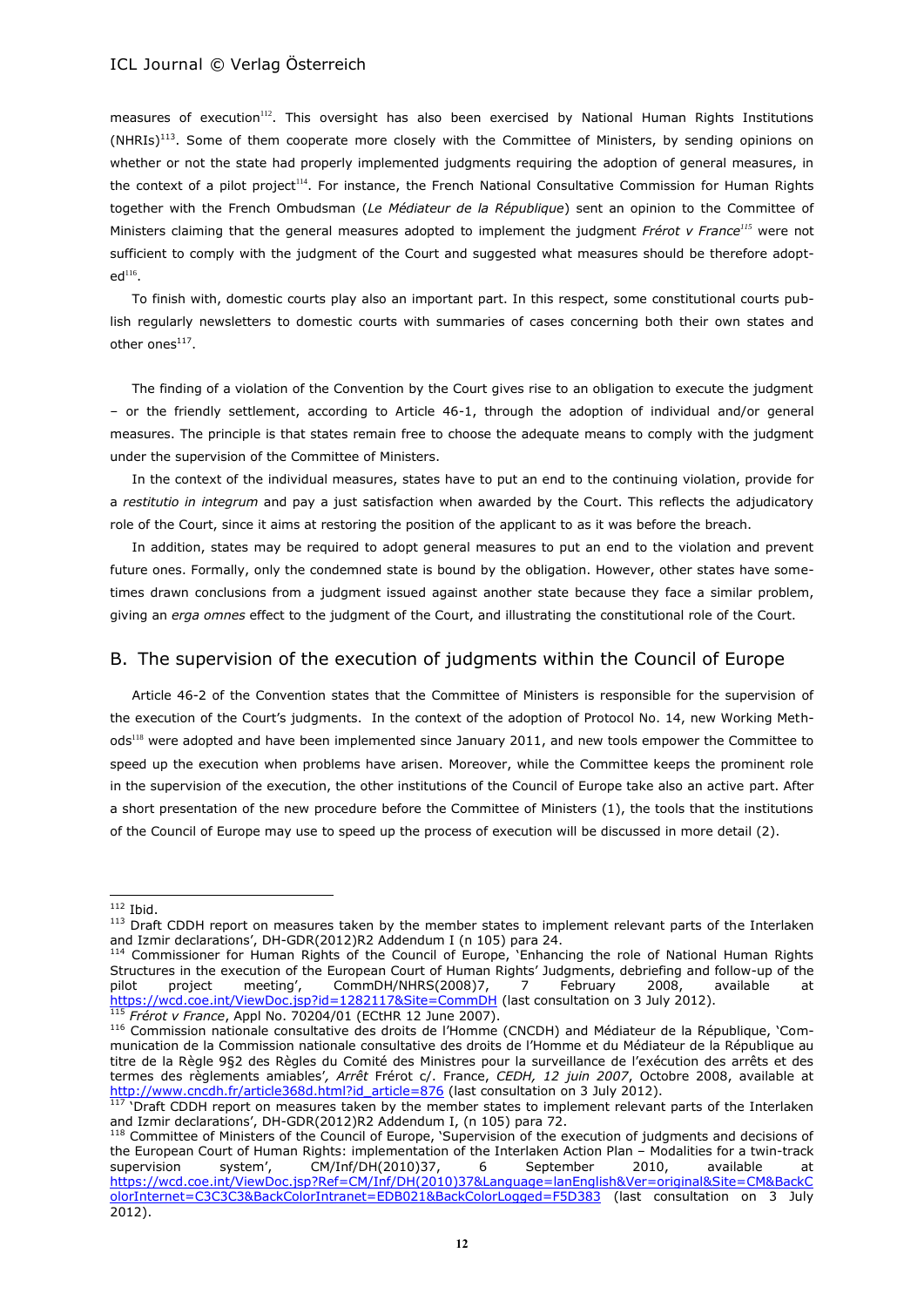<span id="page-11-1"></span>measures of execution<sup>112</sup>. This oversight has also been exercised by National Human Rights Institutions (NHRIs)<sup>113</sup>. Some of them cooperate more closely with the Committee of Ministers, by sending opinions on whether or not the state had properly implemented judgments requiring the adoption of general measures, in the context of a pilot project<sup>114</sup>. For instance, the French National Consultative Commission for Human Rights together with the French Ombudsman (*Le Médiateur de la République*) sent an opinion to the Committee of Ministers claiming that the general measures adopted to implement the judgment *Frérot v France<sup>115</sup>* were not sufficient to comply with the judgment of the Court and suggested what measures should be therefore adopt $ed<sup>116</sup>$ .

To finish with, domestic courts play also an important part. In this respect, some constitutional courts publish regularly newsletters to domestic courts with summaries of cases concerning both their own states and other ones $^{117}$ .

The finding of a violation of the Convention by the Court gives rise to an obligation to execute the judgment – or the friendly settlement, according to Article 46-1, through the adoption of individual and/or general measures. The principle is that states remain free to choose the adequate means to comply with the judgment under the supervision of the Committee of Ministers.

In the context of the individual measures, states have to put an end to the continuing violation, provide for a *restitutio in integrum* and pay a just satisfaction when awarded by the Court. This reflects the adjudicatory role of the Court, since it aims at restoring the position of the applicant to as it was before the breach.

In addition, states may be required to adopt general measures to put an end to the violation and prevent future ones. Formally, only the condemned state is bound by the obligation. However, other states have sometimes drawn conclusions from a judgment issued against another state because they face a similar problem, giving an *erga omnes* effect to the judgment of the Court, and illustrating the constitutional role of the Court.

# B. The supervision of the execution of judgments within the Council of Europe

<span id="page-11-0"></span>Article 46-2 of the Convention states that the Committee of Ministers is responsible for the supervision of the execution of the Court's judgments. In the context of the adoption of Protocol No. 14, new Working Methods<sup>118</sup> were adopted and have been implemented since January 2011, and new tools empower the Committee to speed up the execution when problems have arisen. Moreover, while the Committee keeps the prominent role in the supervision of the execution, the other institutions of the Council of Europe take also an active part. After a short presentation of the new procedure before the Committee of Ministers (1), the tools that the institutions of the Council of Europe may use to speed up the process of execution will be discussed in more detail (2).

 $112$  Ibid.

<sup>113</sup> Draft CDDH report on measures taken by the member states to implement relevant parts of the Interlaken and Izmir declarations', DH-GDR(2012)R2 Addendum I (n 105) para 24.

<sup>114</sup> Commissioner for Human Rights of the Council of Europe, 'Enhancing the role of National Human Rights Structures in the execution of the European Court of Human Rights' Judgments, debriefing and follow-up of the pilot project meeting', CommDH/NHRS(2008)7, 7 February 2008, available at <https://wcd.coe.int/ViewDoc.jsp?id=1282117&Site=CommDH> (last consultation on 3 July 2012). <sup>115</sup> *Frérot v France*, Appl No. 70204/01 (ECtHR 12 June 2007).

<sup>116</sup> Commission nationale consultative des droits de l'Homme (CNCDH) and Médiateur de la République, 'Communication de la Commission nationale consultative des droits de l'Homme et du Médiateur de la République au titre de la Règle 9§2 des Règles du Comité des Ministres pour la surveillance de l'exécution des arrêts et des termes des règlements amiables'*, Arrêt* Frérot c/. France, *CEDH, 12 juin 2007*, Octobre 2008, available at [http://www.cncdh.fr/article368d.html?id\\_article=876](http://www.cncdh.fr/article368d.html?id_article=876) (last consultation on 3 July 2012).

 $117$  'Draft CDDH report on measures taken by the member states to implement relevant parts of the Interlaken and Izmir declarations', DH-GDR(2012)R2 Addendum I, (n 105) para 72.

<sup>&</sup>lt;sup>118</sup> Committee of Ministers of the Council of Europe, 'Supervision of the execution of judgments and decisions of the European Court of Human Rights: implementation of the Interlaken Action Plan – Modalities for a twin-track supervision system', CM/Inf/DH(2010)37, 6 September 2010, available at [https://wcd.coe.int/ViewDoc.jsp?Ref=CM/Inf/DH\(2010\)37&Language=lanEnglish&Ver=original&Site=CM&BackC](https://wcd.coe.int/ViewDoc.jsp?Ref=CM/Inf/DH(2010)37&Language=lanEnglish&Ver=original&Site=CM&BackColorInternet=C3C3C3&BackColorIntranet=EDB021&BackColorLogged=F5D383) [olorInternet=C3C3C3&BackColorIntranet=EDB021&BackColorLogged=F5D383](https://wcd.coe.int/ViewDoc.jsp?Ref=CM/Inf/DH(2010)37&Language=lanEnglish&Ver=original&Site=CM&BackColorInternet=C3C3C3&BackColorIntranet=EDB021&BackColorLogged=F5D383) (last consultation on 3 July 2012).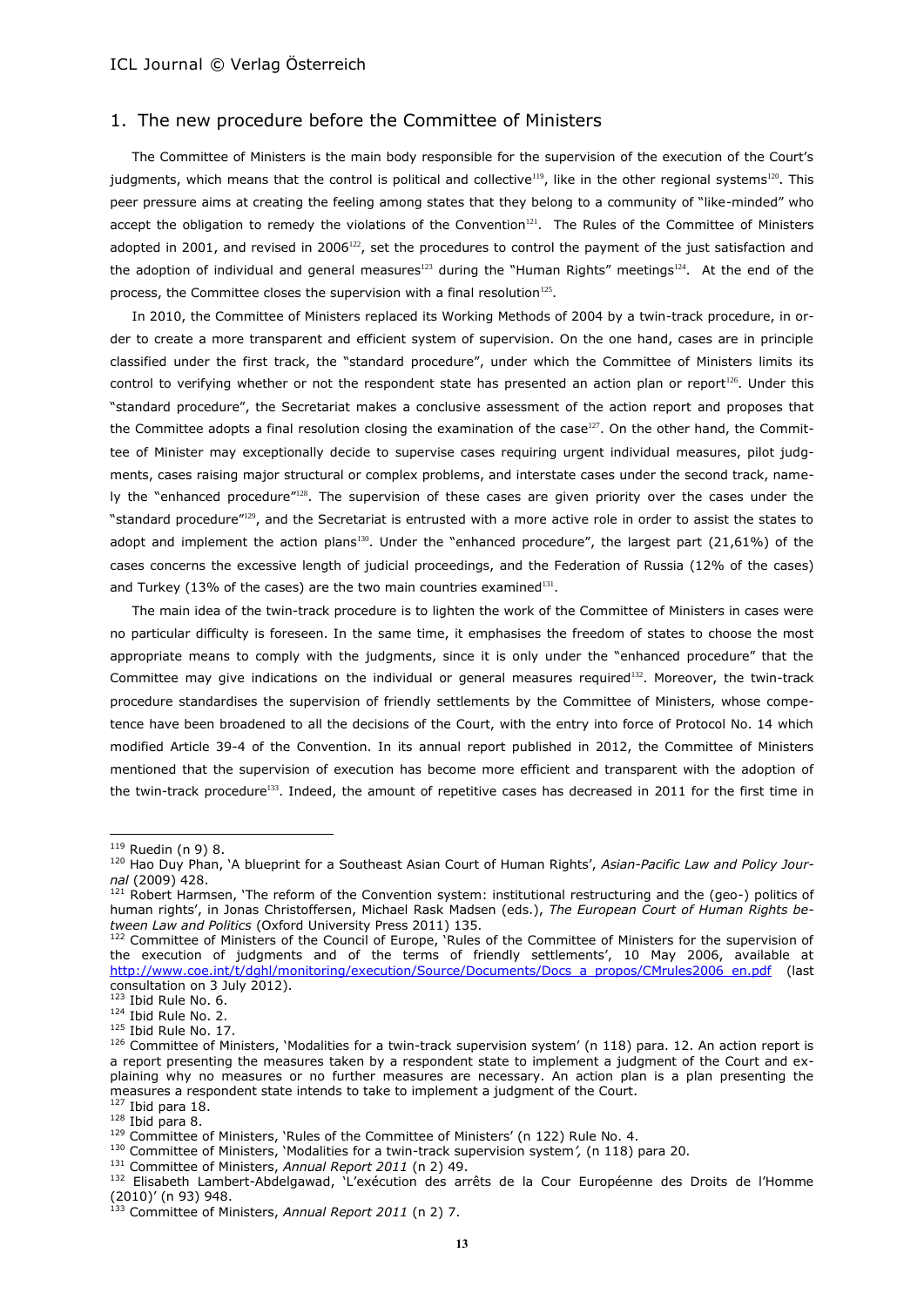# 1. The new procedure before the Committee of Ministers

The Committee of Ministers is the main body responsible for the supervision of the execution of the Court's judgments, which means that the control is political and collective<sup>119</sup>, like in the other regional systems<sup>120</sup>. This peer pressure aims at creating the feeling among states that they belong to a community of "like-minded" who accept the obligation to remedy the violations of the Convention<sup>121</sup>. The Rules of the Committee of Ministers adopted in 2001, and revised in 2006<sup>122</sup>, set the procedures to control the payment of the just satisfaction and the adoption of individual and general measures<sup>123</sup> during the "Human Rights" meetings<sup>124</sup>. At the end of the process, the Committee closes the supervision with a final resolution $^{125}$ .

<span id="page-12-0"></span>In 2010, the Committee of Ministers replaced its Working Methods of 2004 by a twin-track procedure, in order to create a more transparent and efficient system of supervision. On the one hand, cases are in principle classified under the first track, the "standard procedure", under which the Committee of Ministers limits its control to verifying whether or not the respondent state has presented an action plan or report<sup>126</sup>. Under this "standard procedure", the Secretariat makes a conclusive assessment of the action report and proposes that the Committee adopts a final resolution closing the examination of the case<sup>127</sup>. On the other hand, the Committee of Minister may exceptionally decide to supervise cases requiring urgent individual measures, pilot judgments, cases raising major structural or complex problems, and interstate cases under the second track, namely the "enhanced procedure"<sup>128</sup>. The supervision of these cases are given priority over the cases under the "standard procedure"<sup>129</sup>, and the Secretariat is entrusted with a more active role in order to assist the states to adopt and implement the action plans<sup>130</sup>. Under the "enhanced procedure", the largest part (21,61%) of the cases concerns the excessive length of judicial proceedings, and the Federation of Russia (12% of the cases) and Turkey (13% of the cases) are the two main countries examined $131$ .

The main idea of the twin-track procedure is to lighten the work of the Committee of Ministers in cases were no particular difficulty is foreseen. In the same time, it emphasises the freedom of states to choose the most appropriate means to comply with the judgments, since it is only under the "enhanced procedure" that the Committee may give indications on the individual or general measures required<sup>132</sup>. Moreover, the twin-track procedure standardises the supervision of friendly settlements by the Committee of Ministers, whose competence have been broadened to all the decisions of the Court, with the entry into force of Protocol No. 14 which modified Article 39-4 of the Convention. In its annual report published in 2012, the Committee of Ministers mentioned that the supervision of execution has become more efficient and transparent with the adoption of the twin-track procedure<sup>133</sup>. Indeed, the amount of repetitive cases has decreased in 2011 for the first time in

<sup>&</sup>lt;sup>119</sup> Ruedin (n 9) 8.

<sup>&</sup>lt;sup>120</sup> Hao Duy Phan, 'A blueprint for a Southeast Asian Court of Human Rights', Asian-Pacific Law and Policy Jour*nal* (2009) 428.

<sup>&</sup>lt;sup>121</sup> Robert Harmsen, 'The reform of the Convention system: institutional restructuring and the (geo-) politics of human rights', in Jonas Christoffersen, Michael Rask Madsen (eds.), *The European Court of Human Rights between Law and Politics* (Oxford University Press 2011) 135.

<sup>122</sup> Committee of Ministers of the Council of Europe, 'Rules of the Committee of Ministers for the supervision of the execution of judgments and of the terms of friendly settlements', 10 May 2006, available at [http://www.coe.int/t/dghl/monitoring/execution/Source/Documents/Docs\\_a\\_propos/CMrules2006\\_en.pdf](http://www.coe.int/t/dghl/monitoring/execution/Source/Documents/Docs_a_propos/CMrules2006_en.pdf) (last consultation on 3 July 2012).

 $123$  Ibid Rule No. 6.

<sup>124</sup> Ibid Rule No. 2.

<sup>&</sup>lt;sup>125</sup> Ibid Rule No. 17.

<sup>126</sup> Committee of Ministers, 'Modalities for a twin-track supervision system' (n [118\)](#page-11-0) para. 12. An action report is a report presenting the measures taken by a respondent state to implement a judgment of the Court and explaining why no measures or no further measures are necessary. An action plan is a plan presenting the measures a respondent state intends to take to implement a judgment of the Court.

 $127$  Ibid para 18.  $128$  Ibid para 8.

 $129$  Committee of Ministers, `Rules of the Committee of Ministers' (n [122\)](#page-12-0) Rule No. 4.

<sup>130</sup> Committee of Ministers, 'Modalities for a twin-track supervision system*',* (n [118\)](#page-11-0) para 20.

<sup>131</sup> Committee of Ministers, *Annual Report 2011* (n [2\)](#page-0-1) 49.

<sup>132</sup> Elisabeth Lambert-Abdelgawad, 'L'exécution des arrêts de la Cour Européenne des Droits de l'Homme (2010)' (n 93) 948.

<sup>133</sup> Committee of Ministers, *Annual Report 2011* (n [2\)](#page-0-1) 7.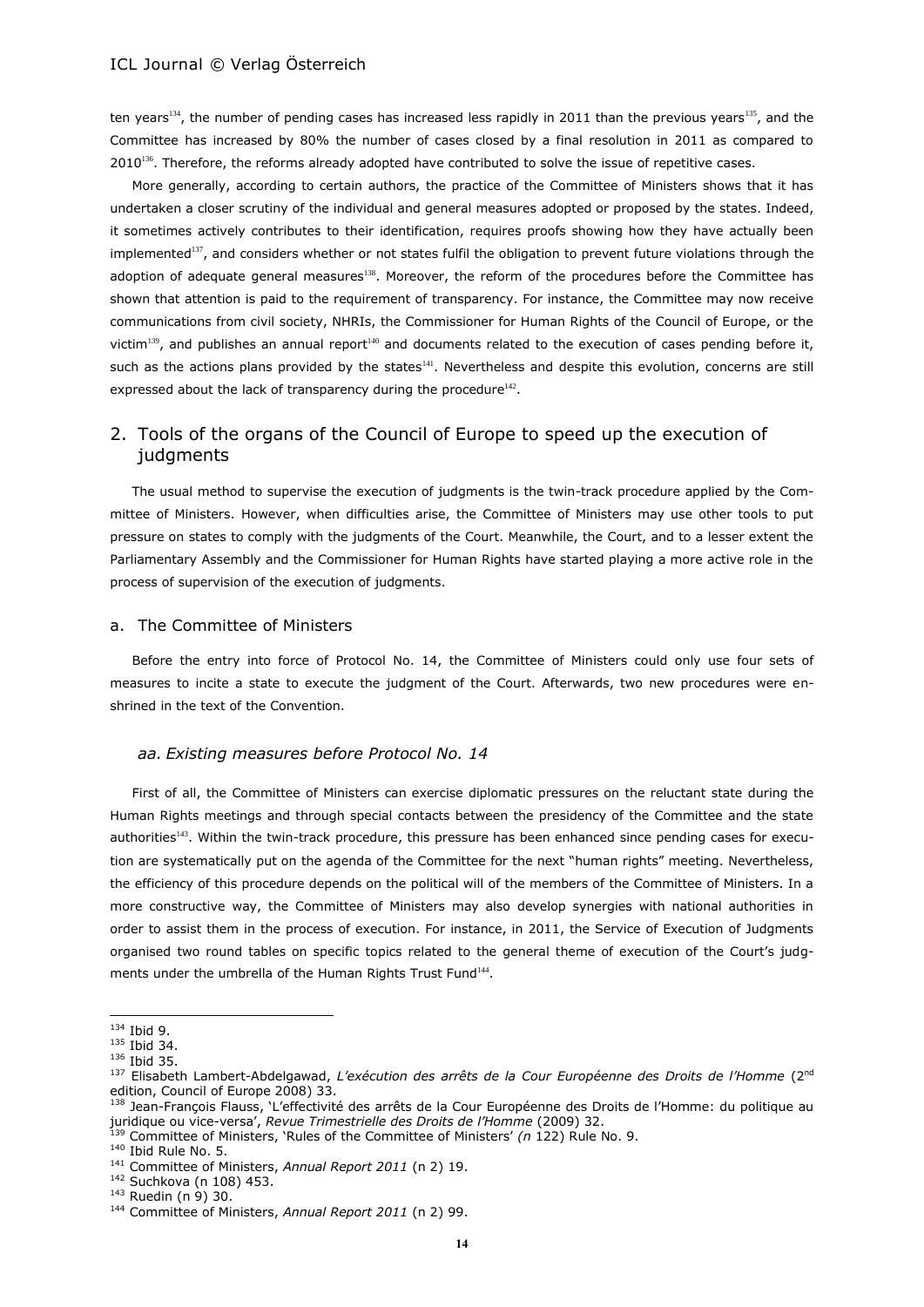ten years<sup>134</sup>, the number of pending cases has increased less rapidly in 2011 than the previous years<sup>135</sup>, and the Committee has increased by 80% the number of cases closed by a final resolution in 2011 as compared to  $2010^{136}$ . Therefore, the reforms already adopted have contributed to solve the issue of repetitive cases.

<span id="page-13-1"></span><span id="page-13-0"></span>More generally, according to certain authors, the practice of the Committee of Ministers shows that it has undertaken a closer scrutiny of the individual and general measures adopted or proposed by the states. Indeed, it sometimes actively contributes to their identification, requires proofs showing how they have actually been implemented<sup>137</sup>, and considers whether or not states fulfil the obligation to prevent future violations through the adoption of adequate general measures<sup>138</sup>. Moreover, the reform of the procedures before the Committee has shown that attention is paid to the requirement of transparency. For instance, the Committee may now receive communications from civil society, NHRIs, the Commissioner for Human Rights of the Council of Europe, or the victim<sup>139</sup>, and publishes an annual report<sup>140</sup> and documents related to the execution of cases pending before it, such as the actions plans provided by the states<sup>141</sup>. Nevertheless and despite this evolution, concerns are still expressed about the lack of transparency during the procedure $^{142}$ .

# 2. Tools of the organs of the Council of Europe to speed up the execution of judgments

The usual method to supervise the execution of judgments is the twin-track procedure applied by the Committee of Ministers. However, when difficulties arise, the Committee of Ministers may use other tools to put pressure on states to comply with the judgments of the Court. Meanwhile, the Court, and to a lesser extent the Parliamentary Assembly and the Commissioner for Human Rights have started playing a more active role in the process of supervision of the execution of judgments.

#### a. The Committee of Ministers

Before the entry into force of Protocol No. 14, the Committee of Ministers could only use four sets of measures to incite a state to execute the judgment of the Court. Afterwards, two new procedures were enshrined in the text of the Convention.

### *aa. Existing measures before Protocol No. 14*

First of all, the Committee of Ministers can exercise diplomatic pressures on the reluctant state during the Human Rights meetings and through special contacts between the presidency of the Committee and the state authorities<sup>143</sup>. Within the twin-track procedure, this pressure has been enhanced since pending cases for execution are systematically put on the agenda of the Committee for the next "human rights" meeting. Nevertheless, the efficiency of this procedure depends on the political will of the members of the Committee of Ministers. In a more constructive way, the Committee of Ministers may also develop synergies with national authorities in order to assist them in the process of execution. For instance, in 2011, the Service of Execution of Judgments organised two round tables on specific topics related to the general theme of execution of the Court's judgments under the umbrella of the Human Rights Trust Fund<sup>144</sup>.

 $134$  Ibid 9.

 $135$  Ibid 34.

<sup>136</sup> Ibid 35.

<sup>137</sup> Elisabeth Lambert-Abdelgawad, L'exécution des arrêts de la Cour Européenne des Droits de l'Homme (2<sup>nd</sup> edition, Council of Europe 2008) 33.

<sup>&</sup>lt;sup>138</sup> Jean-François Flauss, 'L'effectivité des arrêts de la Cour Européenne des Droits de l'Homme: du politique au juridique ou vice-versa', *Revue Trimestrielle des Droits de l'Homme* (2009) 32.

<sup>139</sup> Committee of Ministers, 'Rules of the Committee of Ministers' *(n* [122\)](#page-12-0) Rule No. 9.

<sup>140</sup> Ibid Rule No. 5.

<sup>141</sup> Committee of Ministers, *Annual Report 2011* (n [2\)](#page-0-1) 19.

<sup>142</sup> Suchkova (n 108) 453.

 $143$  Ruedin (n 9) 30.

<sup>144</sup> Committee of Ministers, *Annual Report 2011* (n [2\)](#page-0-1) 99.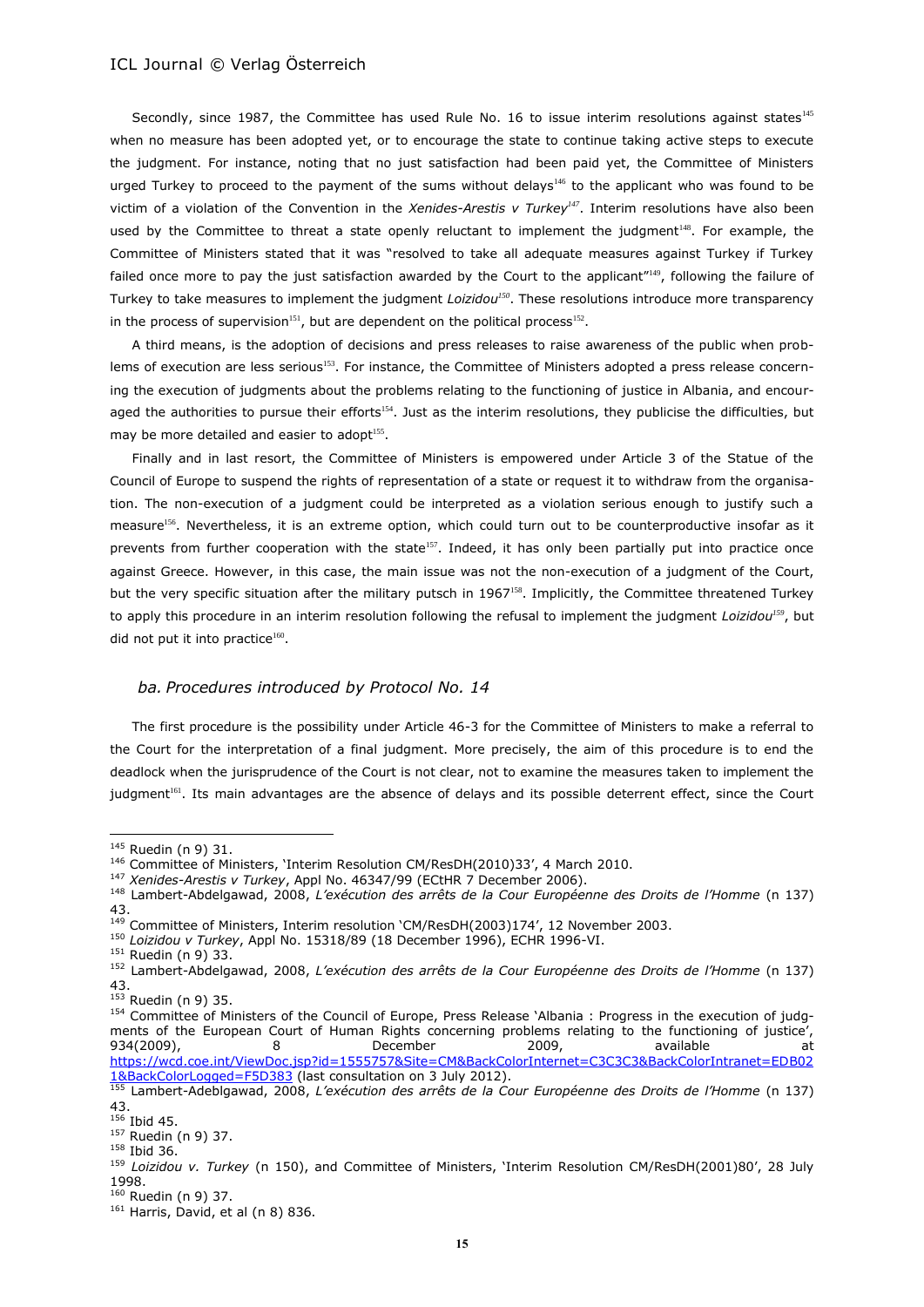Secondly, since 1987, the Committee has used Rule No. 16 to issue interim resolutions against states<sup>145</sup> when no measure has been adopted yet, or to encourage the state to continue taking active steps to execute the judgment. For instance, noting that no just satisfaction had been paid yet, the Committee of Ministers urged Turkey to proceed to the payment of the sums without delays<sup>146</sup> to the applicant who was found to be victim of a violation of the Convention in the *Xenides-Arestis v Turkey<sup>147</sup>*. Interim resolutions have also been used by the Committee to threat a state openly reluctant to implement the judgment<sup>148</sup>. For example, the Committee of Ministers stated that it was "resolved to take all adequate measures against Turkey if Turkey failed once more to pay the just satisfaction awarded by the Court to the applicant"<sup>149</sup>, following the failure of Turkey to take measures to implement the judgment *Loizidou<sup>150</sup>*. These resolutions introduce more transparency in the process of supervision<sup>151</sup>, but are dependent on the political process<sup>152</sup>.

<span id="page-14-0"></span>A third means, is the adoption of decisions and press releases to raise awareness of the public when problems of execution are less serious<sup>153</sup>. For instance, the Committee of Ministers adopted a press release concerning the execution of judgments about the problems relating to the functioning of justice in Albania, and encouraged the authorities to pursue their efforts<sup>154</sup>. Just as the interim resolutions, they publicise the difficulties, but may be more detailed and easier to adopt<sup>155</sup>.

Finally and in last resort, the Committee of Ministers is empowered under Article 3 of the Statue of the Council of Europe to suspend the rights of representation of a state or request it to withdraw from the organisation. The non-execution of a judgment could be interpreted as a violation serious enough to justify such a measure<sup>156</sup>. Nevertheless, it is an extreme option, which could turn out to be counterproductive insofar as it prevents from further cooperation with the state $157$ . Indeed, it has only been partially put into practice once against Greece. However, in this case, the main issue was not the non-execution of a judgment of the Court, but the very specific situation after the military putsch in 1967<sup>158</sup>. Implicitly, the Committee threatened Turkey to apply this procedure in an interim resolution following the refusal to implement the judgment *Loizidou<sup>159</sup>*, but did not put it into practice<sup>160</sup>.

### *ba. Procedures introduced by Protocol No. 14*

The first procedure is the possibility under Article 46-3 for the Committee of Ministers to make a referral to the Court for the interpretation of a final judgment. More precisely, the aim of this procedure is to end the deadlock when the jurisprudence of the Court is not clear, not to examine the measures taken to implement the judgment<sup>161</sup>. Its main advantages are the absence of delays and its possible deterrent effect, since the Court

 $\overline{a}$ 

<sup>158</sup> Ibid 36.

<sup>&</sup>lt;sup>145</sup> Ruedin (n 9) 31.

<sup>&</sup>lt;sup>146</sup> Committee of Ministers, 'Interim Resolution CM/ResDH(2010)33', 4 March 2010.

<sup>147</sup> *Xenides-Arestis v Turkey*, Appl No. 46347/99 (ECtHR 7 December 2006).

<sup>148</sup> Lambert-Abdelgawad, 2008, *L'exécution des arrêts de la Cour Européenne des Droits de l'Homme* (n [137\)](#page-13-0) 43.

<sup>&</sup>lt;sup>149</sup> Committee of Ministers, Interim resolution 'CM/ResDH(2003)174', 12 November 2003.

<sup>150</sup> *Loizidou v Turkey*, Appl No. 15318/89 (18 December 1996), ECHR 1996-VI.

<sup>151</sup> Ruedin (n 9) 33.

<sup>152</sup> Lambert-Abdelgawad, 2008, *L'exécution des arrêts de la Cour Européenne des Droits de l'Homme* (n [137\)](#page-13-0) 43.

 $153$  Ruedin (n 9) 35.

<sup>154</sup> Committee of Ministers of the Council of Europe, Press Release `Albania : Progress in the execution of judgments of the European Court of Human Rights concerning problems relating to the functioning of justice', 934(2009), 8 December 2009, available at [https://wcd.coe.int/ViewDoc.jsp?id=1555757&Site=CM&BackColorInternet=C3C3C3&BackColorIntranet=EDB02](https://wcd.coe.int/ViewDoc.jsp?id=1555757&Site=CM&BackColorInternet=C3C3C3&BackColorIntranet=EDB021&BackColorLogged=F5D383) [1&BackColorLogged=F5D383](https://wcd.coe.int/ViewDoc.jsp?id=1555757&Site=CM&BackColorInternet=C3C3C3&BackColorIntranet=EDB021&BackColorLogged=F5D383) (last consultation on 3 July 2012).

<sup>155</sup> Lambert-Adeblgawad, 2008, *L'exécution des arrêts de la Cour Européenne des Droits de l'Homme* (n [137\)](#page-13-0) 43.

 $156$  Ibid 45.

<sup>157</sup> Ruedin (n 9) 37.

<sup>159</sup> *Loizidou v. Turkey* (n [150\)](#page-14-0), and Committee of Ministers, 'Interim Resolution CM/ResDH(2001)80', 28 July 1998.

 $160$  Ruedin (n 9) 37.

 $161$  Harris, David, et al ([n 8\)](#page-2-0) 836.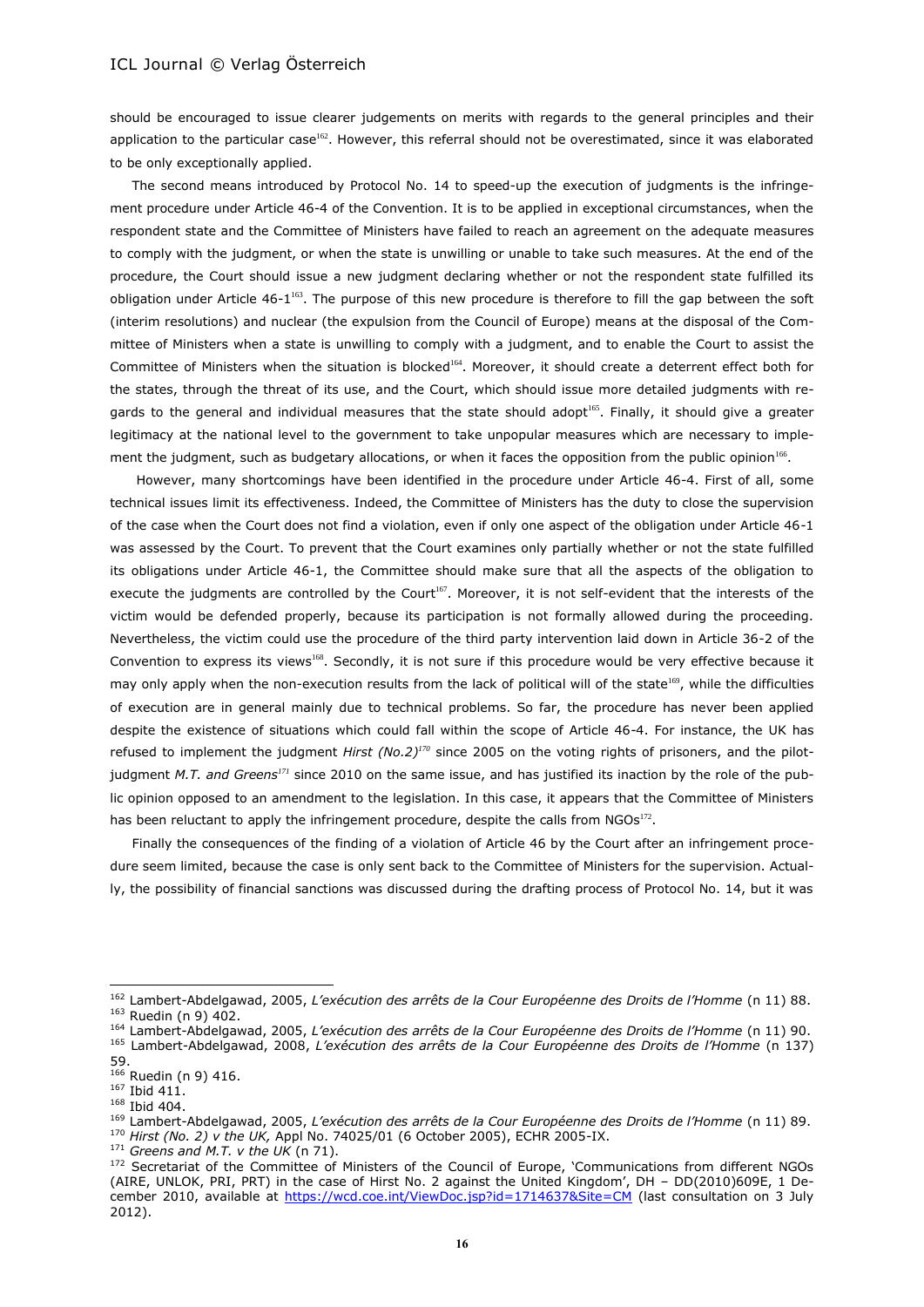should be encouraged to issue clearer judgements on merits with regards to the general principles and their application to the particular case<sup>162</sup>. However, this referral should not be overestimated, since it was elaborated to be only exceptionally applied.

The second means introduced by Protocol No. 14 to speed-up the execution of judgments is the infringement procedure under Article 46-4 of the Convention. It is to be applied in exceptional circumstances, when the respondent state and the Committee of Ministers have failed to reach an agreement on the adequate measures to comply with the judgment, or when the state is unwilling or unable to take such measures. At the end of the procedure, the Court should issue a new judgment declaring whether or not the respondent state fulfilled its obligation under Article 46-1<sup>163</sup>. The purpose of this new procedure is therefore to fill the gap between the soft (interim resolutions) and nuclear (the expulsion from the Council of Europe) means at the disposal of the Committee of Ministers when a state is unwilling to comply with a judgment, and to enable the Court to assist the Committee of Ministers when the situation is blocked<sup>164</sup>. Moreover, it should create a deterrent effect both for the states, through the threat of its use, and the Court, which should issue more detailed judgments with regards to the general and individual measures that the state should adopt<sup>165</sup>. Finally, it should give a greater legitimacy at the national level to the government to take unpopular measures which are necessary to implement the judgment, such as budgetary allocations, or when it faces the opposition from the public opinion<sup>166</sup>.

However, many shortcomings have been identified in the procedure under Article 46-4. First of all, some technical issues limit its effectiveness. Indeed, the Committee of Ministers has the duty to close the supervision of the case when the Court does not find a violation, even if only one aspect of the obligation under Article 46-1 was assessed by the Court. To prevent that the Court examines only partially whether or not the state fulfilled its obligations under Article 46-1, the Committee should make sure that all the aspects of the obligation to execute the judgments are controlled by the Court<sup>167</sup>. Moreover, it is not self-evident that the interests of the victim would be defended properly, because its participation is not formally allowed during the proceeding. Nevertheless, the victim could use the procedure of the third party intervention laid down in Article 36-2 of the Convention to express its views<sup>168</sup>. Secondly, it is not sure if this procedure would be very effective because it may only apply when the non-execution results from the lack of political will of the state<sup>169</sup>, while the difficulties of execution are in general mainly due to technical problems. So far, the procedure has never been applied despite the existence of situations which could fall within the scope of Article 46-4. For instance, the UK has refused to implement the judgment *Hirst (No.2)<sup>170</sup>* since 2005 on the voting rights of prisoners, and the pilotjudgment *M.T. and Greens<sup>171</sup>* since 2010 on the same issue, and has justified its inaction by the role of the public opinion opposed to an amendment to the legislation. In this case, it appears that the Committee of Ministers has been reluctant to apply the infringement procedure, despite the calls from NGOs<sup>172</sup>.

<span id="page-15-0"></span>Finally the consequences of the finding of a violation of Article 46 by the Court after an infringement procedure seem limited, because the case is only sent back to the Committee of Ministers for the supervision. Actually, the possibility of financial sanctions was discussed during the drafting process of Protocol No. 14, but it was

<sup>162</sup> Lambert-Abdelgawad, 2005, *L'exécution des arrêts de la Cour Européenne des Droits de l'Homme* (n 11) 88. <sup>163</sup> Ruedin (n 9) 402.

<sup>164</sup> Lambert-Abdelgawad, 2005, *L'exécution des arrêts de la Cour Européenne des Droits de l'Homme* (n 11) 90. <sup>165</sup> Lambert-Abdelgawad, 2008, *L'exécution des arrêts de la Cour Européenne des Droits de l'Homme* (n [137\)](#page-13-0) 59.

<sup>&</sup>lt;sup>166</sup> Ruedin (n 9) 416.

 $167$  Ibid 411.  $167$  Ibid 411.<br> $168$  Ibid 404.

<sup>169</sup> Lambert-Abdelgawad, 2005, *L'exécution des arrêts de la Cour Européenne des Droits de l'Homme* (n 11) 89. <sup>170</sup> *Hirst (No. 2) v the UK,* Appl No. 74025/01 (6 October 2005), ECHR 2005-IX.

<sup>171</sup> *Greens and M.T. v the UK* (n 71).

<sup>&</sup>lt;sup>172</sup> Secretariat of the Committee of Ministers of the Council of Europe, 'Communications from different NGOs (AIRE, UNLOK, PRI, PRT) in the case of Hirst No. 2 against the United Kingdom', DH – DD(2010)609E, 1 December 2010, available at<https://wcd.coe.int/ViewDoc.jsp?id=1714637&Site=CM> (last consultation on 3 July 2012).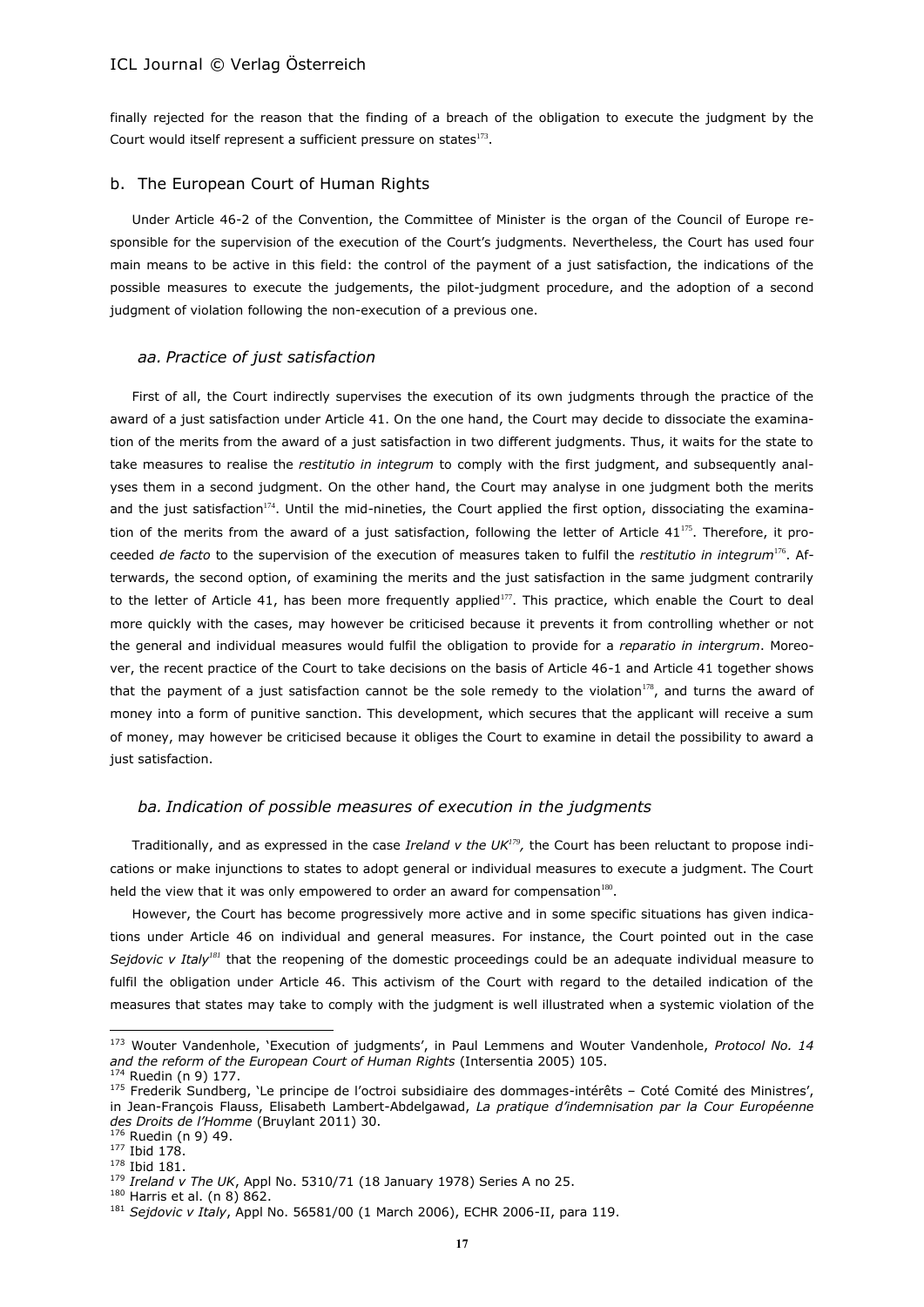<span id="page-16-0"></span>finally rejected for the reason that the finding of a breach of the obligation to execute the judgment by the Court would itself represent a sufficient pressure on states $173$ .

#### b. The European Court of Human Rights

Under Article 46-2 of the Convention, the Committee of Minister is the organ of the Council of Europe responsible for the supervision of the execution of the Court's judgments. Nevertheless, the Court has used four main means to be active in this field: the control of the payment of a just satisfaction, the indications of the possible measures to execute the judgements, the pilot-judgment procedure, and the adoption of a second judgment of violation following the non-execution of a previous one.

#### *aa. Practice of just satisfaction*

First of all, the Court indirectly supervises the execution of its own judgments through the practice of the award of a just satisfaction under Article 41. On the one hand, the Court may decide to dissociate the examination of the merits from the award of a just satisfaction in two different judgments. Thus, it waits for the state to take measures to realise the *restitutio in integrum* to comply with the first judgment, and subsequently analyses them in a second judgment. On the other hand, the Court may analyse in one judgment both the merits and the just satisfaction<sup>174</sup>. Until the mid-nineties, the Court applied the first option, dissociating the examination of the merits from the award of a just satisfaction, following the letter of Article  $41^{175}$ . Therefore, it proceeded *de facto* to the supervision of the execution of measures taken to fulfil the *restitutio in integrum*<sup>176</sup>. Afterwards, the second option, of examining the merits and the just satisfaction in the same judgment contrarily to the letter of Article 41, has been more frequently applied<sup>177</sup>. This practice, which enable the Court to deal more quickly with the cases, may however be criticised because it prevents it from controlling whether or not the general and individual measures would fulfil the obligation to provide for a *reparatio in intergrum*. Moreover, the recent practice of the Court to take decisions on the basis of Article 46-1 and Article 41 together shows that the payment of a just satisfaction cannot be the sole remedy to the violation $178$ , and turns the award of money into a form of punitive sanction. This development, which secures that the applicant will receive a sum of money, may however be criticised because it obliges the Court to examine in detail the possibility to award a just satisfaction.

# *ba. Indication of possible measures of execution in the judgments*

Traditionally, and as expressed in the case *Ireland v the UK<sup>179</sup> ,* the Court has been reluctant to propose indications or make injunctions to states to adopt general or individual measures to execute a judgment. The Court held the view that it was only empowered to order an award for compensation $^{180}$ .

However, the Court has become progressively more active and in some specific situations has given indications under Article 46 on individual and general measures. For instance, the Court pointed out in the case *Sejdovic v Italy<sup>181</sup>* that the reopening of the domestic proceedings could be an adequate individual measure to fulfil the obligation under Article 46. This activism of the Court with regard to the detailed indication of the measures that states may take to comply with the judgment is well illustrated when a systemic violation of the

<sup>173</sup> Wouter Vandenhole, 'Execution of judgments', in Paul Lemmens and Wouter Vandenhole, *Protocol No. 14 and the reform of the European Court of Human Rights* (Intersentia 2005) 105.

<sup>174</sup> Ruedin (n 9) 177.

<sup>&</sup>lt;sup>175</sup> Frederik Sundberg, 'Le principe de l'octroi subsidiaire des dommages-intérêts - Coté Comité des Ministres', in Jean-François Flauss, Elisabeth Lambert-Abdelgawad, *La pratique d'indemnisation par la Cour Européenne des Droits de l'Homme* (Bruylant 2011) 30.

<sup>176</sup> Ruedin (n 9) 49.

<sup>177</sup> Ibid 178. <sup>178</sup> Ibid 181.

<sup>179</sup> *Ireland v The UK*, Appl No. 5310/71 (18 January 1978) Series A no 25.

<sup>180</sup> Harris et al. (n [8\)](#page-2-0) 862.

<sup>181</sup> *Sejdovic v Italy*, Appl No. 56581/00 (1 March 2006), ECHR 2006-II, para 119.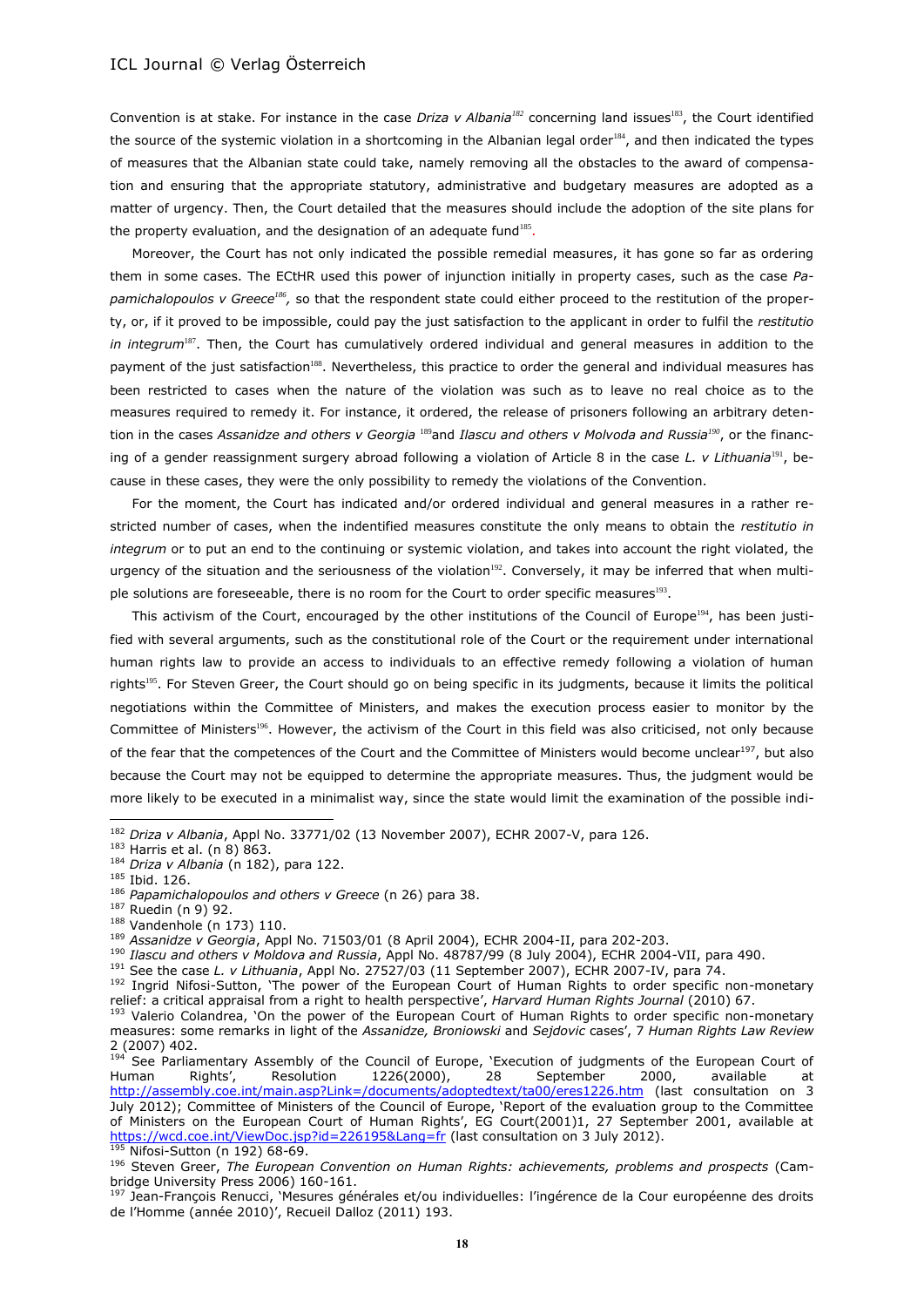<span id="page-17-0"></span>Convention is at stake. For instance in the case *Driza v Albania<sup>182</sup>* concerning land issues<sup>183</sup>, the Court identified the source of the systemic violation in a shortcoming in the Albanian legal order<sup>184</sup>, and then indicated the types of measures that the Albanian state could take, namely removing all the obstacles to the award of compensation and ensuring that the appropriate statutory, administrative and budgetary measures are adopted as a matter of urgency. Then, the Court detailed that the measures should include the adoption of the site plans for the property evaluation, and the designation of an adequate fund<sup>185</sup>.

Moreover, the Court has not only indicated the possible remedial measures, it has gone so far as ordering them in some cases. The ECtHR used this power of injunction initially in property cases, such as the case *Pa*pamichalopoulos v Greece<sup>186</sup>, so that the respondent state could either proceed to the restitution of the property, or, if it proved to be impossible, could pay the just satisfaction to the applicant in order to fulfil the *restitutio in integrum*<sup>187</sup>. Then, the Court has cumulatively ordered individual and general measures in addition to the payment of the just satisfaction<sup>188</sup>. Nevertheless, this practice to order the general and individual measures has been restricted to cases when the nature of the violation was such as to leave no real choice as to the measures required to remedy it. For instance, it ordered, the release of prisoners following an arbitrary detention in the cases *Assanidze and others v Georgia* <sup>189</sup>and *Ilascu and others v Molvoda and Russia<sup>190</sup>,* or the financing of a gender reassignment surgery abroad following a violation of Article 8 in the case *L. v Lithuania*<sup>191</sup>, because in these cases, they were the only possibility to remedy the violations of the Convention.

For the moment, the Court has indicated and/or ordered individual and general measures in a rather restricted number of cases, when the indentified measures constitute the only means to obtain the *restitutio in integrum* or to put an end to the continuing or systemic violation, and takes into account the right violated, the urgency of the situation and the seriousness of the violation $192$ . Conversely, it may be inferred that when multiple solutions are foreseeable, there is no room for the Court to order specific measures $^{193}$ .

<span id="page-17-2"></span><span id="page-17-1"></span>This activism of the Court, encouraged by the other institutions of the Council of Europe<sup>194</sup>, has been justified with several arguments, such as the constitutional role of the Court or the requirement under international human rights law to provide an access to individuals to an effective remedy following a violation of human rights<sup>195</sup>. For Steven Greer, the Court should go on being specific in its judgments, because it limits the political negotiations within the Committee of Ministers, and makes the execution process easier to monitor by the Committee of Ministers<sup>196</sup>. However, the activism of the Court in this field was also criticised, not only because of the fear that the competences of the Court and the Committee of Ministers would become unclear<sup>197</sup>, but also because the Court may not be equipped to determine the appropriate measures. Thus, the judgment would be more likely to be executed in a minimalist way, since the state would limit the examination of the possible indi-

<sup>182</sup> *Driza v Albania*, Appl No. 33771/02 (13 November 2007), ECHR 2007-V, para 126.

<sup>183</sup> Harris et al. (n [8\)](#page-2-0) 863.

<sup>184</sup> *Driza v Albania* (n [182\)](#page-17-0), para 122.

<sup>185</sup> Ibid. 126.

<sup>186</sup> *Papamichalopoulos and others v Greece* (n 26) para 38.

<sup>187</sup> Ruedin (n 9) 92.

<sup>188</sup> Vandenhole ([n 173\)](#page-16-0) 110.

<sup>189</sup> *Assanidze v Georgia*, Appl No. 71503/01 (8 April 2004), ECHR 2004-II, para 202-203.

<sup>190</sup> *Ilascu and others v Moldova and Russia*, Appl No. 48787/99 (8 July 2004), ECHR 2004-VII, para 490.

<sup>191</sup> See the case *L. v Lithuania*, Appl No. 27527/03 (11 September 2007), ECHR 2007-IV, para 74.

<sup>&</sup>lt;sup>192</sup> Ingrid Nifosi-Sutton, 'The power of the European Court of Human Rights to order specific non-monetary relief: a critical appraisal from a right to health perspective', *Harvard Human Rights Journal* (2010) 67.

<sup>&</sup>lt;sup>193</sup> Valerio Colandrea, 'On the power of the European Court of Human Rights to order specific non-monetary measures: some remarks in light of the *Assanidze, Broniowski* and *Sejdovic* cases', 7 *Human Rights Law Review* 2 (2007) 402.

<sup>&</sup>lt;sup>194</sup> See Parliamentary Assembly of the Council of Europe, 'Execution of judgments of the European Court of Human Rights', Resolution 1226(2000), 28 September 2000, available at <http://assembly.coe.int/main.asp?Link=/documents/adoptedtext/ta00/eres1226.htm> (last consultation on 3 July 2012); Committee of Ministers of the Council of Europe, 'Report of the evaluation group to the Committee of Ministers on the European Court of Human Rights', EG Court(2001)1, 27 September 2001, available at <https://wcd.coe.int/ViewDoc.jsp?id=226195&Lang=fr> (last consultation on 3 July 2012). <sup>195</sup> Nifosi-Sutton (n [192\)](#page-17-1) 68-69.

<sup>196</sup> Steven Greer, *The European Convention on Human Rights: achievements, problems and prospects* (Cambridge University Press 2006) 160-161.

<sup>197</sup> Jean-François Renucci, 'Mesures générales et/ou individuelles: l'ingérence de la Cour européenne des droits de l'Homme (année 2010)', Recueil Dalloz (2011) 193.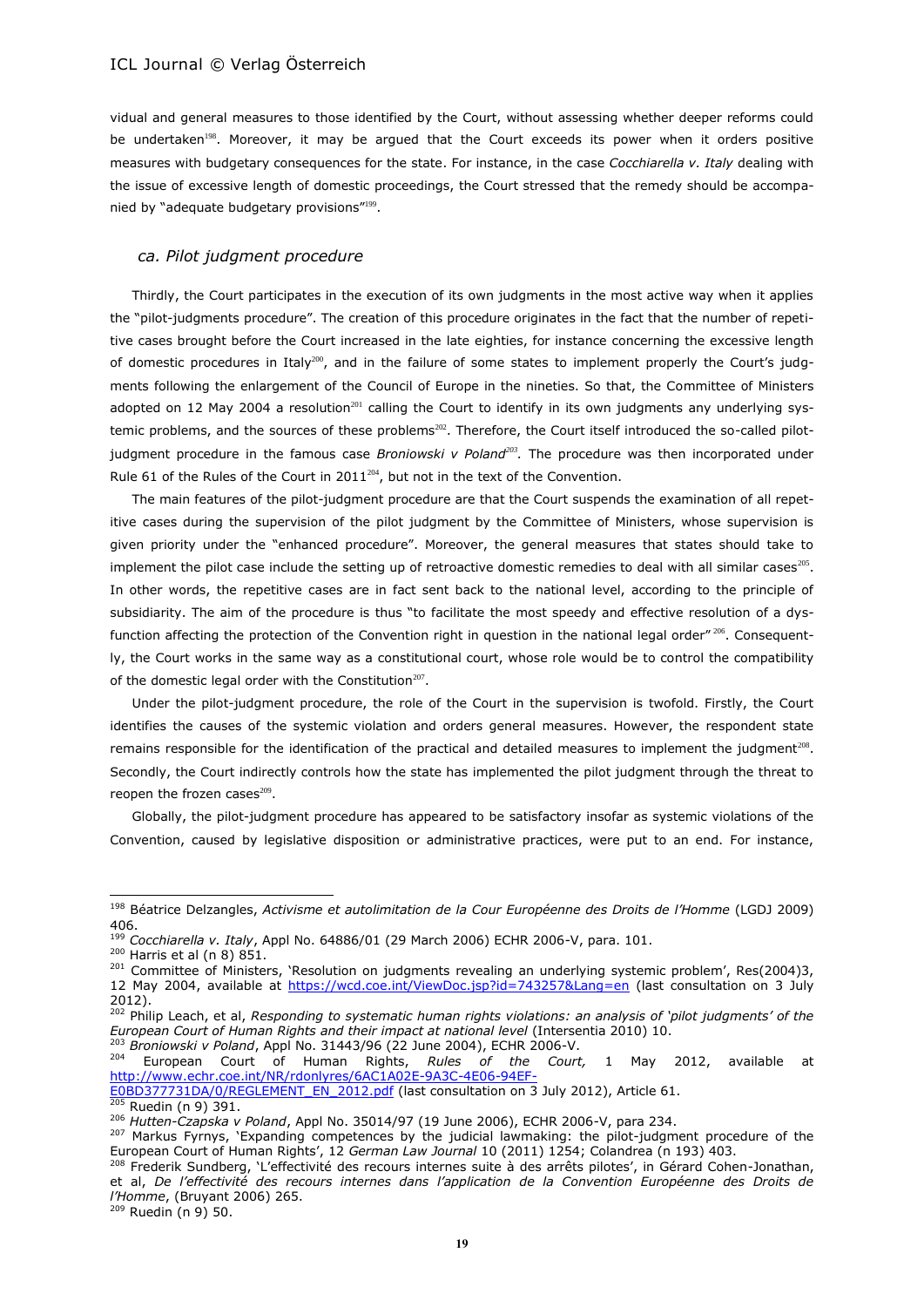vidual and general measures to those identified by the Court, without assessing whether deeper reforms could be undertaken<sup>198</sup>. Moreover, it may be argued that the Court exceeds its power when it orders positive measures with budgetary consequences for the state. For instance, in the case *Cocchiarella v. Italy* dealing with the issue of excessive length of domestic proceedings, the Court stressed that the remedy should be accompanied by "adequate budgetary provisions"<sup>199</sup>.

#### *ca. Pilot judgment procedure*

Thirdly, the Court participates in the execution of its own judgments in the most active way when it applies the "pilot-judgments procedure". The creation of this procedure originates in the fact that the number of repetitive cases brought before the Court increased in the late eighties, for instance concerning the excessive length of domestic procedures in Italy<sup>200</sup>, and in the failure of some states to implement properly the Court's judgments following the enlargement of the Council of Europe in the nineties. So that, the Committee of Ministers adopted on 12 May 2004 a resolution<sup>201</sup> calling the Court to identify in its own judgments any underlying systemic problems, and the sources of these problems<sup>202</sup>. Therefore, the Court itself introduced the so-called pilotjudgment procedure in the famous case *Broniowski v Poland<sup>203</sup>*. The procedure was then incorporated under Rule 61 of the Rules of the Court in 2011 $^{204}$ , but not in the text of the Convention.

<span id="page-18-4"></span><span id="page-18-2"></span><span id="page-18-0"></span>The main features of the pilot-judgment procedure are that the Court suspends the examination of all repetitive cases during the supervision of the pilot judgment by the Committee of Ministers, whose supervision is given priority under the "enhanced procedure". Moreover, the general measures that states should take to implement the pilot case include the setting up of retroactive domestic remedies to deal with all similar cases $^{205}$ . In other words, the repetitive cases are in fact sent back to the national level, according to the principle of subsidiarity. The aim of the procedure is thus "to facilitate the most speedy and effective resolution of a dysfunction affecting the protection of the Convention right in question in the national legal order" 206. Consequently, the Court works in the same way as a constitutional court, whose role would be to control the compatibility of the domestic legal order with the Constitution<sup>207</sup>.

<span id="page-18-3"></span><span id="page-18-1"></span>Under the pilot-judgment procedure, the role of the Court in the supervision is twofold. Firstly, the Court identifies the causes of the systemic violation and orders general measures. However, the respondent state remains responsible for the identification of the practical and detailed measures to implement the judgment<sup>208</sup>. Secondly, the Court indirectly controls how the state has implemented the pilot judgment through the threat to reopen the frozen cases $^{209}$ .

Globally, the pilot-judgment procedure has appeared to be satisfactory insofar as systemic violations of the Convention, caused by legislative disposition or administrative practices, were put to an end. For instance,

 $\overline{a}$ 

<sup>204</sup> European Court of Human Rights, *Rules of the Court,* 1 May 2012, available at [http://www.echr.coe.int/NR/rdonlyres/6AC1A02E-9A3C-4E06-94EF-](http://www.echr.coe.int/NR/rdonlyres/6AC1A02E-9A3C-4E06-94EF-E0BD377731DA/0/REGLEMENT_EN_2012.pdf)

<sup>205</sup> Ruedin (n 9) 391.

<sup>198</sup> Béatrice Delzangles, *Activisme et autolimitation de la Cour Européenne des Droits de l'Homme* (LGDJ 2009) 406.

<sup>199</sup> *Cocchiarella v. Italy*, Appl No. 64886/01 (29 March 2006) ECHR 2006-V, para. 101.

<sup>200</sup> Harris et al (n [8\)](#page-2-0) 851.

<sup>&</sup>lt;sup>201</sup> Committee of Ministers, 'Resolution on judgments revealing an underlying systemic problem', Res(2004)3, 12 May 2004, available at<https://wcd.coe.int/ViewDoc.jsp?id=743257&Lang=en> (last consultation on 3 July 2012).

<sup>202</sup> Philip Leach, et al, *Responding to systematic human rights violations: an analysis of 'pilot judgments' of the European Court of Human Rights and their impact at national level* (Intersentia 2010) 10. <sup>203</sup> *Broniowski v Poland*, Appl No. 31443/96 (22 June 2004), ECHR 2006-V.

[E0BD377731DA/0/REGLEMENT\\_EN\\_2012.pdf](http://www.echr.coe.int/NR/rdonlyres/6AC1A02E-9A3C-4E06-94EF-E0BD377731DA/0/REGLEMENT_EN_2012.pdf) (last consultation on 3 July 2012), Article 61.

<sup>206</sup> *Hutten-Czapska v Poland*, Appl No. 35014/97 (19 June 2006), ECHR 2006-V, para 234.

<sup>&</sup>lt;sup>207</sup> Markus Fyrnys, 'Expanding competences by the judicial lawmaking: the pilot-judgment procedure of the European Court of Human Rights', 12 *German Law Journal* 10 (2011) 1254; Colandrea (n [193\)](#page-17-2) 403.

<sup>&</sup>lt;sup>208</sup> Frederik Sundberg, 'L'effectivité des recours internes suite à des arrêts pilotes', in Gérard Cohen-Jonathan, et al, *De l'effectivité des recours internes dans l'application de la Convention Européenne des Droits de l'Homme*, (Bruyant 2006) 265.  $209$  Ruedin (n 9) 50.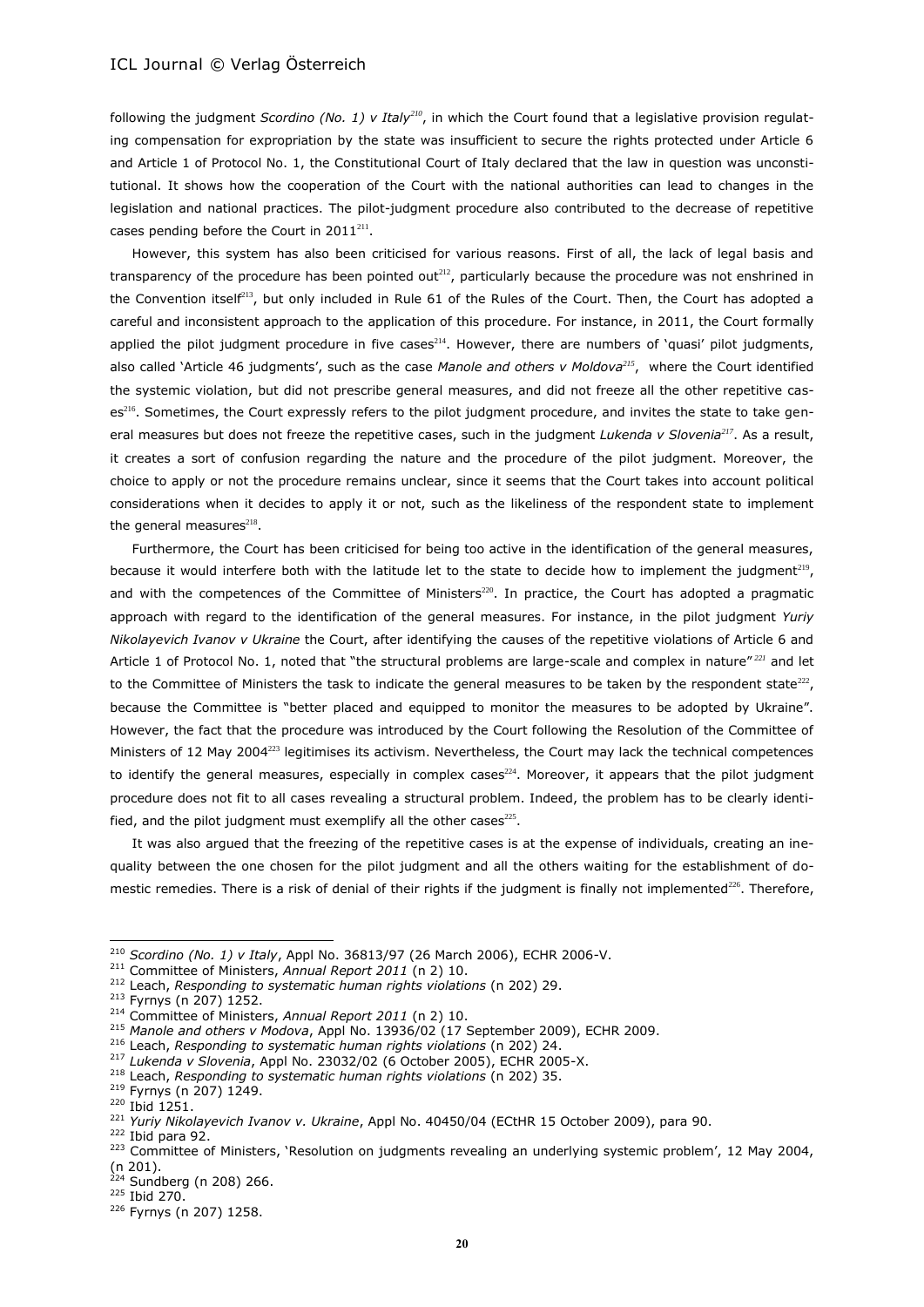<span id="page-19-0"></span>following the judgment *Scordino (No. 1) v Italy<sup>210</sup>*, in which the Court found that a legislative provision regulating compensation for expropriation by the state was insufficient to secure the rights protected under Article 6 and Article 1 of Protocol No. 1, the Constitutional Court of Italy declared that the law in question was unconstitutional. It shows how the cooperation of the Court with the national authorities can lead to changes in the legislation and national practices. The pilot-judgment procedure also contributed to the decrease of repetitive cases pending before the Court in  $2011^{211}$ .

However, this system has also been criticised for various reasons. First of all, the lack of legal basis and transparency of the procedure has been pointed out $^{212}$ , particularly because the procedure was not enshrined in the Convention itself<sup>213</sup>, but only included in Rule 61 of the Rules of the Court. Then, the Court has adopted a careful and inconsistent approach to the application of this procedure. For instance, in 2011, the Court formally applied the pilot judgment procedure in five cases<sup>214</sup>. However, there are numbers of 'quasi' pilot judgments, also called 'Article 46 judgments', such as the case *Manole and others v Moldova<sup>215</sup>*, where the Court identified the systemic violation, but did not prescribe general measures, and did not freeze all the other repetitive cases<sup>216</sup>. Sometimes, the Court expressly refers to the pilot judgment procedure, and invites the state to take general measures but does not freeze the repetitive cases, such in the judgment *Lukenda v Slovenia<sup>217</sup>*. As a result, it creates a sort of confusion regarding the nature and the procedure of the pilot judgment. Moreover, the choice to apply or not the procedure remains unclear, since it seems that the Court takes into account political considerations when it decides to apply it or not, such as the likeliness of the respondent state to implement the general measures $^{218}$ .

Furthermore, the Court has been criticised for being too active in the identification of the general measures, because it would interfere both with the latitude let to the state to decide how to implement the judgment<sup>219</sup>, and with the competences of the Committee of Ministers $^{220}$ . In practice, the Court has adopted a pragmatic approach with regard to the identification of the general measures. For instance, in the pilot judgment *Yuriy Nikolayevich Ivanov v Ukraine* the Court, after identifying the causes of the repetitive violations of Article 6 and Article 1 of Protocol No. 1, noted that "the structural problems are large-scale and complex in nature"<sup>221</sup> and let to the Committee of Ministers the task to indicate the general measures to be taken by the respondent state $^{222}$ , because the Committee is "better placed and equipped to monitor the measures to be adopted by Ukraine". However, the fact that the procedure was introduced by the Court following the Resolution of the Committee of Ministers of 12 May 2004<sup>223</sup> legitimises its activism. Nevertheless, the Court may lack the technical competences to identify the general measures, especially in complex cases $^{224}$ . Moreover, it appears that the pilot judgment procedure does not fit to all cases revealing a structural problem. Indeed, the problem has to be clearly identified, and the pilot judgment must exemplify all the other cases $^{225}$ .

It was also argued that the freezing of the repetitive cases is at the expense of individuals, creating an inequality between the one chosen for the pilot judgment and all the others waiting for the establishment of domestic remedies. There is a risk of denial of their rights if the judgment is finally not implemented<sup>226</sup>. Therefore,

l

<sup>210</sup> *Scordino (No. 1) v Italy*, Appl No. 36813/97 (26 March 2006), ECHR 2006-V.

<sup>211</sup> Committee of Ministers, *Annual Report 2011* (n [2\)](#page-0-1) 10.

<sup>212</sup> Leach, *Responding to systematic human rights violations* (n [202\)](#page-18-0) 29.

<sup>213</sup> Fyrnys (n [207\)](#page-18-1) 1252.

<sup>214</sup> Committee of Ministers, *Annual Report 2011* (n [2\)](#page-0-1) 10.

<sup>215</sup> *Manole and others v Modova*, Appl No. 13936/02 (17 September 2009), ECHR 2009.

<sup>216</sup> Leach, *Responding to systematic human rights violations* (n [202\)](#page-18-0) 24.

<sup>217</sup> *Lukenda v Slovenia*, Appl No. 23032/02 (6 October 2005), ECHR 2005-X.

<sup>218</sup> Leach, *Responding to systematic human rights violations* (n [202\)](#page-18-0) 35.

<sup>219</sup> Fyrnys (n [207\)](#page-18-1) 1249.

<sup>220</sup> Ibid 1251.

<sup>221</sup> *Yuriy Nikolayevich Ivanov v. Ukraine*, Appl No. 40450/04 (ECtHR 15 October 2009), para 90.

 $222$  Ibid para 92.

<sup>&</sup>lt;sup>223</sup> Committee of Ministers, 'Resolution on judgments revealing an underlying systemic problem', 12 May 2004, (n [201\)](#page-18-2).

 $224$  Sundberg (n [208\)](#page-18-3) 266.

<sup>225</sup> Ibid 270.

<sup>226</sup> Fyrnys (n [207\)](#page-18-1) 1258.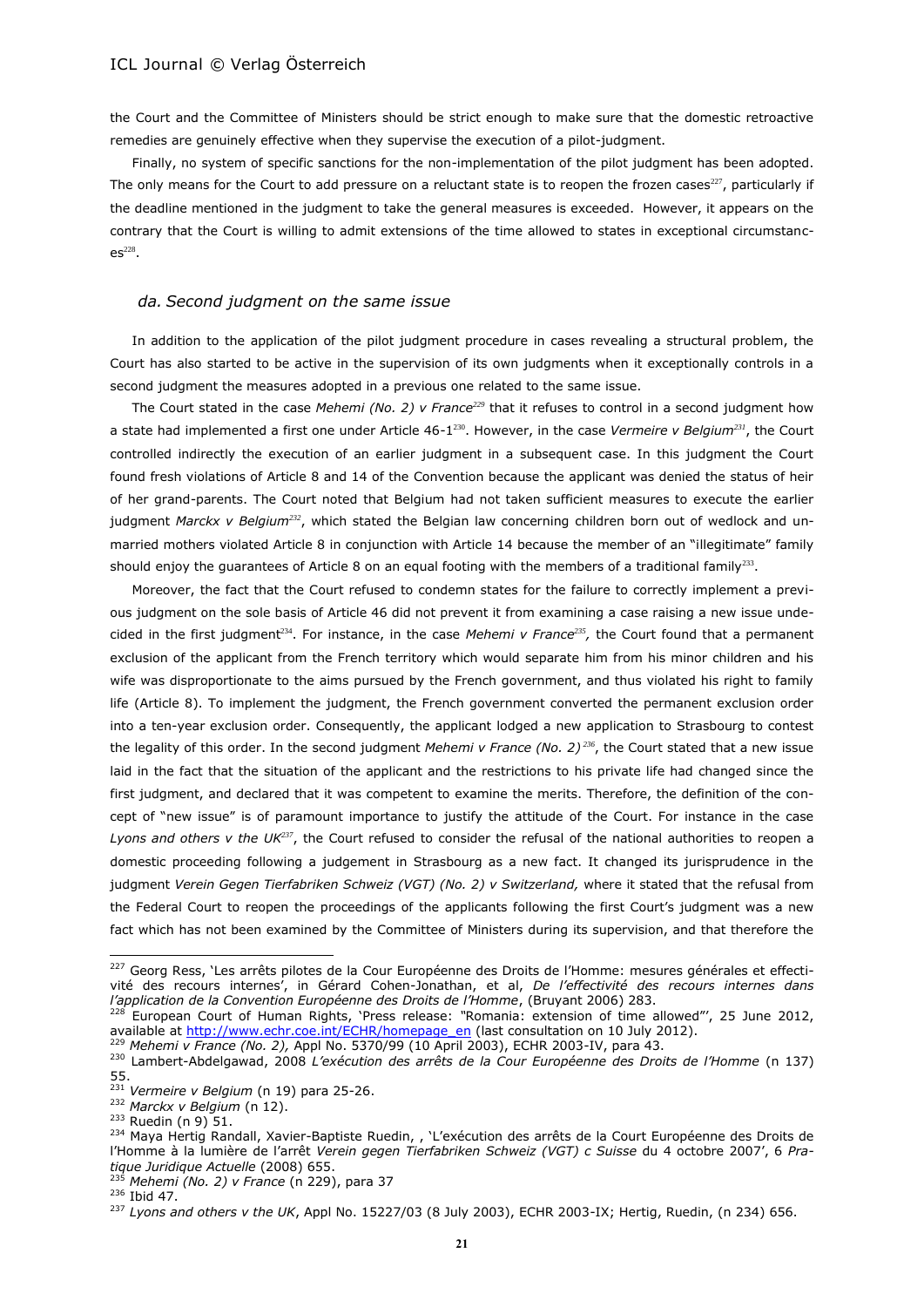the Court and the Committee of Ministers should be strict enough to make sure that the domestic retroactive remedies are genuinely effective when they supervise the execution of a pilot-judgment.

Finally, no system of specific sanctions for the non-implementation of the pilot judgment has been adopted. The only means for the Court to add pressure on a reluctant state is to reopen the frozen cases<sup>227</sup>, particularly if the deadline mentioned in the judgment to take the general measures is exceeded. However, it appears on the contrary that the Court is willing to admit extensions of the time allowed to states in exceptional circumstanc $es^{228}$ .

# <span id="page-20-0"></span>*da. Second judgment on the same issue*

In addition to the application of the pilot judgment procedure in cases revealing a structural problem, the Court has also started to be active in the supervision of its own judgments when it exceptionally controls in a second judgment the measures adopted in a previous one related to the same issue.

The Court stated in the case *Mehemi (No. 2) v France<sup>229</sup>* that it refuses to control in a second judgment how a state had implemented a first one under Article 46-1 <sup>230</sup>. However, in the case *Vermeire v Belgium<sup>231</sup>*, the Court controlled indirectly the execution of an earlier judgment in a subsequent case. In this judgment the Court found fresh violations of Article 8 and 14 of the Convention because the applicant was denied the status of heir of her grand-parents. The Court noted that Belgium had not taken sufficient measures to execute the earlier judgment *Marckx v Belgium<sup>232</sup>*, which stated the Belgian law concerning children born out of wedlock and unmarried mothers violated Article 8 in conjunction with Article 14 because the member of an "illegitimate" family should enjoy the guarantees of Article 8 on an equal footing with the members of a traditional family<sup>233</sup>.

<span id="page-20-1"></span>Moreover, the fact that the Court refused to condemn states for the failure to correctly implement a previous judgment on the sole basis of Article 46 did not prevent it from examining a case raising a new issue undecided in the first judgment<sup>234</sup>. For instance, in the case *Mehemi v France<sup>235</sup>*, the Court found that a permanent exclusion of the applicant from the French territory which would separate him from his minor children and his wife was disproportionate to the aims pursued by the French government, and thus violated his right to family life (Article 8). To implement the judgment, the French government converted the permanent exclusion order into a ten-year exclusion order. Consequently, the applicant lodged a new application to Strasbourg to contest the legality of this order. In the second judgment *Mehemi v France (No. 2) <sup>236</sup>*, the Court stated that a new issue laid in the fact that the situation of the applicant and the restrictions to his private life had changed since the first judgment, and declared that it was competent to examine the merits. Therefore, the definition of the concept of "new issue" is of paramount importance to justify the attitude of the Court. For instance in the case *Lyons and others v the UK<sup>237</sup>*, the Court refused to consider the refusal of the national authorities to reopen a domestic proceeding following a judgement in Strasbourg as a new fact. It changed its jurisprudence in the judgment Verein Gegen Tierfabriken Schweiz (VGT) (No. 2) v Switzerland, where it stated that the refusal from the Federal Court to reopen the proceedings of the applicants following the first Court's judgment was a new fact which has not been examined by the Committee of Ministers during its supervision, and that therefore the

<sup>232</sup> *Marckx v Belgium* (n 12).

<sup>&</sup>lt;sup>227</sup> Georg Ress, 'Les arrêts pilotes de la Cour Européenne des Droits de l'Homme: mesures générales et effectivité des recours internes', in Gérard Cohen-Jonathan, et al, *De l'effectivité des recours internes dans l'application de la Convention Européenne des Droits de l'Homme*, (Bruyant 2006) 283.

<sup>228</sup> European Court of Human Rights, 'Press release: *"*Romania: extension of time allowed"', 25 June 2012, available at [http://www.echr.coe.int/ECHR/homepage\\_en](http://www.echr.coe.int/ECHR/homepage_en) (last consultation on 10 July 2012).

<sup>229</sup> *Mehemi v France (No. 2),* Appl No. 5370/99 (10 April 2003), ECHR 2003-IV, para 43.

<sup>230</sup> Lambert-Abdelgawad, 2008 *L'exécution des arrêts de la Cour Européenne des Droits de l'Homme* (n [137\)](#page-13-0) 55.

<sup>231</sup> *Vermeire v Belgium* (n 19) para 25-26.

<sup>233</sup> Ruedin (n 9) 51.

<sup>&</sup>lt;sup>234</sup> Maya Hertig Randall, Xavier-Baptiste Ruedin, , 'L'exécution des arrêts de la Court Européenne des Droits de l'Homme à la lumière de l'arrêt *Verein gegen Tierfabriken Schweiz (VGT) c Suisse* du 4 octobre 2007', 6 *Pratique Juridique Actuelle* (2008) 655.

<sup>235</sup> *Mehemi (No. 2) v France* (n [229\)](#page-20-0), para 37

<sup>236</sup> Ibid 47.

<sup>237</sup> *Lyons and others v the UK*, Appl No. 15227/03 (8 July 2003), ECHR 2003-IX; Hertig, Ruedin, (n [234\)](#page-20-1) 656.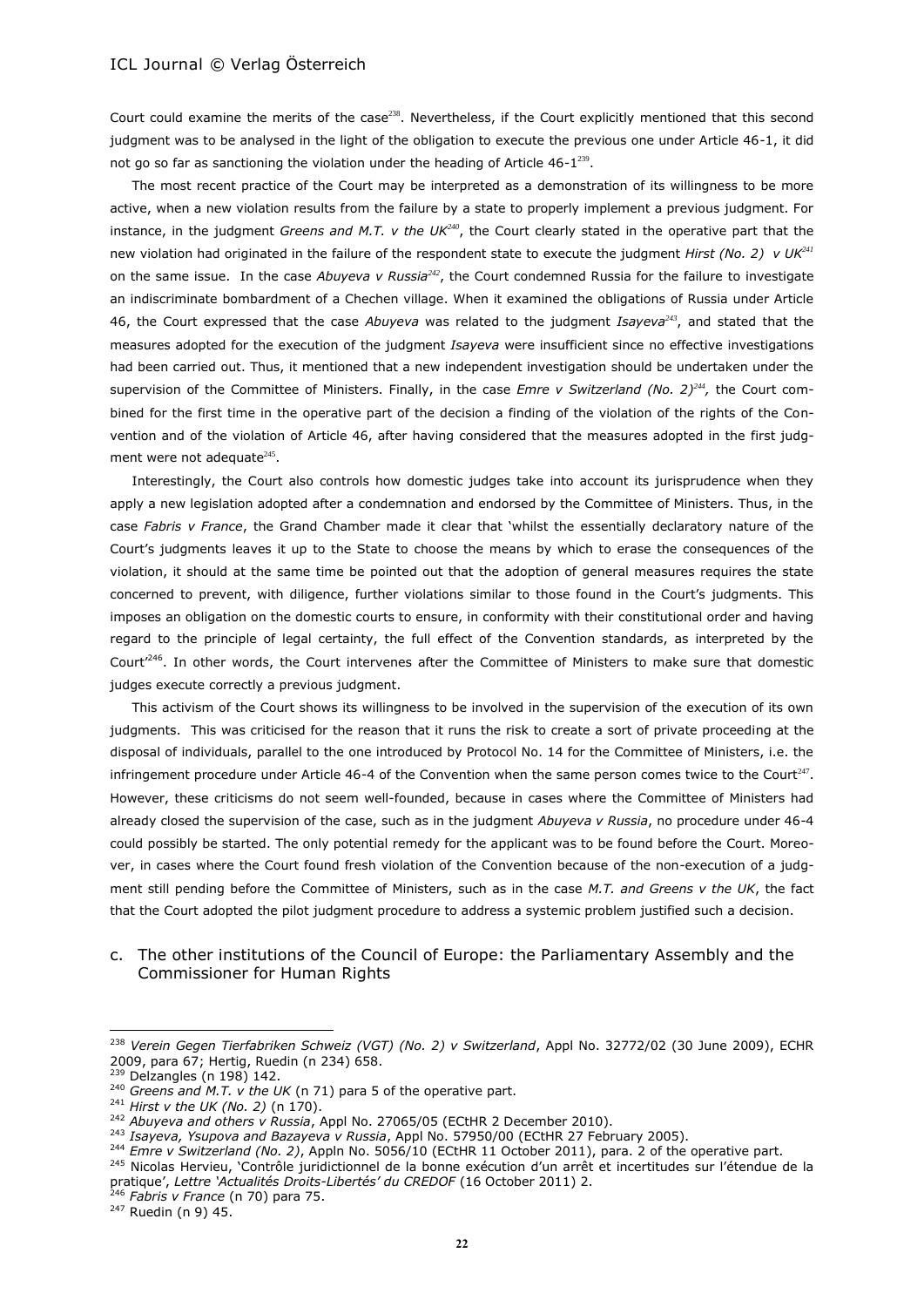Court could examine the merits of the case<sup>238</sup>. Nevertheless, if the Court explicitly mentioned that this second judgment was to be analysed in the light of the obligation to execute the previous one under Article 46-1, it did not go so far as sanctioning the violation under the heading of Article  $46-1^{239}$ .

The most recent practice of the Court may be interpreted as a demonstration of its willingness to be more active, when a new violation results from the failure by a state to properly implement a previous judgment. For instance, in the judgment *Greens and M.T. v the UK<sup>240</sup>*, the Court clearly stated in the operative part that the new violation had originated in the failure of the respondent state to execute the judgment *Hirst (No. 2) v UK<sup>241</sup>* on the same issue. In the case *Abuyeva v Russia<sup>242</sup>*, the Court condemned Russia for the failure to investigate an indiscriminate bombardment of a Chechen village. When it examined the obligations of Russia under Article 46, the Court expressed that the case *Abuyeva* was related to the judgment *Isayeva<sup>243</sup>*, and stated that the measures adopted for the execution of the judgment *Isayeva* were insufficient since no effective investigations had been carried out. Thus, it mentioned that a new independent investigation should be undertaken under the supervision of the Committee of Ministers. Finally, in the case *Emre v Switzerland (No. 2)<sup>244</sup> ,* the Court combined for the first time in the operative part of the decision a finding of the violation of the rights of the Convention and of the violation of Article 46, after having considered that the measures adopted in the first judgment were not adequate $245$ .

Interestingly, the Court also controls how domestic judges take into account its jurisprudence when they apply a new legislation adopted after a condemnation and endorsed by the Committee of Ministers. Thus, in the case *Fabris v France*, the Grand Chamber made it clear that 'whilst the essentially declaratory nature of the Court's judgments leaves it up to the State to choose the means by which to erase the consequences of the violation, it should at the same time be pointed out that the adoption of general measures requires the state concerned to prevent, with diligence, further violations similar to those found in the Court's judgments. This imposes an obligation on the domestic courts to ensure, in conformity with their constitutional order and having regard to the principle of legal certainty, the full effect of the Convention standards, as interpreted by the Court<sup>'246</sup>. In other words, the Court intervenes after the Committee of Ministers to make sure that domestic judges execute correctly a previous judgment.

This activism of the Court shows its willingness to be involved in the supervision of the execution of its own judgments. This was criticised for the reason that it runs the risk to create a sort of private proceeding at the disposal of individuals, parallel to the one introduced by Protocol No. 14 for the Committee of Ministers, i.e. the infringement procedure under Article 46-4 of the Convention when the same person comes twice to the Court<sup>247</sup>. However, these criticisms do not seem well-founded, because in cases where the Committee of Ministers had already closed the supervision of the case, such as in the judgment *Abuyeva v Russia*, no procedure under 46-4 could possibly be started. The only potential remedy for the applicant was to be found before the Court. Moreover, in cases where the Court found fresh violation of the Convention because of the non-execution of a judgment still pending before the Committee of Ministers, such as in the case *M.T. and Greens v the UK*, the fact that the Court adopted the pilot judgment procedure to address a systemic problem justified such a decision.

# c. The other institutions of the Council of Europe: the Parliamentary Assembly and the Commissioner for Human Rights

<sup>&</sup>lt;sup>238</sup> Verein Gegen Tierfabriken Schweiz (VGT) (No. 2) v Switzerland, Appl No. 32772/02 (30 June 2009), ECHR 2009, para 67; Hertig, Ruedin (n [234\)](#page-20-1) 658.

<sup>&</sup>lt;sup>239</sup> Delzangles (n 198) 142.

<sup>&</sup>lt;sup>240</sup> Greens and M.T. v the UK (n 71) para 5 of the operative part.

<sup>241</sup> *Hirst v the UK (No. 2)* (n [170\)](#page-15-0).

<sup>&</sup>lt;sup>242</sup> Abuyeva and others v Russia, Appl No. 27065/05 (ECtHR 2 December 2010).

<sup>243</sup> *Isayeva, Ysupova and Bazayeva v Russia*, Appl No. 57950/00 (ECtHR 27 February 2005).

<sup>244</sup> *Emre v Switzerland (No. 2)*, Appln No. 5056/10 (ECtHR 11 October 2011), para. 2 of the operative part.

<sup>&</sup>lt;sup>245</sup> Nicolas Hervieu, 'Contrôle juridictionnel de la bonne exécution d'un arrêt et incertitudes sur l'étendue de la pratique', *Lettre 'Actualités Droits-Libertés' du CREDOF* (16 October 2011) 2.

<sup>246</sup> *Fabris v France* (n 70) para 75.

 $247$  Ruedin (n 9) 45.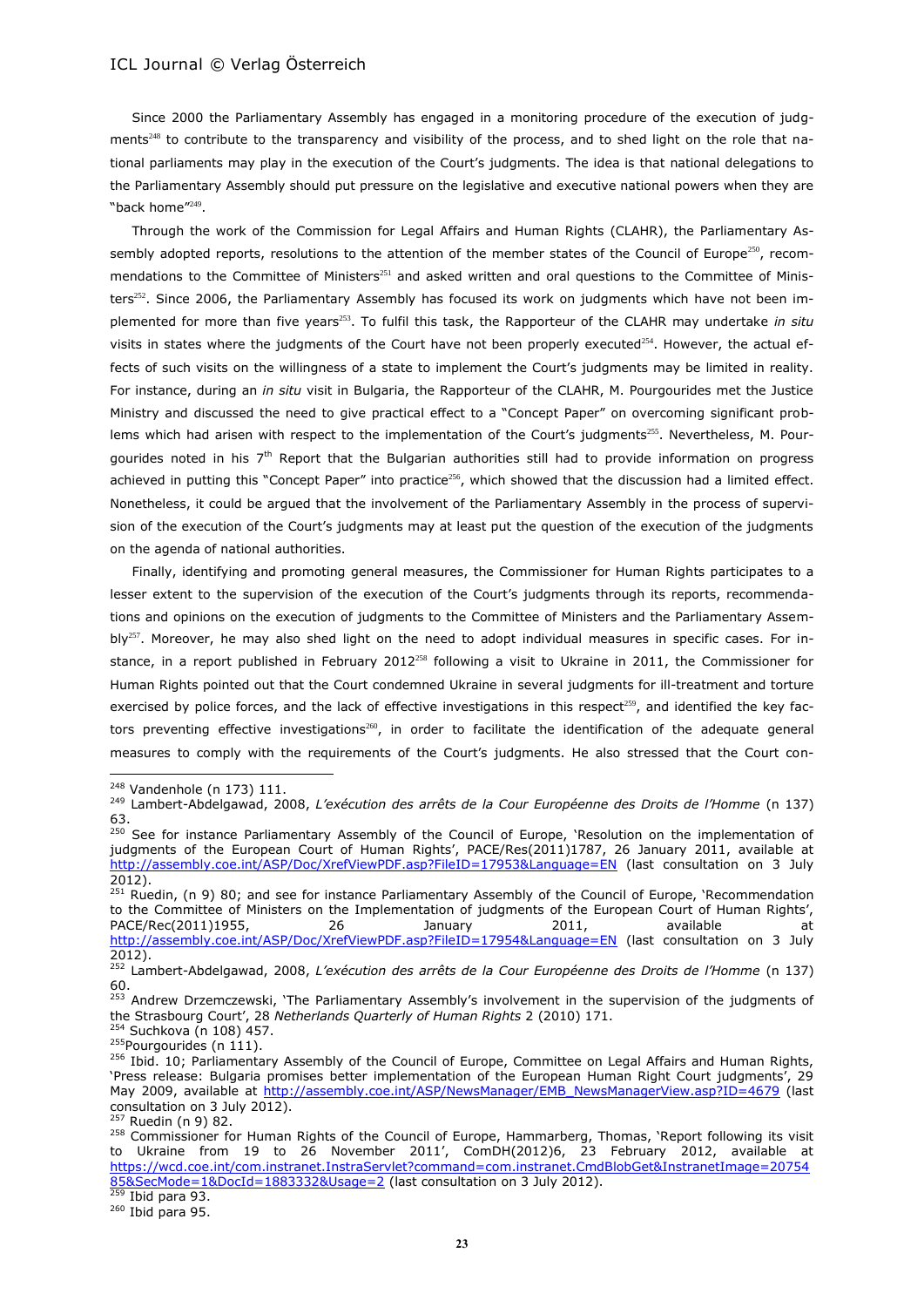Since 2000 the Parliamentary Assembly has engaged in a monitoring procedure of the execution of judgments<sup>248</sup> to contribute to the transparency and visibility of the process, and to shed light on the role that national parliaments may play in the execution of the Court's judgments. The idea is that national delegations to the Parliamentary Assembly should put pressure on the legislative and executive national powers when they are "back home"<sup>249</sup> .

<span id="page-22-1"></span>Through the work of the Commission for Legal Affairs and Human Rights (CLAHR), the Parliamentary Assembly adopted reports, resolutions to the attention of the member states of the Council of Europe<sup>250</sup>, recommendations to the Committee of Ministers<sup>251</sup> and asked written and oral questions to the Committee of Ministers<sup>252</sup>. Since 2006, the Parliamentary Assembly has focused its work on judgments which have not been implemented for more than five years<sup>253</sup>. To fulfil this task, the Rapporteur of the CLAHR may undertake *in situ* visits in states where the judgments of the Court have not been properly executed<sup>254</sup>. However, the actual effects of such visits on the willingness of a state to implement the Court's judgments may be limited in reality. For instance, during an *in situ* visit in Bulgaria, the Rapporteur of the CLAHR, M. Pourgourides met the Justice Ministry and discussed the need to give practical effect to a "Concept Paper" on overcoming significant problems which had arisen with respect to the implementation of the Court's judgments<sup>255</sup>. Nevertheless, M. Pourgourides noted in his  $7<sup>th</sup>$  Report that the Bulgarian authorities still had to provide information on progress achieved in putting this "Concept Paper" into practice<sup>256</sup>, which showed that the discussion had a limited effect. Nonetheless, it could be argued that the involvement of the Parliamentary Assembly in the process of supervision of the execution of the Court's judgments may at least put the question of the execution of the judgments on the agenda of national authorities.

<span id="page-22-0"></span>Finally, identifying and promoting general measures, the Commissioner for Human Rights participates to a lesser extent to the supervision of the execution of the Court's judgments through its reports, recommendations and opinions on the execution of judgments to the Committee of Ministers and the Parliamentary Assem $bIy^{257}$ . Moreover, he may also shed light on the need to adopt individual measures in specific cases. For instance, in a report published in February 2012<sup>258</sup> following a visit to Ukraine in 2011, the Commissioner for Human Rights pointed out that the Court condemned Ukraine in several judgments for ill-treatment and torture exercised by police forces, and the lack of effective investigations in this respect<sup>259</sup>, and identified the key factors preventing effective investigations<sup>260</sup>, in order to facilitate the identification of the adequate general measures to comply with the requirements of the Court's judgments. He also stressed that the Court con-

 $\overline{a}$ 

<sup>254</sup> Suchkova (n [108\)](#page-10-0) 457. <sup>255</sup>Pourgourides (n [111\)](#page-10-1).

 $260$  Ibid para 95.

<sup>248</sup> Vandenhole ([n 173\)](#page-16-0) 111.

<sup>249</sup> Lambert-Abdelgawad, 2008, *L'exécution des arrêts de la Cour Européenne des Droits de l'Homme* (n [137\)](#page-13-0) 63.

<sup>&</sup>lt;sup>250</sup> See for instance Parliamentary Assembly of the Council of Europe, 'Resolution on the implementation of judgments of the European Court of Human Rights', PACE/Res(2011)1787, 26 January 2011, available at <http://assembly.coe.int/ASP/Doc/XrefViewPDF.asp?FileID=17953&Language=EN> (last consultation on 3 July 2012).

<sup>&</sup>lt;sup>251</sup> Ruedin, (n 9) 80; and see for instance Parliamentary Assembly of the Council of Europe, 'Recommendation to the Committee of Ministers on the Implementation of judgments of the European Court of Human Rights', PACE/Rec(2011)1955, 26 28 January 2011, available at <http://assembly.coe.int/ASP/Doc/XrefViewPDF.asp?FileID=17954&Language=EN> (last consultation on 3 July 2012).

<sup>252</sup> Lambert-Abdelgawad, 2008, *L'exécution des arrêts de la Cour Européenne des Droits de l'Homme* (n [137\)](#page-13-0) 60.

<sup>&</sup>lt;sup>253</sup> Andrew Drzemczewski, 'The Parliamentary Assembly's involvement in the supervision of the judgments of the Strasbourg Court', 28 *Netherlands Quarterly of Human Rights* 2 (2010) 171.

<sup>&</sup>lt;sup>256</sup> Ibid. 10; Parliamentary Assembly of the Council of Europe, Committee on Legal Affairs and Human Rights, 'Press release: Bulgaria promises better implementation of the European Human Right Court judgments', 29 May 2009, available at [http://assembly.coe.int/ASP/NewsManager/EMB\\_NewsManagerView.asp?ID=4679](http://assembly.coe.int/ASP/NewsManager/EMB_NewsManagerView.asp?ID=4679) (last consultation on 3 July 2012).

<sup>257</sup> Ruedin (n 9) 82.

<sup>258</sup> Commissioner for Human Rights of the Council of Europe, Hammarberg, Thomas, 'Report following its visit to Ukraine from 19 to 26 November 2011', ComDH(2012)6, 23 February 2012, available at [https://wcd.coe.int/com.instranet.InstraServlet?command=com.instranet.CmdBlobGet&InstranetImage=20754](https://wcd.coe.int/com.instranet.InstraServlet?command=com.instranet.CmdBlobGet&InstranetImage=2075485&SecMode=1&DocId=1883332&Usage=2) [85&SecMode=1&DocId=1883332&Usage=2](https://wcd.coe.int/com.instranet.InstraServlet?command=com.instranet.CmdBlobGet&InstranetImage=2075485&SecMode=1&DocId=1883332&Usage=2) (last consultation on 3 July 2012).  $259$  Ibid para 93.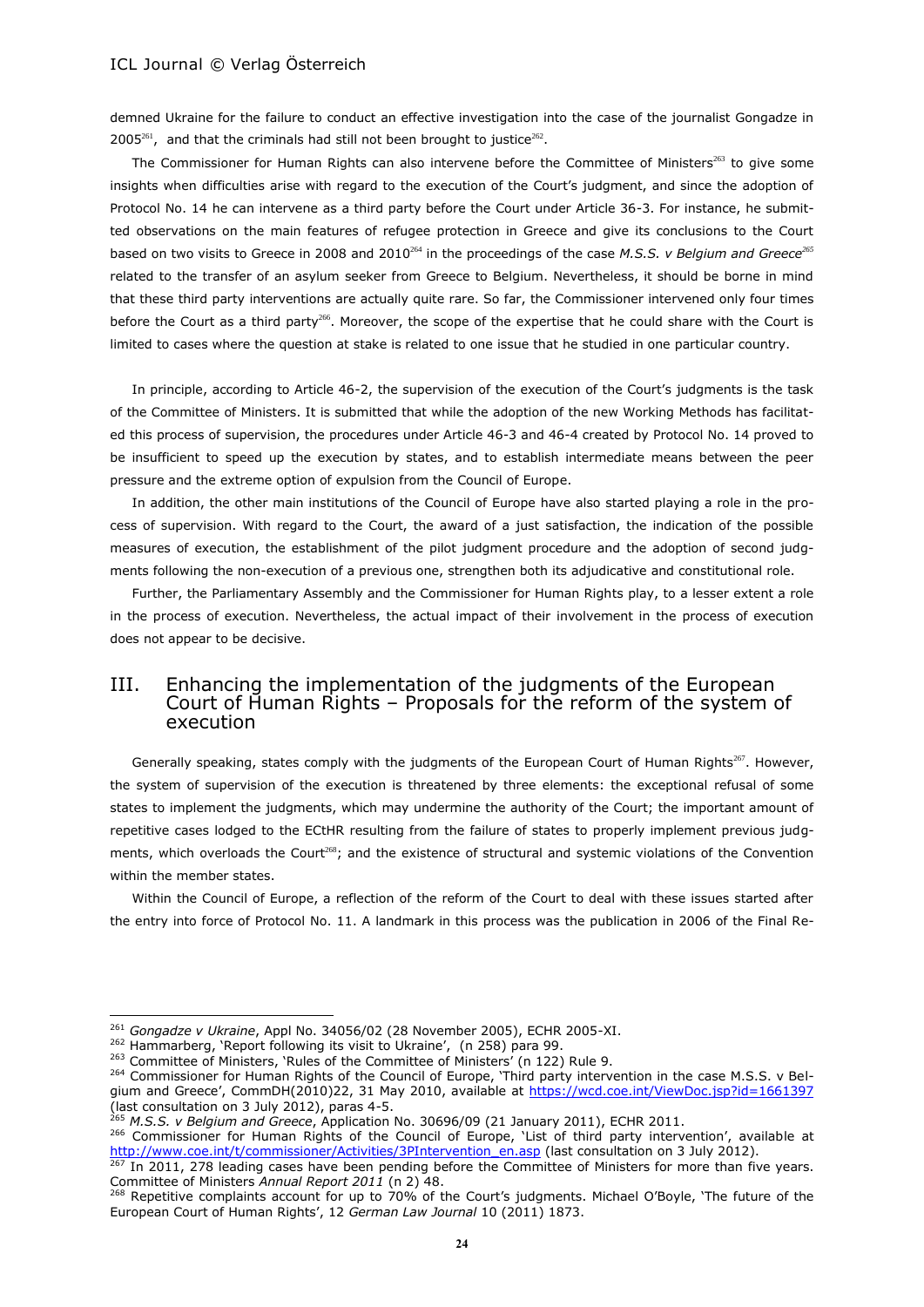demned Ukraine for the failure to conduct an effective investigation into the case of the journalist Gongadze in  $2005^{261}$ , and that the criminals had still not been brought to justice<sup>262</sup>.

The Commissioner for Human Rights can also intervene before the Committee of Ministers<sup>263</sup> to give some insights when difficulties arise with regard to the execution of the Court's judgment, and since the adoption of Protocol No. 14 he can intervene as a third party before the Court under Article 36-3. For instance, he submitted observations on the main features of refugee protection in Greece and give its conclusions to the Court based on two visits to Greece in 2008 and 2010<sup>264</sup> in the proceedings of the case *M.S.S. v Belgium and Greece*<sup>265</sup> related to the transfer of an asylum seeker from Greece to Belgium. Nevertheless, it should be borne in mind that these third party interventions are actually quite rare. So far, the Commissioner intervened only four times before the Court as a third party<sup>266</sup>. Moreover, the scope of the expertise that he could share with the Court is limited to cases where the question at stake is related to one issue that he studied in one particular country.

In principle, according to Article 46-2, the supervision of the execution of the Court's judgments is the task of the Committee of Ministers. It is submitted that while the adoption of the new Working Methods has facilitated this process of supervision, the procedures under Article 46-3 and 46-4 created by Protocol No. 14 proved to be insufficient to speed up the execution by states, and to establish intermediate means between the peer pressure and the extreme option of expulsion from the Council of Europe.

In addition, the other main institutions of the Council of Europe have also started playing a role in the process of supervision. With regard to the Court, the award of a just satisfaction, the indication of the possible measures of execution, the establishment of the pilot judgment procedure and the adoption of second judgments following the non-execution of a previous one, strengthen both its adjudicative and constitutional role.

Further, the Parliamentary Assembly and the Commissioner for Human Rights play, to a lesser extent a role in the process of execution. Nevertheless, the actual impact of their involvement in the process of execution does not appear to be decisive.

# III. Enhancing the implementation of the judgments of the European Court of Human Rights – Proposals for the reform of the system of execution

Generally speaking, states comply with the judgments of the European Court of Human Rights<sup>267</sup>. However, the system of supervision of the execution is threatened by three elements: the exceptional refusal of some states to implement the judgments, which may undermine the authority of the Court; the important amount of repetitive cases lodged to the ECtHR resulting from the failure of states to properly implement previous judgments, which overloads the Court<sup>268</sup>; and the existence of structural and systemic violations of the Convention within the member states.

<span id="page-23-0"></span>Within the Council of Europe, a reflection of the reform of the Court to deal with these issues started after the entry into force of Protocol No. 11. A landmark in this process was the publication in 2006 of the Final Re-

 $\overline{a}$ 

266 Commissioner for Human Rights of the Council of Europe, 'List of third party intervention', available at [http://www.coe.int/t/commissioner/Activities/3PIntervention\\_en.asp](http://www.coe.int/t/commissioner/Activities/3PIntervention_en.asp) (last consultation on 3 July 2012).

267 In 2011, 278 leading cases have been pending before the Committee of Ministers for more than five years. Committee of Ministers *Annual Report 2011* (n [2\)](#page-0-1) 48.

<sup>261</sup> *Gongadze v Ukraine*, Appl No. 34056/02 (28 November 2005), ECHR 2005-XI.

<sup>&</sup>lt;sup>262</sup> Hammarberg, 'Report following its visit to Ukraine', (n [258\)](#page-22-0) para 99.

<sup>263</sup> Committee of Ministers, 'Rules of the Committee of Ministers' (n [122\)](#page-12-0) Rule 9.

<sup>&</sup>lt;sup>264</sup> Commissioner for Human Rights of the Council of Europe, 'Third party intervention in the case M.S.S. v Belgium and Greece', CommDH(2010)22, 31 May 2010, available at <https://wcd.coe.int/ViewDoc.jsp?id=1661397> (last consultation on 3 July 2012), paras 4-5.

<sup>265</sup> *M.S.S. v Belgium and Greece*, Application No. 30696/09 (21 January 2011), ECHR 2011.

<sup>&</sup>lt;sup>268</sup> Repetitive complaints account for up to 70% of the Court's judgments. Michael O'Boyle, 'The future of the European Court of Human Rights', 12 *German Law Journal* 10 (2011) 1873.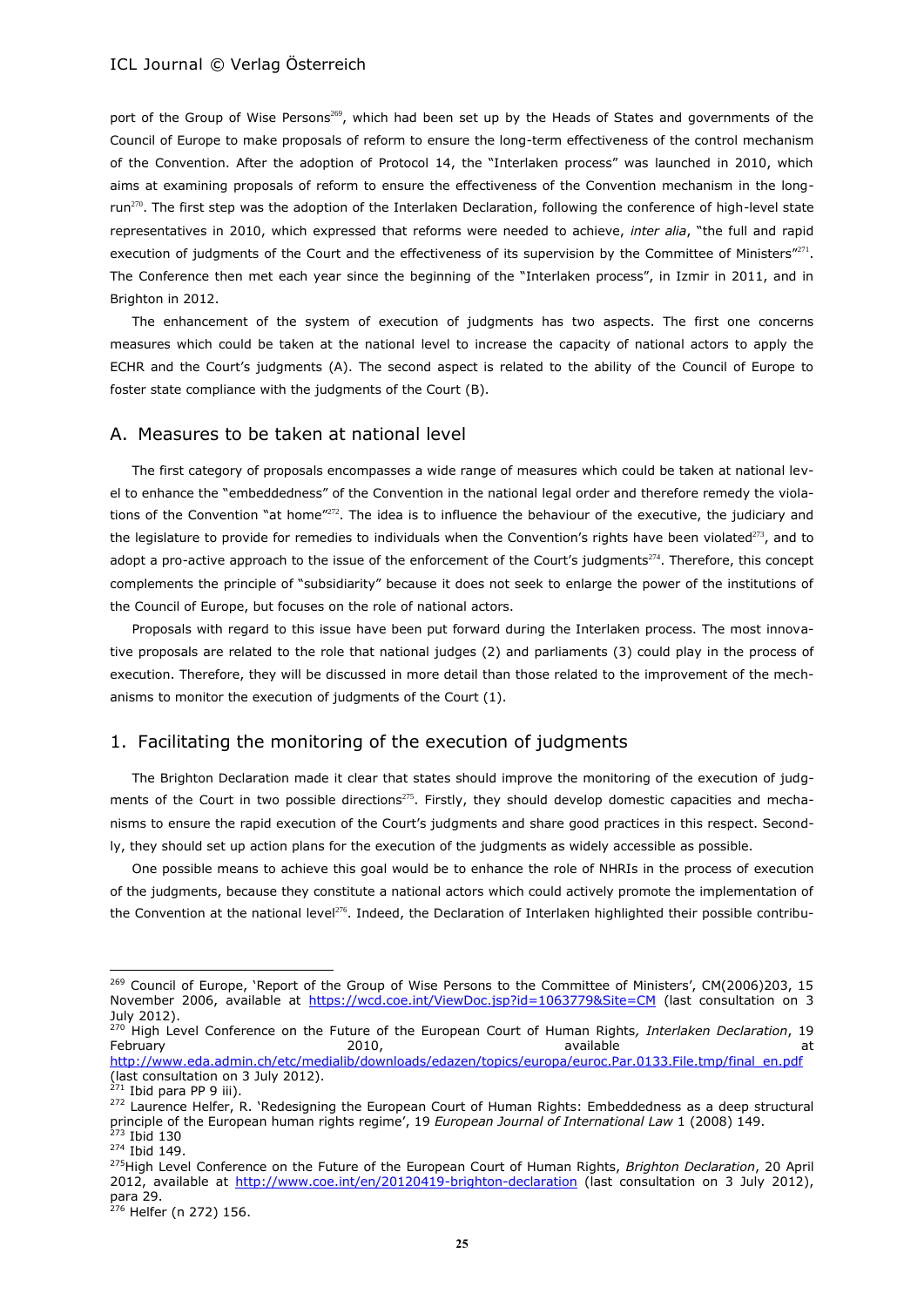<span id="page-24-3"></span><span id="page-24-2"></span>port of the Group of Wise Persons<sup>269</sup>, which had been set up by the Heads of States and governments of the Council of Europe to make proposals of reform to ensure the long-term effectiveness of the control mechanism of the Convention. After the adoption of Protocol 14, the "Interlaken process" was launched in 2010, which aims at examining proposals of reform to ensure the effectiveness of the Convention mechanism in the longrun<sup>270</sup>. The first step was the adoption of the Interlaken Declaration, following the conference of high-level state representatives in 2010, which expressed that reforms were needed to achieve, *inter alia*, "the full and rapid execution of judgments of the Court and the effectiveness of its supervision by the Committee of Ministers" $^{271}$ . The Conference then met each year since the beginning of the "Interlaken process", in Izmir in 2011, and in Brighton in 2012.

The enhancement of the system of execution of judgments has two aspects. The first one concerns measures which could be taken at the national level to increase the capacity of national actors to apply the ECHR and the Court's judgments (A). The second aspect is related to the ability of the Council of Europe to foster state compliance with the judgments of the Court (B).

# A. Measures to be taken at national level

<span id="page-24-0"></span>The first category of proposals encompasses a wide range of measures which could be taken at national level to enhance the "embeddedness" of the Convention in the national legal order and therefore remedy the violations of the Convention "at home"<sup>272</sup>. The idea is to influence the behaviour of the executive, the judiciary and the legislature to provide for remedies to individuals when the Convention's rights have been violated<sup>273</sup>, and to adopt a pro-active approach to the issue of the enforcement of the Court's judgments<sup>274</sup>. Therefore, this concept complements the principle of "subsidiarity" because it does not seek to enlarge the power of the institutions of the Council of Europe, but focuses on the role of national actors.

Proposals with regard to this issue have been put forward during the Interlaken process. The most innovative proposals are related to the role that national judges (2) and parliaments (3) could play in the process of execution. Therefore, they will be discussed in more detail than those related to the improvement of the mechanisms to monitor the execution of judgments of the Court (1).

# 1. Facilitating the monitoring of the execution of judgments

<span id="page-24-1"></span>The Brighton Declaration made it clear that states should improve the monitoring of the execution of judgments of the Court in two possible directions<sup>275</sup>. Firstly, they should develop domestic capacities and mechanisms to ensure the rapid execution of the Court's judgments and share good practices in this respect. Secondly, they should set up action plans for the execution of the judgments as widely accessible as possible.

One possible means to achieve this goal would be to enhance the role of NHRIs in the process of execution of the judgments, because they constitute a national actors which could actively promote the implementation of the Convention at the national level<sup>276</sup>. Indeed, the Declaration of Interlaken highlighted their possible contribu-

<sup>&</sup>lt;sup>269</sup> Council of Europe, 'Report of the Group of Wise Persons to the Committee of Ministers', CM(2006)203, 15 November 2006, available at <https://wcd.coe.int/ViewDoc.jsp?id=1063779&Site=CM> (last consultation on 3 July 2012).

<sup>270</sup> High Level Conference on the Future of the European Court of Human Rights*, Interlaken Declaration*, 19 February 2010, available at [http://www.eda.admin.ch/etc/medialib/downloads/edazen/topics/europa/euroc.Par.0133.File.tmp/final\\_en.pdf](http://www.eda.admin.ch/etc/medialib/downloads/edazen/topics/europa/euroc.Par.0133.File.tmp/final_en.pdf) (last consultation on 3 July 2012).

 $271$  Ibid para PP 9 iii).

<sup>&</sup>lt;sup>272</sup> Laurence Helfer, R. 'Redesigning the European Court of Human Rights: Embeddedness as a deep structural principle of the European human rights regime', 19 *European Journal of International Law* 1 (2008) 149. <sup>273</sup> Ibid 130

<sup>274</sup> Ibid 149.

<sup>275</sup>High Level Conference on the Future of the European Court of Human Rights, *Brighton Declaration*, 20 April 2012, available at <http://www.coe.int/en/20120419-brighton-declaration> (last consultation on 3 July 2012), para 29.

 $276$  Helfer ([n 272\)](#page-24-0) 156.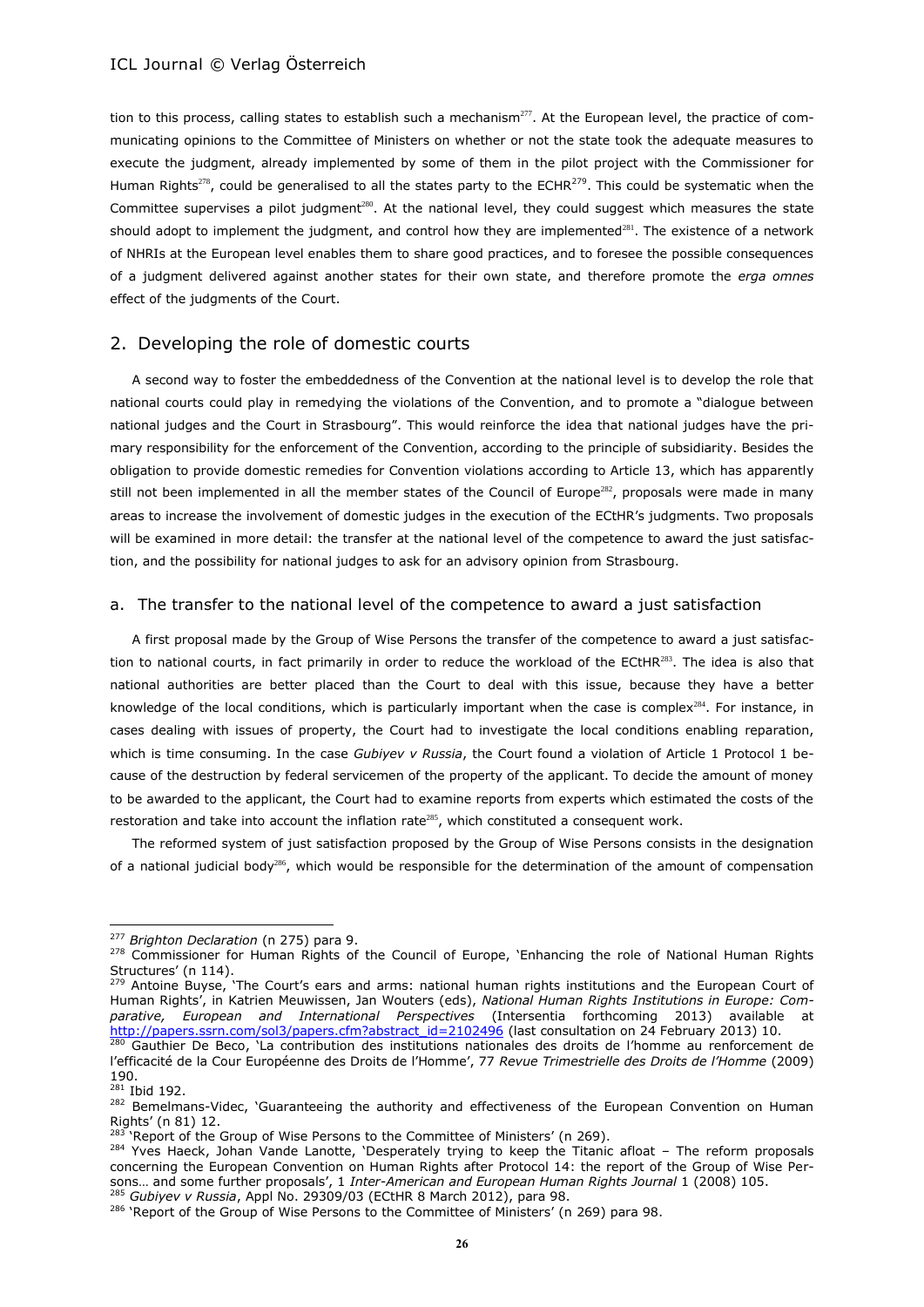tion to this process, calling states to establish such a mechanism<sup>277</sup>. At the European level, the practice of communicating opinions to the Committee of Ministers on whether or not the state took the adequate measures to execute the judgment, already implemented by some of them in the pilot project with the Commissioner for Human Rights<sup>278</sup>, could be generalised to all the states party to the ECHR<sup>279</sup>. This could be systematic when the Committee supervises a pilot judgment<sup>280</sup>. At the national level, they could suggest which measures the state should adopt to implement the judgment, and control how they are implemented<sup>281</sup>. The existence of a network of NHRIs at the European level enables them to share good practices, and to foresee the possible consequences of a judgment delivered against another states for their own state, and therefore promote the *erga omnes* effect of the judgments of the Court.

# 2. Developing the role of domestic courts

A second way to foster the embeddedness of the Convention at the national level is to develop the role that national courts could play in remedying the violations of the Convention, and to promote a "dialogue between national judges and the Court in Strasbourg". This would reinforce the idea that national judges have the primary responsibility for the enforcement of the Convention, according to the principle of subsidiarity. Besides the obligation to provide domestic remedies for Convention violations according to Article 13, which has apparently still not been implemented in all the member states of the Council of Europe<sup>282</sup>, proposals were made in many areas to increase the involvement of domestic judges in the execution of the ECtHR's judgments. Two proposals will be examined in more detail: the transfer at the national level of the competence to award the just satisfaction, and the possibility for national judges to ask for an advisory opinion from Strasbourg.

#### a. The transfer to the national level of the competence to award a just satisfaction

<span id="page-25-0"></span>A first proposal made by the Group of Wise Persons the transfer of the competence to award a just satisfaction to national courts, in fact primarily in order to reduce the workload of the ECtHR<sup>283</sup>. The idea is also that national authorities are better placed than the Court to deal with this issue, because they have a better knowledge of the local conditions, which is particularly important when the case is complex<sup>284</sup>. For instance, in cases dealing with issues of property, the Court had to investigate the local conditions enabling reparation, which is time consuming. In the case *Gubiyev v Russia*, the Court found a violation of Article 1 Protocol 1 because of the destruction by federal servicemen of the property of the applicant. To decide the amount of money to be awarded to the applicant, the Court had to examine reports from experts which estimated the costs of the restoration and take into account the inflation rate<sup>285</sup>, which constituted a consequent work.

The reformed system of just satisfaction proposed by the Group of Wise Persons consists in the designation of a national judicial body<sup>286</sup>, which would be responsible for the determination of the amount of compensation

l

<sup>277</sup> *Brighton Declaration* (n [275\)](#page-24-1) para 9.

<sup>&</sup>lt;sup>278</sup> Commissioner for Human Rights of the Council of Europe, 'Enhancing the role of National Human Rights Structures' (n [114\)](#page-11-1).<br><sup>279</sup> Antoine Buyse

<sup>&</sup>lt;sup>2</sup> Antoine Buyse, 'The Court's ears and arms: national human rights institutions and the European Court of Human Rights', in Katrien Meuwissen, Jan Wouters (eds), *National Human Rights Institutions in Europe: Comparative, European and International Perspectives* (Intersentia forthcoming 2013) available at [http://papers.ssrn.com/sol3/papers.cfm?abstract\\_id=2102496](http://papers.ssrn.com/sol3/papers.cfm?abstract_id=2102496) (last consultation on 24 February 2013) 10.

<sup>280</sup> Gauthier De Beco, 'La contribution des institutions nationales des droits de l'homme au renforcement de l'efficacité de la Cour Européenne des Droits de l'Homme', 77 *Revue Trimestrielle des Droits de l'Homme* (2009) 190.

<sup>281</sup> Ibid 192.

<sup>&</sup>lt;sup>282</sup> Bemelmans-Videc, 'Guaranteeing the authority and effectiveness of the European Convention on Human Rights' (n 81) 12.

<sup>&#</sup>x27;Report of the Group of Wise Persons to the Committee of Ministers' (n [269\)](#page-24-2).

<sup>&</sup>lt;sup>284</sup> Yves Haeck, Johan Vande Lanotte, 'Desperately trying to keep the Titanic afloat - The reform proposals concerning the European Convention on Human Rights after Protocol 14: the report of the Group of Wise Persons… and some further proposals', 1 *Inter-American and European Human Rights Journal* 1 (2008) 105.

<sup>285</sup> *Gubiyev v Russia*, Appl No. 29309/03 (ECtHR 8 March 2012), para 98. <sup>286</sup> 'Report of the Group of Wise Persons to the Committee of Ministers' (n [269\)](#page-24-2) para 98.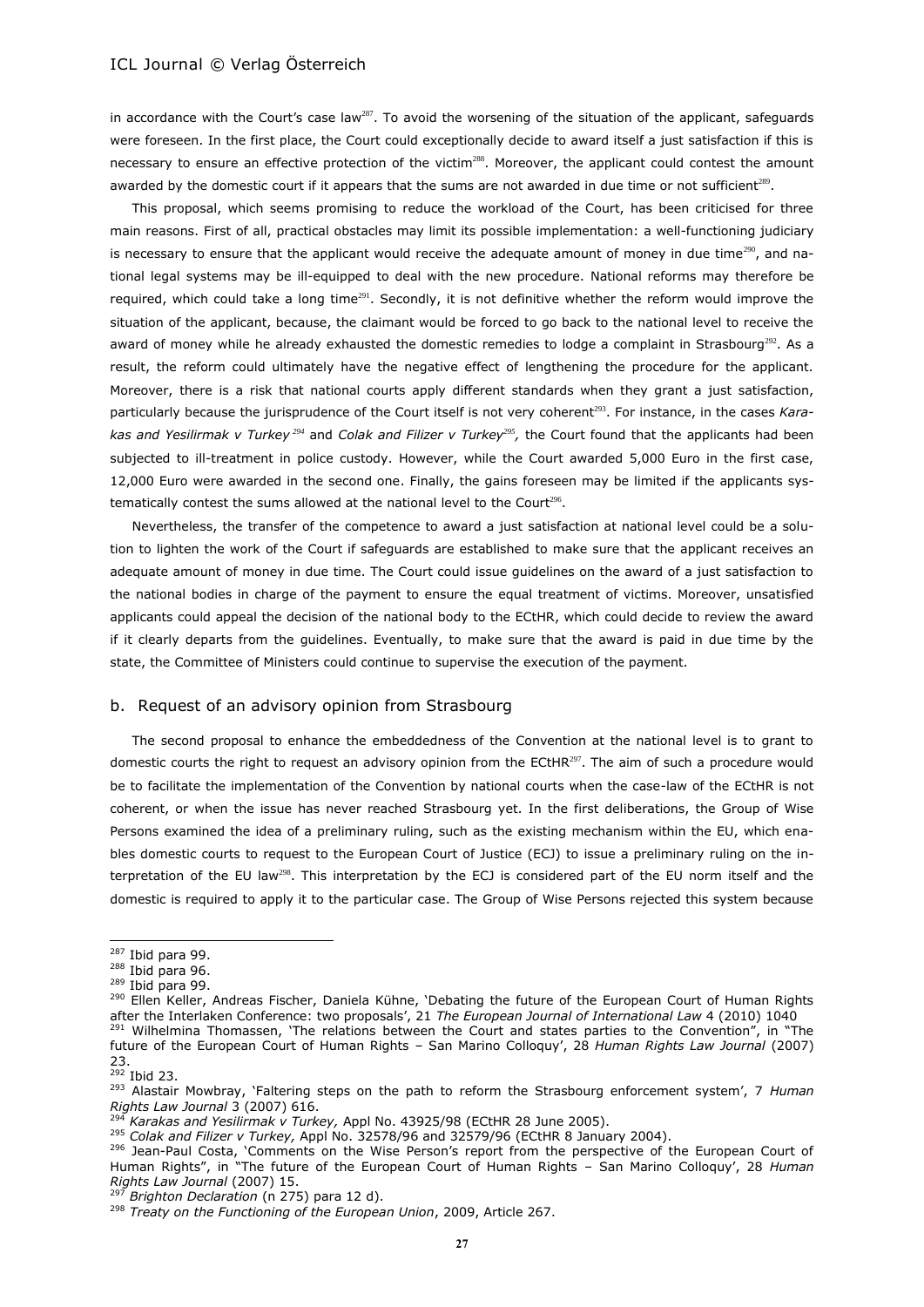in accordance with the Court's case law<sup>287</sup>. To avoid the worsening of the situation of the applicant, safeguards were foreseen. In the first place, the Court could exceptionally decide to award itself a just satisfaction if this is necessary to ensure an effective protection of the victim<sup>288</sup>. Moreover, the applicant could contest the amount awarded by the domestic court if it appears that the sums are not awarded in due time or not sufficient<sup>289</sup>.

<span id="page-26-1"></span><span id="page-26-0"></span>This proposal, which seems promising to reduce the workload of the Court, has been criticised for three main reasons. First of all, practical obstacles may limit its possible implementation: a well-functioning judiciary is necessary to ensure that the applicant would receive the adequate amount of money in due time $^{290}$ , and national legal systems may be ill-equipped to deal with the new procedure. National reforms may therefore be required, which could take a long time<sup>291</sup>. Secondly, it is not definitive whether the reform would improve the situation of the applicant, because, the claimant would be forced to go back to the national level to receive the award of money while he already exhausted the domestic remedies to lodge a complaint in Strasbourg<sup>292</sup>. As a result, the reform could ultimately have the negative effect of lengthening the procedure for the applicant. Moreover, there is a risk that national courts apply different standards when they grant a just satisfaction, particularly because the jurisprudence of the Court itself is not very coherent<sup>293</sup>. For instance, in the cases Kara*kas and Yesilirmak v Turkey <sup>294</sup>* and *Colak and Filizer v Turkey<sup>295</sup> ,* the Court found that the applicants had been subjected to ill-treatment in police custody. However, while the Court awarded 5,000 Euro in the first case, 12,000 Euro were awarded in the second one. Finally, the gains foreseen may be limited if the applicants systematically contest the sums allowed at the national level to the Court $296$ .

Nevertheless, the transfer of the competence to award a just satisfaction at national level could be a solution to lighten the work of the Court if safeguards are established to make sure that the applicant receives an adequate amount of money in due time. The Court could issue guidelines on the award of a just satisfaction to the national bodies in charge of the payment to ensure the equal treatment of victims. Moreover, unsatisfied applicants could appeal the decision of the national body to the ECtHR, which could decide to review the award if it clearly departs from the guidelines. Eventually, to make sure that the award is paid in due time by the state, the Committee of Ministers could continue to supervise the execution of the payment.

### b. Request of an advisory opinion from Strasbourg

The second proposal to enhance the embeddedness of the Convention at the national level is to grant to domestic courts the right to request an advisory opinion from the ECtHR<sup>297</sup>. The aim of such a procedure would be to facilitate the implementation of the Convention by national courts when the case-law of the ECtHR is not coherent, or when the issue has never reached Strasbourg yet. In the first deliberations, the Group of Wise Persons examined the idea of a preliminary ruling, such as the existing mechanism within the EU, which enables domestic courts to request to the European Court of Justice (ECJ) to issue a preliminary ruling on the interpretation of the EU law<sup>298</sup>. This interpretation by the ECJ is considered part of the EU norm itself and the domestic is required to apply it to the particular case. The Group of Wise Persons rejected this system because

l

 $287$  Ibid para 99.

<sup>288</sup> Ibid para 96.

 $289$  Ibid para 99.

<sup>&</sup>lt;sup>290</sup> Ellen Keller, Andreas Fischer, Daniela Kühne, 'Debating the future of the European Court of Human Rights after the Interlaken Conference: two proposals', 21 *The European Journal of International Law* 4 (2010) 1040 <sup>291</sup> Wilhelmina Thomassen, 'The relations between the Court and states parties to the Convention", in "The

future of the European Court of Human Rights – San Marino Colloquy', 28 *Human Rights Law Journal* (2007) 23.

<sup>&</sup>lt;sup>292</sup> Ibid 23.

<sup>293</sup> Alastair Mowbray, 'Faltering steps on the path to reform the Strasbourg enforcement system', 7 *Human Rights Law Journal* 3 (2007) 616.

<sup>294</sup> *Karakas and Yesilirmak v Turkey,* Appl No. 43925/98 (ECtHR 28 June 2005).

<sup>295</sup> *Colak and Filizer v Turkey,* Appl No. 32578/96 and 32579/96 (ECtHR 8 January 2004).

<sup>&</sup>lt;sup>296</sup> Jean-Paul Costa, 'Comments on the Wise Person's report from the perspective of the European Court of Human Rights", in "The future of the European Court of Human Rights – San Marino Colloquy', 28 *Human Rights Law Journal* (2007) 15.

<sup>297</sup> *Brighton Declaration* (n [275\)](#page-24-1) para 12 d).

<sup>298</sup> *Treaty on the Functioning of the European Union*, 2009, Article 267.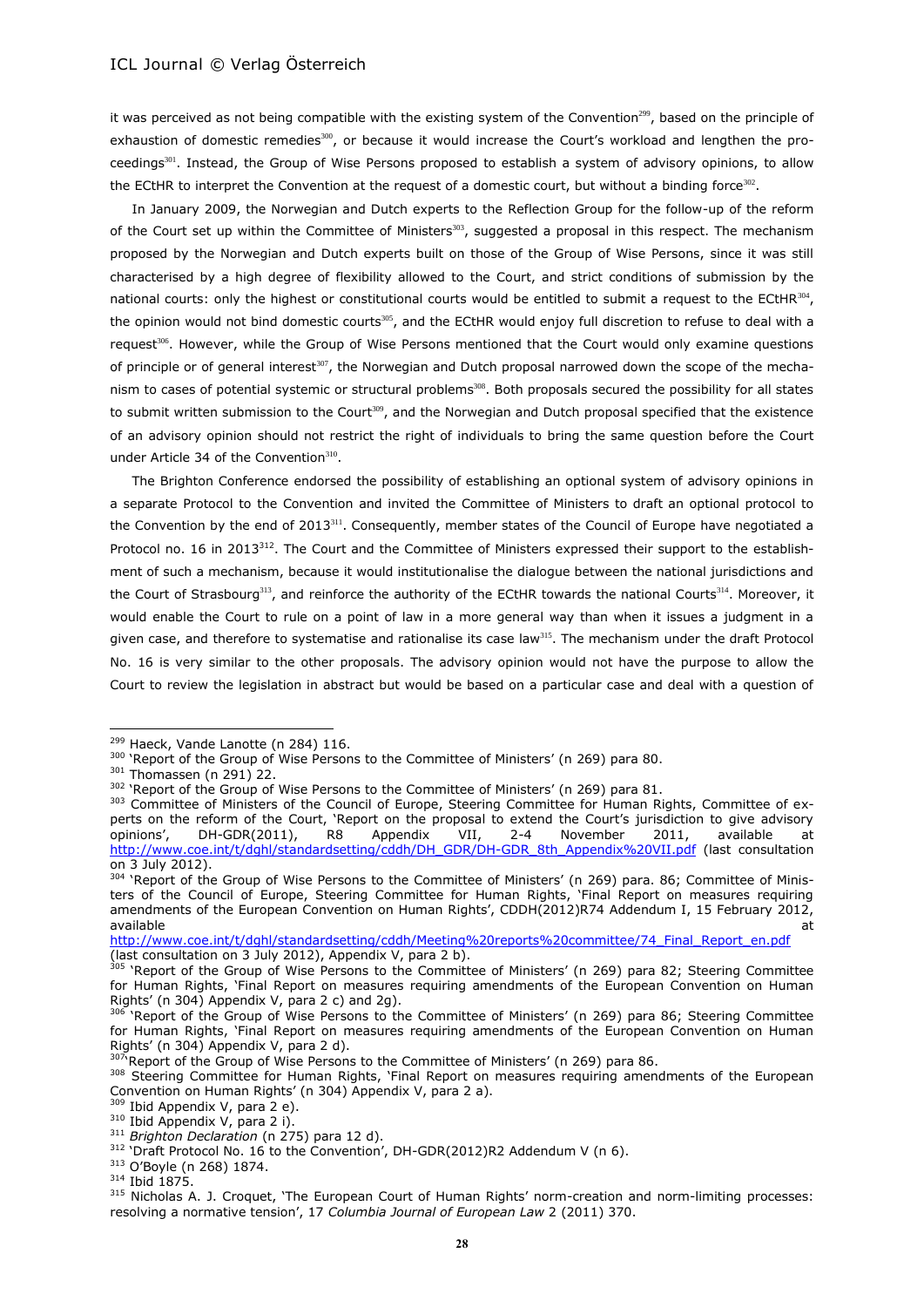it was perceived as not being compatible with the existing system of the Convention<sup>299</sup>, based on the principle of exhaustion of domestic remedies<sup>300</sup>, or because it would increase the Court's workload and lengthen the proceedings<sup>301</sup>. Instead, the Group of Wise Persons proposed to establish a system of advisory opinions, to allow the ECtHR to interpret the Convention at the request of a domestic court, but without a binding force $^{302}$ .

<span id="page-27-0"></span>In January 2009, the Norwegian and Dutch experts to the Reflection Group for the follow-up of the reform of the Court set up within the Committee of Ministers $303$ , suggested a proposal in this respect. The mechanism proposed by the Norwegian and Dutch experts built on those of the Group of Wise Persons, since it was still characterised by a high degree of flexibility allowed to the Court, and strict conditions of submission by the national courts: only the highest or constitutional courts would be entitled to submit a request to the ECtHR $^{304}$ , the opinion would not bind domestic courts<sup>305</sup>, and the ECtHR would enjoy full discretion to refuse to deal with a request<sup>306</sup>. However, while the Group of Wise Persons mentioned that the Court would only examine questions of principle or of general interest<sup>307</sup>, the Norwegian and Dutch proposal narrowed down the scope of the mechanism to cases of potential systemic or structural problems<sup>308</sup>. Both proposals secured the possibility for all states to submit written submission to the Court<sup>309</sup>, and the Norwegian and Dutch proposal specified that the existence of an advisory opinion should not restrict the right of individuals to bring the same question before the Court under Article 34 of the Convention $310$ .

The Brighton Conference endorsed the possibility of establishing an optional system of advisory opinions in a separate Protocol to the Convention and invited the Committee of Ministers to draft an optional protocol to the Convention by the end of 2013<sup>311</sup>. Consequently, member states of the Council of Europe have negotiated a Protocol no. 16 in 2013 $^{312}$ . The Court and the Committee of Ministers expressed their support to the establishment of such a mechanism, because it would institutionalise the dialogue between the national jurisdictions and the Court of Strasbourg<sup>313</sup>, and reinforce the authority of the ECtHR towards the national Courts<sup>314</sup>. Moreover, it would enable the Court to rule on a point of law in a more general way than when it issues a judgment in a given case, and therefore to systematise and rationalise its case law $^{315}$ . The mechanism under the draft Protocol No. 16 is very similar to the other proposals. The advisory opinion would not have the purpose to allow the Court to review the legislation in abstract but would be based on a particular case and deal with a question of

<span id="page-27-1"></span> $\overline{a}$ 

[http://www.coe.int/t/dghl/standardsetting/cddh/Meeting%20reports%20committee/74\\_Final\\_Report\\_en.pdf](http://www.coe.int/t/dghl/standardsetting/cddh/Meeting%20reports%20committee/74_Final_Report_en.pdf) (last consultation on 3 July 2012), Appendix V, para 2 b).

<sup>&</sup>lt;sup>299</sup> Haeck, Vande Lanotte (n [284\)](#page-25-0) 116.

<sup>&</sup>lt;sup>300</sup> 'Report of the Group of Wise Persons to the Committee of Ministers' (n [269\)](#page-24-2) para 80.

<sup>301</sup> Thomassen (n [291\)](#page-26-0) 22.

<sup>&</sup>lt;sup>302</sup> 'Report of the Group of Wise Persons to the Committee of Ministers' (n [269\)](#page-24-2) para 81.

<sup>303</sup> Committee of Ministers of the Council of Europe, Steering Committee for Human Rights, Committee of experts on the reform of the Court, 'Report on the proposal to extend the Court's jurisdiction to give advisory opinions', DH-GDR(2011), R8 Appendix VII, 2-4 November 2011, available at [http://www.coe.int/t/dghl/standardsetting/cddh/DH\\_GDR/DH-GDR\\_8th\\_Appendix%20VII.pdf](http://www.coe.int/t/dghl/standardsetting/cddh/DH_GDR/DH-GDR_8th_Appendix%20VII.pdf) (last consultation on 3 July 2012).

<sup>&#</sup>x27;Report of the Group of Wise Persons to the Committee of Ministers' (n [269\)](#page-24-2) para. 86; Committee of Ministers of the Council of Europe, Steering Committee for Human Rights, 'Final Report on measures requiring amendments of the European Convention on Human Rights', CDDH(2012)R74 Addendum I, 15 February 2012, available at the contract of the contract of the contract of the contract of the contract of the contract of the contract of the contract of the contract of the contract of the contract of the contract of the contract of t

<sup>&</sup>lt;sup>305</sup> 'Report of the Group of Wise Persons to the Committee of Ministers' (n [269\)](#page-24-2) para 82; Steering Committee for Human Rights, 'Final Report on measures requiring amendments of the European Convention on Human Rights' (n [304\)](#page-27-0) Appendix V, para 2 c) and 2g).

<sup>&</sup>lt;sup>306</sup> 'Report of the Group of Wise Persons to the Committee of Ministers' (n [269\)](#page-24-2) para 86; Steering Committee for Human Rights, 'Final Report on measures requiring amendments of the European Convention on Human Rights' (n [304\)](#page-27-0) Appendix V, para 2 d).

<sup>&#</sup>x27;Report of the Group of Wise Persons to the Committee of Ministers' (n [269\)](#page-24-2) para 86.

<sup>&</sup>lt;sup>308</sup> Steering Committee for Human Rights, 'Final Report on measures requiring amendments of the European Convention on Human Rights' (n [304\)](#page-27-0) Appendix V, para 2 a).

<sup>309</sup> Ibid Appendix V, para 2 e).

<sup>310</sup> Ibid Appendix V, para 2 i).

<sup>311</sup> *Brighton Declaration* (n [275\)](#page-24-1) para 12 d).

 $312$  'Draft Protocol No. 16 to the Convention', DH-GDR(2012)R2 Addendum V ([n 6\)](#page-1-1).

<sup>313</sup> O'Boyle (n [268\)](#page-23-0) 1874.

<sup>314</sup> Ibid 1875.

<sup>315</sup> Nicholas A. J. Croquet, 'The European Court of Human Rights' norm-creation and norm-limiting processes: resolving a normative tension', 17 *Columbia Journal of European Law* 2 (2011) 370.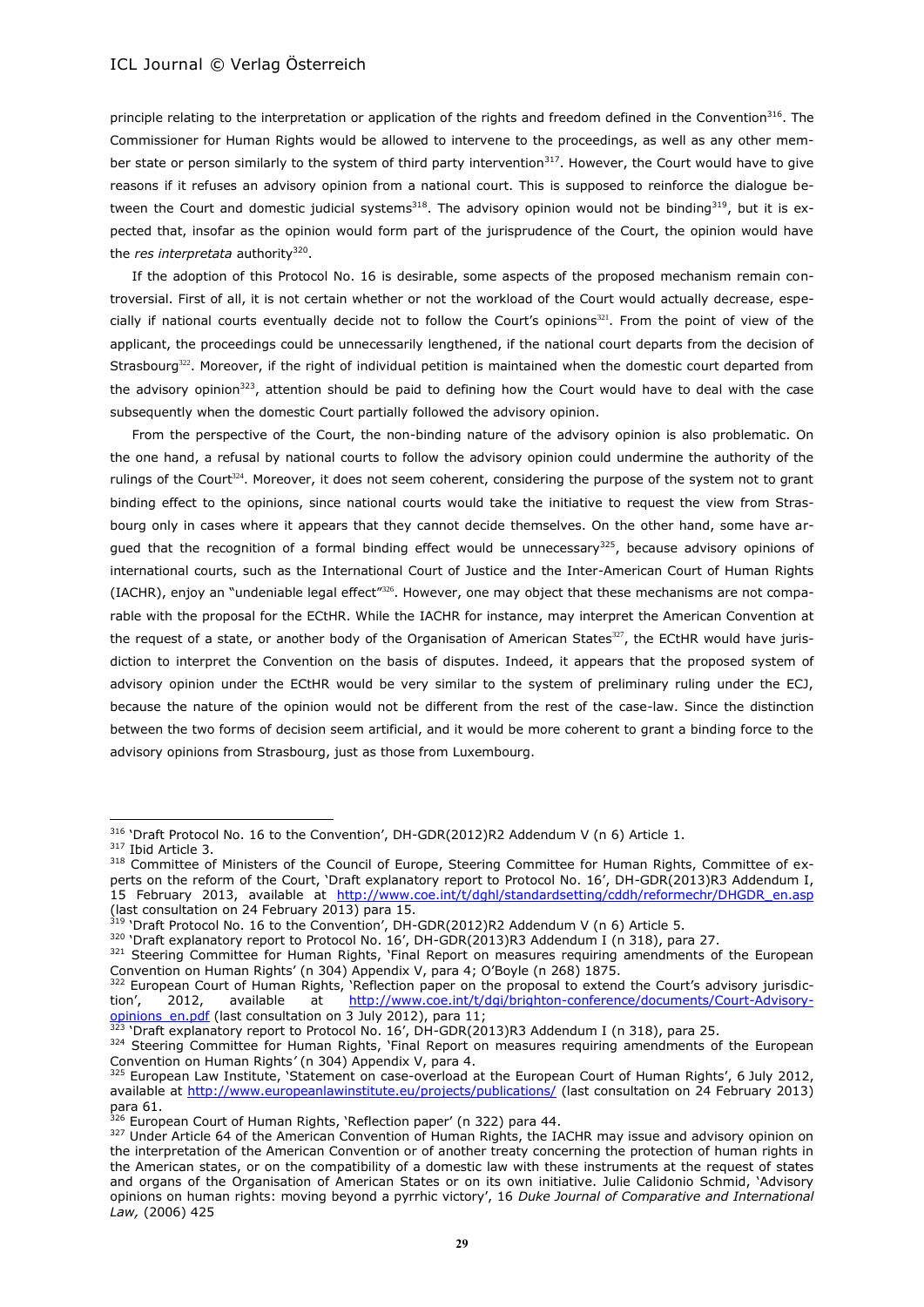principle relating to the interpretation or application of the rights and freedom defined in the Convention<sup>316</sup>. The Commissioner for Human Rights would be allowed to intervene to the proceedings, as well as any other member state or person similarly to the system of third party intervention $317$ . However, the Court would have to give reasons if it refuses an advisory opinion from a national court. This is supposed to reinforce the dialogue between the Court and domestic judicial systems<sup>318</sup>. The advisory opinion would not be binding<sup>319</sup>, but it is expected that, insofar as the opinion would form part of the jurisprudence of the Court, the opinion would have the *res interpretata* authority<sup>320</sup>.

If the adoption of this Protocol No. 16 is desirable, some aspects of the proposed mechanism remain controversial. First of all, it is not certain whether or not the workload of the Court would actually decrease, especially if national courts eventually decide not to follow the Court's opinions<sup>321</sup>. From the point of view of the applicant, the proceedings could be unnecessarily lengthened, if the national court departs from the decision of Strasbourg<sup>322</sup>. Moreover, if the right of individual petition is maintained when the domestic court departed from the advisory opinion<sup>323</sup>, attention should be paid to defining how the Court would have to deal with the case subsequently when the domestic Court partially followed the advisory opinion.

<span id="page-28-0"></span>From the perspective of the Court, the non-binding nature of the advisory opinion is also problematic. On the one hand, a refusal by national courts to follow the advisory opinion could undermine the authority of the rulings of the Court $324$ . Moreover, it does not seem coherent, considering the purpose of the system not to grant binding effect to the opinions, since national courts would take the initiative to request the view from Strasbourg only in cases where it appears that they cannot decide themselves. On the other hand, some have argued that the recognition of a formal binding effect would be unnecessary $325$ , because advisory opinions of international courts, such as the International Court of Justice and the Inter-American Court of Human Rights (IACHR), enjoy an "undeniable legal effect"<sup>326</sup>. However, one may object that these mechanisms are not comparable with the proposal for the ECtHR. While the IACHR for instance, may interpret the American Convention at the request of a state, or another body of the Organisation of American States<sup>327</sup>, the ECtHR would have jurisdiction to interpret the Convention on the basis of disputes. Indeed, it appears that the proposed system of advisory opinion under the ECtHR would be very similar to the system of preliminary ruling under the ECJ, because the nature of the opinion would not be different from the rest of the case-law. Since the distinction between the two forms of decision seem artificial, and it would be more coherent to grant a binding force to the advisory opinions from Strasbourg, just as those from Luxembourg.

<sup>&</sup>lt;sup>316</sup> 'Draft Protocol No. 16 to the Convention', DH-GDR(2012)R2 Addendum V ([n 6\)](#page-1-1) Article 1.

<sup>317</sup> Ibid Article 3.

<sup>318</sup> Committee of Ministers of the Council of Europe, Steering Committee for Human Rights, Committee of experts on the reform of the Court, 'Draft explanatory report to Protocol No. 16', DH-GDR(2013)R3 Addendum I, 15 February 2013, available at [http://www.coe.int/t/dghl/standardsetting/cddh/reformechr/DHGDR\\_en.asp](http://www.coe.int/t/dghl/standardsetting/cddh/reformechr/DHGDR_en.asp) (last consultation on 24 February 2013) para 15.

<sup>&#</sup>x27;Draft Protocol No. 16 to the Convention', DH-GDR(2012)R2 Addendum V (n [6\)](#page-1-1) Article 5.

<sup>&</sup>lt;sup>320</sup> 'Draft explanatory report to Protocol No. 16', DH-GDR(2013)R3 Addendum I (n 318), para 27.

<sup>321</sup> Steering Committee for Human Rights, 'Final Report on measures requiring amendments of the European Convention on Human Rights' (n [304](#page-27-0)) Appendix V, para 4; O'Boyle (n [268\)](#page-23-0) 1875.

<sup>&</sup>lt;sup>322</sup> European Court of Human Rights, 'Reflection paper on the proposal to extend the Court's advisory jurisdiction', 2012, available at [http://www.coe.int/t/dgi/brighton-conference/documents/Court-Advisory](http://www.coe.int/t/dgi/brighton-conference/documents/Court-Advisory-opinions_en.pdf)[opinions\\_en.pdf](http://www.coe.int/t/dgi/brighton-conference/documents/Court-Advisory-opinions_en.pdf) (last consultation on 3 July 2012), para 11;

<sup>&</sup>lt;sup>323</sup> 'Draft explanatory report to Protocol No. 16', DH-GDR(2013)R3 Addendum I (n 318), para 25.

<sup>324</sup> Steering Committee for Human Rights, 'Final Report on measures requiring amendments of the European Convention on Human Rights*'* (n [304\)](#page-27-0) Appendix V, para 4.

<sup>325</sup> European Law Institute, 'Statement on case-overload at the European Court of Human Rights', 6 July 2012, available at<http://www.europeanlawinstitute.eu/projects/publications/> (last consultation on 24 February 2013) para 61.

<sup>&</sup>lt;sup>326</sup> European Court of Human Rights, 'Reflection paper' (n [322\)](#page-28-0) para 44.

<sup>327</sup> Under Article 64 of the American Convention of Human Rights, the IACHR may issue and advisory opinion on the interpretation of the American Convention or of another treaty concerning the protection of human rights in the American states, or on the compatibility of a domestic law with these instruments at the request of states and organs of the Organisation of American States or on its own initiative. Julie Calidonio Schmid, 'Advisory opinions on human rights: moving beyond a pyrrhic victory', 16 *Duke Journal of Comparative and International Law,* (2006) 425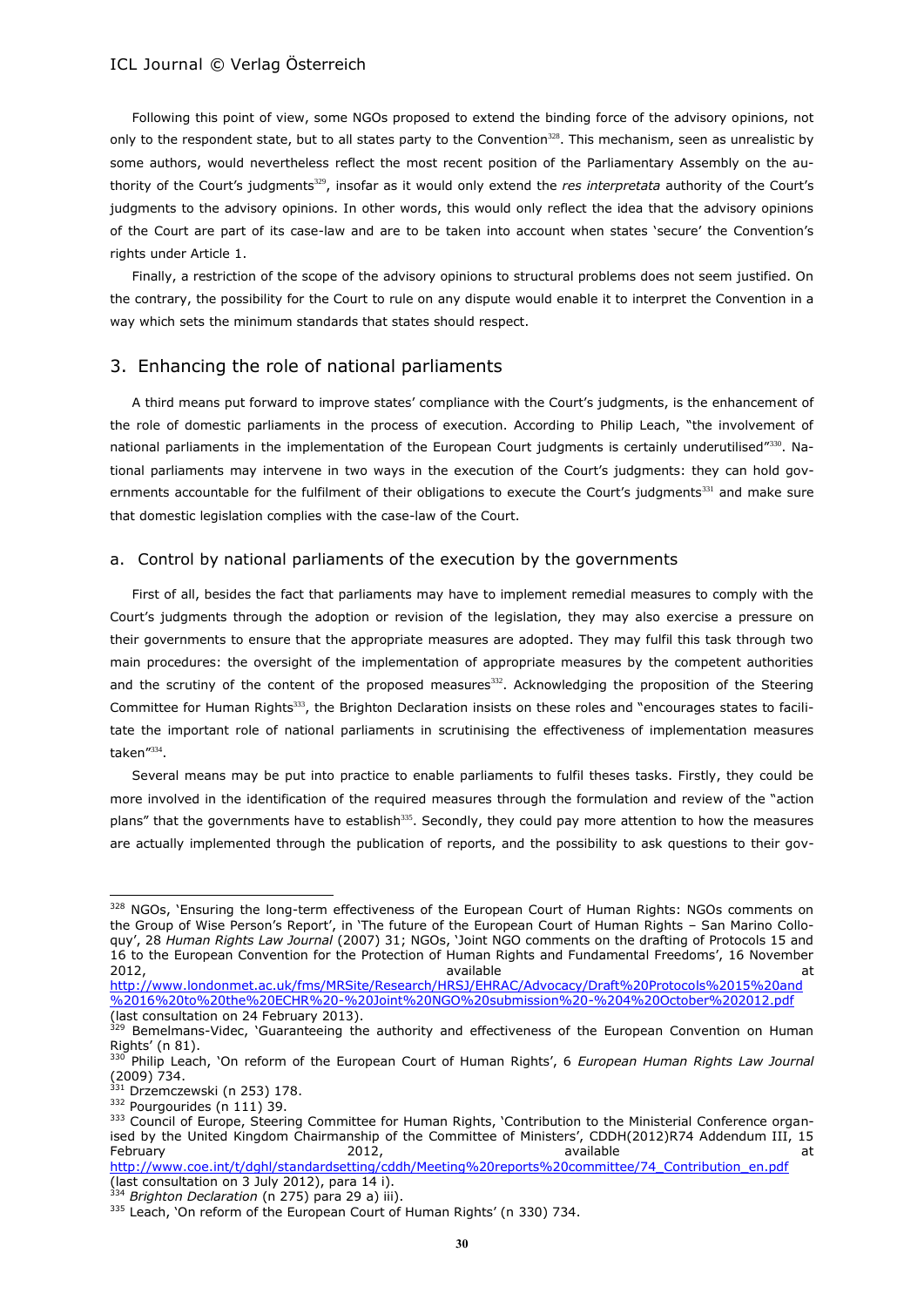Following this point of view, some NGOs proposed to extend the binding force of the advisory opinions, not only to the respondent state, but to all states party to the Convention<sup>328</sup>. This mechanism, seen as unrealistic by some authors, would nevertheless reflect the most recent position of the Parliamentary Assembly on the authority of the Court's judgments<sup>329</sup>, insofar as it would only extend the *res interpretata* authority of the Court's judgments to the advisory opinions. In other words, this would only reflect the idea that the advisory opinions of the Court are part of its case-law and are to be taken into account when states 'secure' the Convention's rights under Article 1.

Finally, a restriction of the scope of the advisory opinions to structural problems does not seem justified. On the contrary, the possibility for the Court to rule on any dispute would enable it to interpret the Convention in a way which sets the minimum standards that states should respect.

# 3. Enhancing the role of national parliaments

<span id="page-29-0"></span>A third means put forward to improve states' compliance with the Court's judgments, is the enhancement of the role of domestic parliaments in the process of execution. According to Philip Leach, "the involvement of national parliaments in the implementation of the European Court judgments is certainly underutilised"<sup>330</sup>. National parliaments may intervene in two ways in the execution of the Court's judgments: they can hold governments accountable for the fulfilment of their obligations to execute the Court's judgments<sup>331</sup> and make sure that domestic legislation complies with the case-law of the Court.

### a. Control by national parliaments of the execution by the governments

First of all, besides the fact that parliaments may have to implement remedial measures to comply with the Court's judgments through the adoption or revision of the legislation, they may also exercise a pressure on their governments to ensure that the appropriate measures are adopted. They may fulfil this task through two main procedures: the oversight of the implementation of appropriate measures by the competent authorities and the scrutiny of the content of the proposed measures<sup>332</sup>. Acknowledging the proposition of the Steering Committee for Human Rights<sup>333</sup>, the Brighton Declaration insists on these roles and "encourages states to facilitate the important role of national parliaments in scrutinising the effectiveness of implementation measures taken"<sup>334</sup> .

<span id="page-29-1"></span>Several means may be put into practice to enable parliaments to fulfil theses tasks. Firstly, they could be more involved in the identification of the required measures through the formulation and review of the "action plans" that the governments have to establish<sup>335</sup>. Secondly, they could pay more attention to how the measures are actually implemented through the publication of reports, and the possibility to ask questions to their gov-

<sup>328</sup> NGOs, 'Ensuring the long-term effectiveness of the European Court of Human Rights: NGOs comments on the Group of Wise Person's Report', in 'The future of the European Court of Human Rights – San Marino Colloquy', 28 *Human Rights Law Journal* (2007) 31; NGOs, 'Joint NGO comments on the drafting of Protocols 15 and 16 to the European Convention for the Protection of Human Rights and Fundamental Freedoms', 16 November 2012, available at

[http://www.londonmet.ac.uk/fms/MRSite/Research/HRSJ/EHRAC/Advocacy/Draft%20Protocols%2015%20and](http://www.londonmet.ac.uk/fms/MRSite/Research/HRSJ/EHRAC/Advocacy/Draft%20Protocols%2015%20and%2016%20to%20the%20ECHR%20-%20Joint%20NGO%20submission%20-%204%20October%202012.pdf) [%2016%20to%20the%20ECHR%20-%20Joint%20NGO%20submission%20-%204%20October%202012.pdf](http://www.londonmet.ac.uk/fms/MRSite/Research/HRSJ/EHRAC/Advocacy/Draft%20Protocols%2015%20and%2016%20to%20the%20ECHR%20-%20Joint%20NGO%20submission%20-%204%20October%202012.pdf) (last consultation on 24 February 2013).

<sup>329</sup> Bemelmans-Videc, 'Guaranteeing the authority and effectiveness of the European Convention on Human Rights' (n 81).

<sup>330</sup> Philip Leach, 'On reform of the European Court of Human Rights', 6 *European Human Rights Law Journal* (2009) 734.

<sup>331</sup> Drzemczewski ([n 253\)](#page-22-1) 178.

<sup>332</sup> Pourgourides (n [111\)](#page-10-1) 39.

<sup>333</sup> Council of Europe, Steering Committee for Human Rights, 'Contribution to the Ministerial Conference organised by the United Kingdom Chairmanship of the Committee of Ministers', CDDH(2012)R74 Addendum III, 15 February 2012, available at

[http://www.coe.int/t/dghl/standardsetting/cddh/Meeting%20reports%20committee/74\\_Contribution\\_en.pdf](http://www.coe.int/t/dghl/standardsetting/cddh/Meeting%20reports%20committee/74_Contribution_en.pdf) (last consultation on 3 July 2012), para 14 i).

<sup>334</sup> *Brighton Declaration* (n [275\)](#page-24-1) para 29 a) iii).

<sup>&</sup>lt;sup>335</sup> Leach, 'On reform of the European Court of Human Rights' (n [330\)](#page-29-0) 734.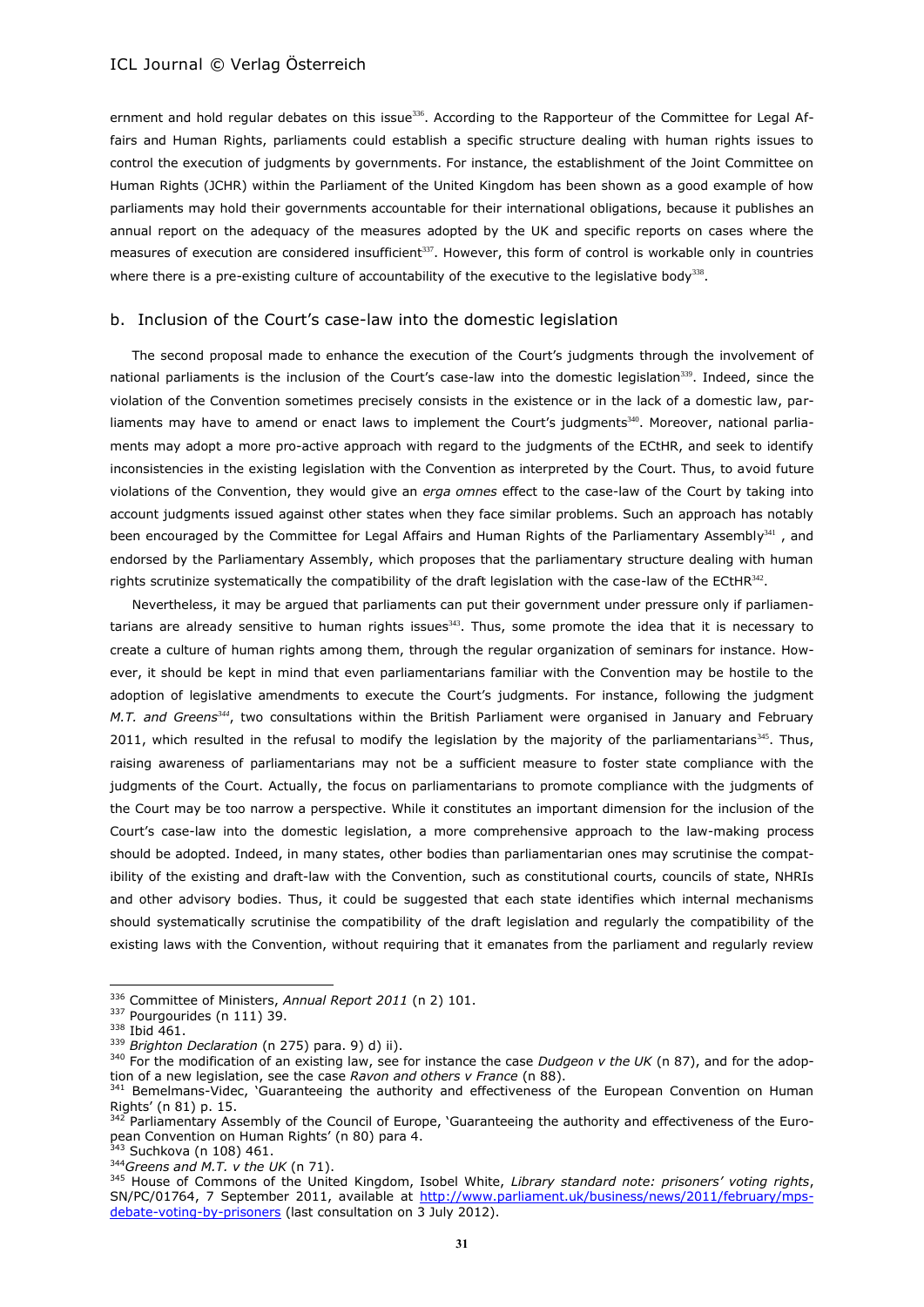ernment and hold regular debates on this issue<sup>336</sup>. According to the Rapporteur of the Committee for Legal Affairs and Human Rights, parliaments could establish a specific structure dealing with human rights issues to control the execution of judgments by governments. For instance, the establishment of the Joint Committee on Human Rights (JCHR) within the Parliament of the United Kingdom has been shown as a good example of how parliaments may hold their governments accountable for their international obligations, because it publishes an annual report on the adequacy of the measures adopted by the UK and specific reports on cases where the measures of execution are considered insufficient<sup>337</sup>. However, this form of control is workable only in countries where there is a pre-existing culture of accountability of the executive to the legislative body<sup>338</sup>.

#### b. Inclusion of the Court's case-law into the domestic legislation

The second proposal made to enhance the execution of the Court's judgments through the involvement of national parliaments is the inclusion of the Court's case-law into the domestic legislation<sup>339</sup>. Indeed, since the violation of the Convention sometimes precisely consists in the existence or in the lack of a domestic law, parliaments may have to amend or enact laws to implement the Court's judgments<sup>340</sup>. Moreover, national parliaments may adopt a more pro-active approach with regard to the judgments of the ECtHR, and seek to identify inconsistencies in the existing legislation with the Convention as interpreted by the Court. Thus, to avoid future violations of the Convention, they would give an *erga omnes* effect to the case-law of the Court by taking into account judgments issued against other states when they face similar problems. Such an approach has notably been encouraged by the Committee for Legal Affairs and Human Rights of the Parliamentary Assembly<sup>341</sup>, and endorsed by the Parliamentary Assembly, which proposes that the parliamentary structure dealing with human rights scrutinize systematically the compatibility of the draft legislation with the case-law of the ECtHR $^{342}$ .

Nevertheless, it may be argued that parliaments can put their government under pressure only if parliamentarians are already sensitive to human rights issues<sup>343</sup>. Thus, some promote the idea that it is necessary to create a culture of human rights among them, through the regular organization of seminars for instance. However, it should be kept in mind that even parliamentarians familiar with the Convention may be hostile to the adoption of legislative amendments to execute the Court's judgments. For instance, following the judgment *M.T. and Greens<sup>344</sup>*, two consultations within the British Parliament were organised in January and February 2011, which resulted in the refusal to modify the legislation by the majority of the parliamentarians<sup>345</sup>. Thus, raising awareness of parliamentarians may not be a sufficient measure to foster state compliance with the judgments of the Court. Actually, the focus on parliamentarians to promote compliance with the judgments of the Court may be too narrow a perspective. While it constitutes an important dimension for the inclusion of the Court's case-law into the domestic legislation, a more comprehensive approach to the law-making process should be adopted. Indeed, in many states, other bodies than parliamentarian ones may scrutinise the compatibility of the existing and draft-law with the Convention, such as constitutional courts, councils of state, NHRIs and other advisory bodies. Thus, it could be suggested that each state identifies which internal mechanisms should systematically scrutinise the compatibility of the draft legislation and regularly the compatibility of the existing laws with the Convention, without requiring that it emanates from the parliament and regularly review

<sup>336</sup> Committee of Ministers, *Annual Report 2011* (n [2\)](#page-0-1) 101.

<sup>337</sup> Pourgourides (n [111\)](#page-10-1) 39.

<sup>338</sup> Ibid 461.

<sup>339</sup> *Brighton Declaration* (n [275\)](#page-24-1) para. 9) d) ii).

<sup>&</sup>lt;sup>340</sup> For the modification of an existing law, see for instance the case *Dudgeon v the UK* (n 87), and for the adoption of a new legislation, see the case *Ravon and others v France* (n 88).

<sup>341</sup> Bemelmans-Videc, 'Guaranteeing the authority and effectiveness of the European Convention on Human Rights' (n 81) p. 15.

<sup>&</sup>lt;sup>342</sup> Parliamentary Assembly of the Council of Europe, 'Guaranteeing the authority and effectiveness of the European Convention on Human Rights' (n 80) para 4.

<sup>&</sup>lt;sup>343</sup> Suchkova (n [108\)](#page-10-0) 461. <sup>344</sup>*Greens and M.T. v the UK* (n 71).

<sup>345</sup> House of Commons of the United Kingdom, Isobel White, *Library standard note: prisoners' voting rights*, SN/PC/01764, 7 September 2011, available at [http://www.parliament.uk/business/news/2011/february/mps](http://www.parliament.uk/business/news/2011/february/mps-debate-voting-by-prisoners)[debate-voting-by-prisoners](http://www.parliament.uk/business/news/2011/february/mps-debate-voting-by-prisoners)</u> (last consultation on 3 July 2012).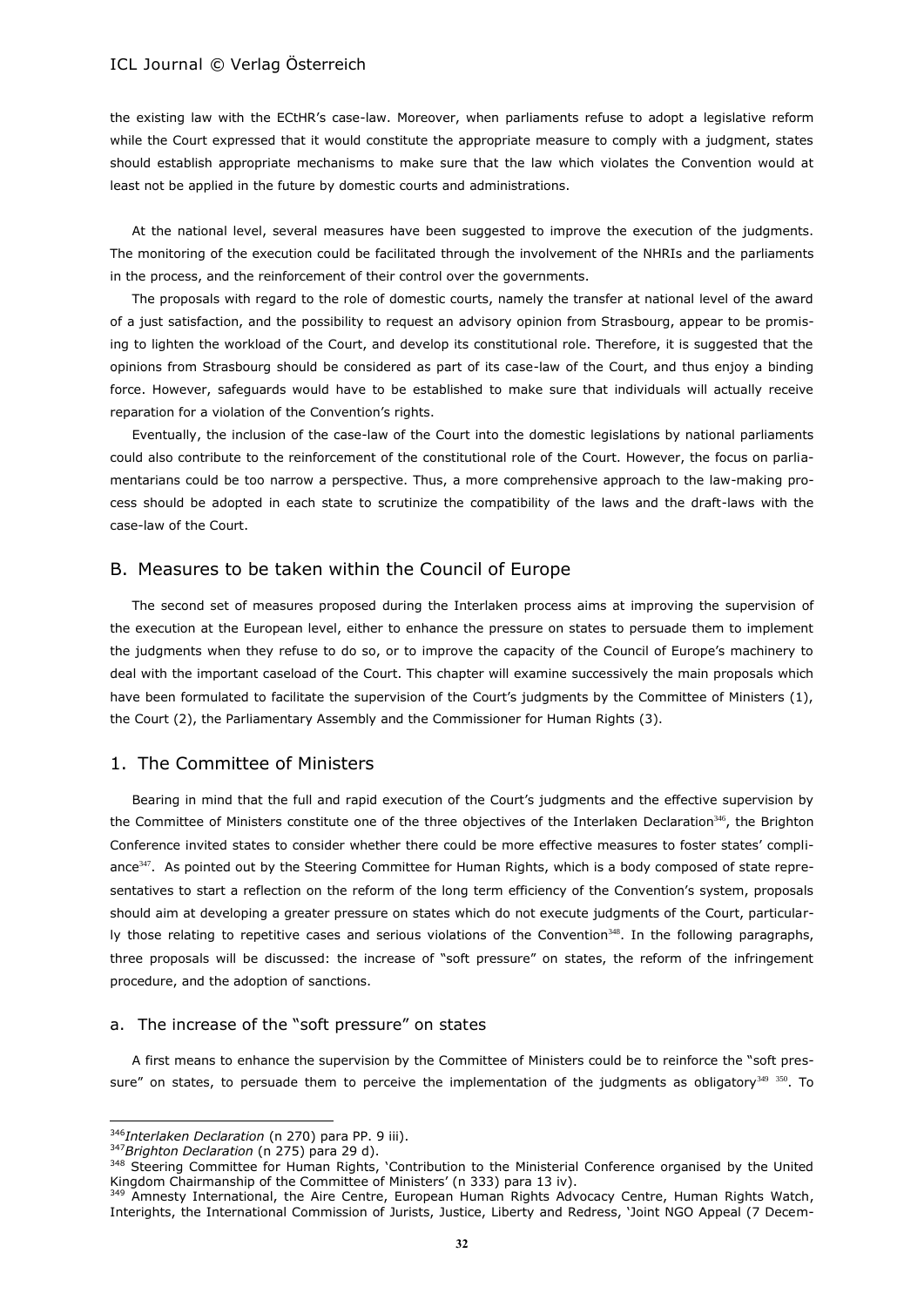the existing law with the ECtHR's case-law. Moreover, when parliaments refuse to adopt a legislative reform while the Court expressed that it would constitute the appropriate measure to comply with a judgment, states should establish appropriate mechanisms to make sure that the law which violates the Convention would at least not be applied in the future by domestic courts and administrations.

At the national level, several measures have been suggested to improve the execution of the judgments. The monitoring of the execution could be facilitated through the involvement of the NHRIs and the parliaments in the process, and the reinforcement of their control over the governments.

The proposals with regard to the role of domestic courts, namely the transfer at national level of the award of a just satisfaction, and the possibility to request an advisory opinion from Strasbourg, appear to be promising to lighten the workload of the Court, and develop its constitutional role. Therefore, it is suggested that the opinions from Strasbourg should be considered as part of its case-law of the Court, and thus enjoy a binding force. However, safeguards would have to be established to make sure that individuals will actually receive reparation for a violation of the Convention's rights.

Eventually, the inclusion of the case-law of the Court into the domestic legislations by national parliaments could also contribute to the reinforcement of the constitutional role of the Court. However, the focus on parliamentarians could be too narrow a perspective. Thus, a more comprehensive approach to the law-making process should be adopted in each state to scrutinize the compatibility of the laws and the draft-laws with the case-law of the Court.

# B. Measures to be taken within the Council of Europe

The second set of measures proposed during the Interlaken process aims at improving the supervision of the execution at the European level, either to enhance the pressure on states to persuade them to implement the judgments when they refuse to do so, or to improve the capacity of the Council of Europe's machinery to deal with the important caseload of the Court. This chapter will examine successively the main proposals which have been formulated to facilitate the supervision of the Court's judgments by the Committee of Ministers (1), the Court (2), the Parliamentary Assembly and the Commissioner for Human Rights (3).

# 1. The Committee of Ministers

Bearing in mind that the full and rapid execution of the Court's judgments and the effective supervision by the Committee of Ministers constitute one of the three objectives of the Interlaken Declaration<sup>346</sup>, the Brighton Conference invited states to consider whether there could be more effective measures to foster states' compliance<sup>347</sup>. As pointed out by the Steering Committee for Human Rights, which is a body composed of state representatives to start a reflection on the reform of the long term efficiency of the Convention's system, proposals should aim at developing a greater pressure on states which do not execute judgments of the Court, particularly those relating to repetitive cases and serious violations of the Convention<sup>348</sup>. In the following paragraphs, three proposals will be discussed: the increase of "soft pressure" on states, the reform of the infringement procedure, and the adoption of sanctions.

#### a. The increase of the "soft pressure" on states

A first means to enhance the supervision by the Committee of Ministers could be to reinforce the "soft pressure" on states, to persuade them to perceive the implementation of the judgments as obligatory $349 - 350$ . To

<sup>346</sup>*Interlaken Declaration* (n [270\)](#page-24-3) para PP. 9 iii).

<sup>347</sup>*Brighton Declaration* (n [275\)](#page-24-1) para 29 d).

<sup>348</sup> Steering Committee for Human Rights, 'Contribution to the Ministerial Conference organised by the United Kingdom Chairmanship of the Committee of Ministers' (n [333\)](#page-29-1) para 13 iv).

<sup>&</sup>lt;sup>349</sup> Amnesty International, the Aire Centre, European Human Rights Advocacy Centre, Human Rights Watch, Interights, the International Commission of Jurists, Justice, Liberty and Redress, 'Joint NGO Appeal (7 Decem-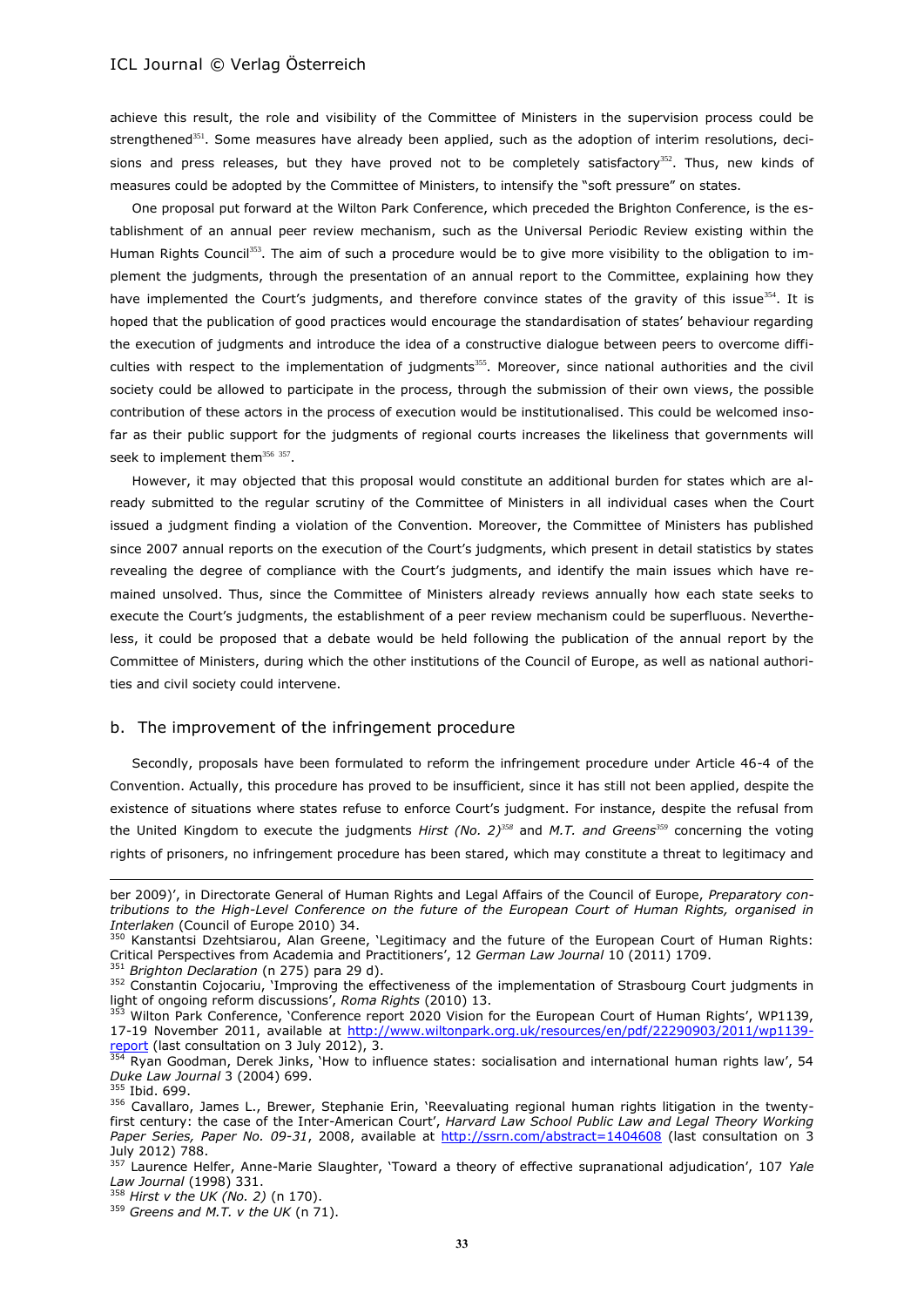<span id="page-32-0"></span>achieve this result, the role and visibility of the Committee of Ministers in the supervision process could be strengthened<sup>351</sup>. Some measures have already been applied, such as the adoption of interim resolutions, decisions and press releases, but they have proved not to be completely satisfactory<sup>352</sup>. Thus, new kinds of measures could be adopted by the Committee of Ministers, to intensify the "soft pressure" on states.

<span id="page-32-1"></span>One proposal put forward at the Wilton Park Conference, which preceded the Brighton Conference, is the establishment of an annual peer review mechanism, such as the Universal Periodic Review existing within the Human Rights Council<sup>353</sup>. The aim of such a procedure would be to give more visibility to the obligation to implement the judgments, through the presentation of an annual report to the Committee, explaining how they have implemented the Court's judgments, and therefore convince states of the gravity of this issue<sup>354</sup>. It is hoped that the publication of good practices would encourage the standardisation of states' behaviour regarding the execution of judgments and introduce the idea of a constructive dialogue between peers to overcome difficulties with respect to the implementation of judgments<sup>355</sup>. Moreover, since national authorities and the civil society could be allowed to participate in the process, through the submission of their own views, the possible contribution of these actors in the process of execution would be institutionalised. This could be welcomed insofar as their public support for the judgments of regional courts increases the likeliness that governments will seek to implement them<sup>356 357</sup>.

<span id="page-32-2"></span>However, it may objected that this proposal would constitute an additional burden for states which are already submitted to the regular scrutiny of the Committee of Ministers in all individual cases when the Court issued a judgment finding a violation of the Convention. Moreover, the Committee of Ministers has published since 2007 annual reports on the execution of the Court's judgments, which present in detail statistics by states revealing the degree of compliance with the Court's judgments, and identify the main issues which have remained unsolved. Thus, since the Committee of Ministers already reviews annually how each state seeks to execute the Court's judgments, the establishment of a peer review mechanism could be superfluous. Nevertheless, it could be proposed that a debate would be held following the publication of the annual report by the Committee of Ministers, during which the other institutions of the Council of Europe, as well as national authorities and civil society could intervene.

#### b. The improvement of the infringement procedure

Secondly, proposals have been formulated to reform the infringement procedure under Article 46-4 of the Convention. Actually, this procedure has proved to be insufficient, since it has still not been applied, despite the existence of situations where states refuse to enforce Court's judgment. For instance, despite the refusal from the United Kingdom to execute the judgments *Hirst (No. 2)<sup>358</sup>* and *M.T. and Greens<sup>359</sup>* concerning the voting rights of prisoners, no infringement procedure has been stared, which may constitute a threat to legitimacy and

ber 2009)', in Directorate General of Human Rights and Legal Affairs of the Council of Europe, *Preparatory contributions to the High-Level Conference on the future of the European Court of Human Rights, organised in Interlaken* (Council of Europe 2010) 34.

<sup>350</sup> Kanstantsi Dzehtsiarou, Alan Greene, 'Legitimacy and the future of the European Court of Human Rights: Critical Perspectives from Academia and Practitioners', 12 *German Law Journal* 10 (2011) 1709.

<sup>&</sup>lt;sup>51</sup> Brighton Declaration (n [275\)](#page-24-1) para 29 d).

<sup>352</sup> Constantin Cojocariu, 'Improving the effectiveness of the implementation of Strasbourg Court judgments in light of ongoing reform discussions', *Roma Rights* (2010) 13.

<sup>&</sup>lt;sup>353</sup> Wilton Park Conference, 'Conference report 2020 Vision for the European Court of Human Rights', WP1139, 17-19 November 2011, available at [http://www.wiltonpark.org.uk/resources/en/pdf/22290903/2011/wp1139](http://www.wiltonpark.org.uk/resources/en/pdf/22290903/2011/wp1139-report) [report](http://www.wiltonpark.org.uk/resources/en/pdf/22290903/2011/wp1139-report) (last consultation on 3 July 2012), 3.

<sup>&</sup>lt;sup>354</sup> Ryan Goodman, Derek Jinks, `How to influence states: socialisation and international human rights law', 54 *Duke Law Journal* 3 (2004) 699.

<sup>&</sup>lt;sup>355</sup> Ibid. 699.

<sup>356</sup> Cavallaro, James L., Brewer, Stephanie Erin, 'Reevaluating regional human rights litigation in the twentyfirst century: the case of the Inter-American Court', *Harvard Law School Public Law and Legal Theory Working Paper Series, Paper No. 09-31*, 2008, available at<http://ssrn.com/abstract=1404608> (last consultation on 3 July 2012) 788.

<sup>357</sup> Laurence Helfer, Anne-Marie Slaughter, 'Toward a theory of effective supranational adjudication', 107 *Yale Law Journal* (1998) 331.

<sup>358</sup> *Hirst v the UK (No. 2)* (n [170\)](#page-15-0).

<sup>359</sup> *Greens and M.T. v the UK* (n 71).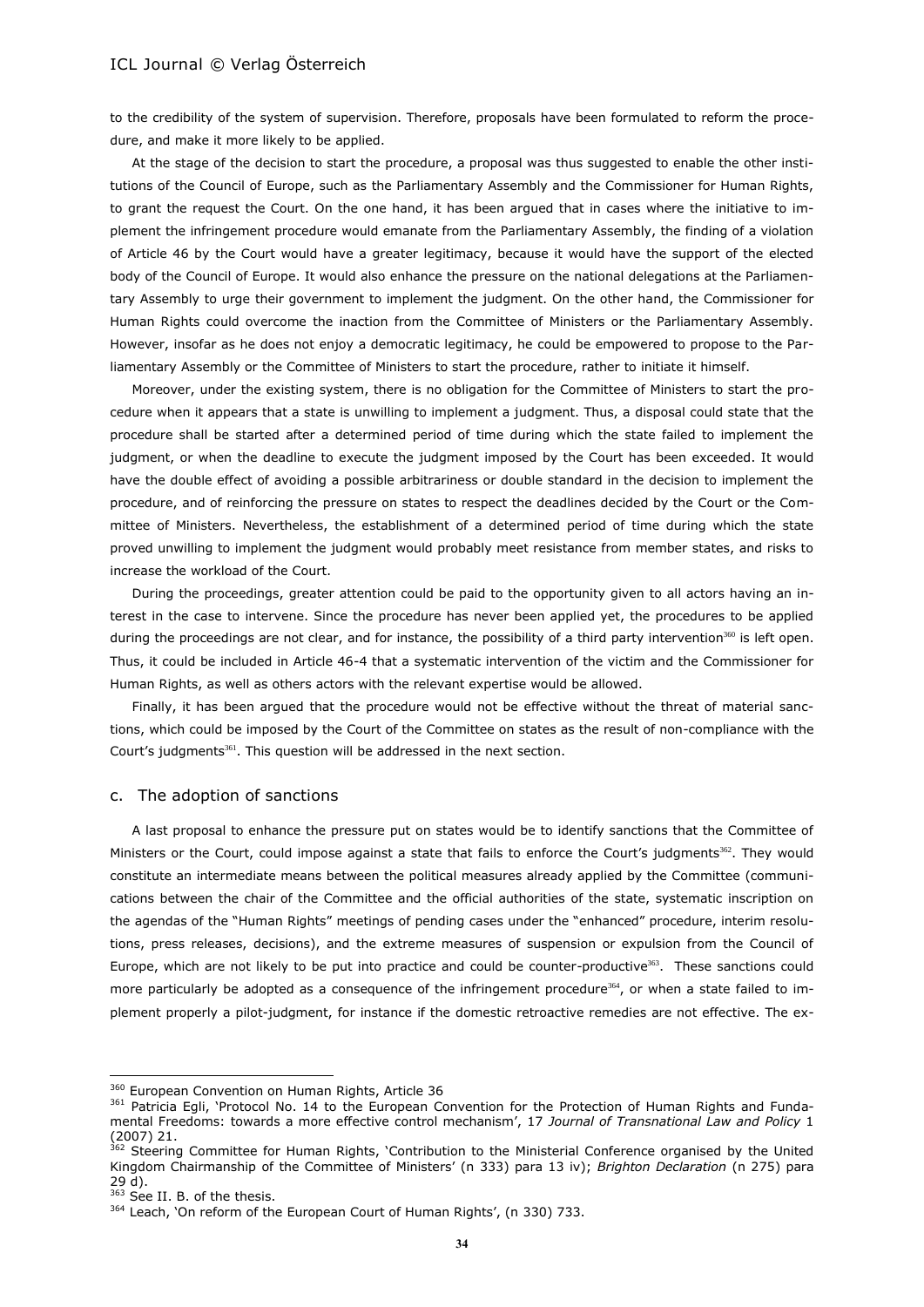to the credibility of the system of supervision. Therefore, proposals have been formulated to reform the procedure, and make it more likely to be applied.

At the stage of the decision to start the procedure, a proposal was thus suggested to enable the other institutions of the Council of Europe, such as the Parliamentary Assembly and the Commissioner for Human Rights, to grant the request the Court. On the one hand, it has been argued that in cases where the initiative to implement the infringement procedure would emanate from the Parliamentary Assembly, the finding of a violation of Article 46 by the Court would have a greater legitimacy, because it would have the support of the elected body of the Council of Europe. It would also enhance the pressure on the national delegations at the Parliamentary Assembly to urge their government to implement the judgment. On the other hand, the Commissioner for Human Rights could overcome the inaction from the Committee of Ministers or the Parliamentary Assembly. However, insofar as he does not enjoy a democratic legitimacy, he could be empowered to propose to the Parliamentary Assembly or the Committee of Ministers to start the procedure, rather to initiate it himself.

Moreover, under the existing system, there is no obligation for the Committee of Ministers to start the procedure when it appears that a state is unwilling to implement a judgment. Thus, a disposal could state that the procedure shall be started after a determined period of time during which the state failed to implement the judgment, or when the deadline to execute the judgment imposed by the Court has been exceeded. It would have the double effect of avoiding a possible arbitrariness or double standard in the decision to implement the procedure, and of reinforcing the pressure on states to respect the deadlines decided by the Court or the Committee of Ministers. Nevertheless, the establishment of a determined period of time during which the state proved unwilling to implement the judgment would probably meet resistance from member states, and risks to increase the workload of the Court.

During the proceedings, greater attention could be paid to the opportunity given to all actors having an interest in the case to intervene. Since the procedure has never been applied yet, the procedures to be applied during the proceedings are not clear, and for instance, the possibility of a third party intervention $360$  is left open. Thus, it could be included in Article 46-4 that a systematic intervention of the victim and the Commissioner for Human Rights, as well as others actors with the relevant expertise would be allowed.

Finally, it has been argued that the procedure would not be effective without the threat of material sanctions, which could be imposed by the Court of the Committee on states as the result of non-compliance with the Court's judgments<sup>361</sup>. This question will be addressed in the next section.

#### c. The adoption of sanctions

A last proposal to enhance the pressure put on states would be to identify sanctions that the Committee of Ministers or the Court, could impose against a state that fails to enforce the Court's judgments<sup>362</sup>. They would constitute an intermediate means between the political measures already applied by the Committee (communications between the chair of the Committee and the official authorities of the state, systematic inscription on the agendas of the "Human Rights" meetings of pending cases under the "enhanced" procedure, interim resolutions, press releases, decisions), and the extreme measures of suspension or expulsion from the Council of Europe, which are not likely to be put into practice and could be counter-productive $363$ . These sanctions could more particularly be adopted as a consequence of the infringement procedure<sup>364</sup>, or when a state failed to implement properly a pilot-judgment, for instance if the domestic retroactive remedies are not effective. The ex-

<sup>&</sup>lt;sup>360</sup> European Convention on Human Rights, Article 36

<sup>361</sup> Patricia Egli, 'Protocol No. 14 to the European Convention for the Protection of Human Rights and Fundamental Freedoms: towards a more effective control mechanism', 17 *Journal of Transnational Law and Policy* 1 (2007) 21.

<sup>&</sup>lt;sup>362</sup> Steering Committee for Human Rights, `Contribution to the Ministerial Conference organised by the United Kingdom Chairmanship of the Committee of Ministers' (n [333\)](#page-29-1) para 13 iv); *Brighton Declaration* (n [275\)](#page-24-1) para 29 d).

 $363$  See II. B. of the thesis.

<sup>&</sup>lt;sup>364</sup> Leach, 'On reform of the European Court of Human Rights', (n [330\)](#page-29-0) 733.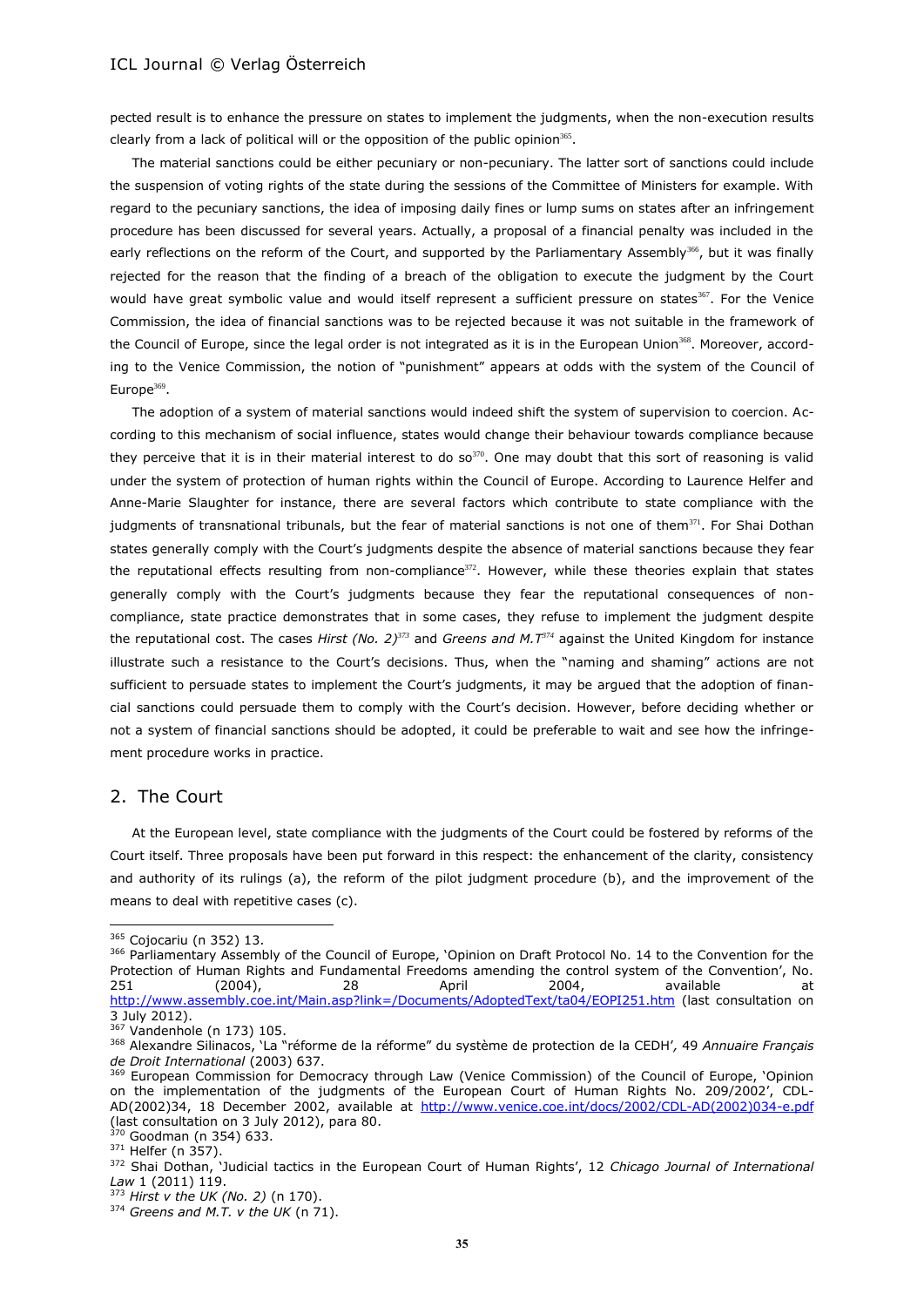pected result is to enhance the pressure on states to implement the judgments, when the non-execution results clearly from a lack of political will or the opposition of the public opinion $365$ .

The material sanctions could be either pecuniary or non-pecuniary. The latter sort of sanctions could include the suspension of voting rights of the state during the sessions of the Committee of Ministers for example. With regard to the pecuniary sanctions, the idea of imposing daily fines or lump sums on states after an infringement procedure has been discussed for several years. Actually, a proposal of a financial penalty was included in the early reflections on the reform of the Court, and supported by the Parliamentary Assembly<sup>366</sup>, but it was finally rejected for the reason that the finding of a breach of the obligation to execute the judgment by the Court would have great symbolic value and would itself represent a sufficient pressure on states<sup>367</sup>. For the Venice Commission, the idea of financial sanctions was to be rejected because it was not suitable in the framework of the Council of Europe, since the legal order is not integrated as it is in the European Union<sup>368</sup>. Moreover, according to the Venice Commission, the notion of "punishment" appears at odds with the system of the Council of Europe $369$ .

The adoption of a system of material sanctions would indeed shift the system of supervision to coercion. According to this mechanism of social influence, states would change their behaviour towards compliance because they perceive that it is in their material interest to do so $370$ . One may doubt that this sort of reasoning is valid under the system of protection of human rights within the Council of Europe. According to Laurence Helfer and Anne-Marie Slaughter for instance, there are several factors which contribute to state compliance with the judgments of transnational tribunals, but the fear of material sanctions is not one of them<sup>371</sup>. For Shai Dothan states generally comply with the Court's judgments despite the absence of material sanctions because they fear the reputational effects resulting from non-compliance<sup>372</sup>. However, while these theories explain that states generally comply with the Court's judgments because they fear the reputational consequences of noncompliance, state practice demonstrates that in some cases, they refuse to implement the judgment despite the reputational cost. The cases *Hirst (No. 2)<sup>373</sup>* and *Greens and M.T<sup>374</sup>* against the United Kingdom for instance illustrate such a resistance to the Court's decisions. Thus, when the "naming and shaming" actions are not sufficient to persuade states to implement the Court's judgments, it may be argued that the adoption of financial sanctions could persuade them to comply with the Court's decision. However, before deciding whether or not a system of financial sanctions should be adopted, it could be preferable to wait and see how the infringement procedure works in practice.

### 2. The Court

At the European level, state compliance with the judgments of the Court could be fostered by reforms of the Court itself. Three proposals have been put forward in this respect: the enhancement of the clarity, consistency and authority of its rulings (a), the reform of the pilot judgment procedure (b), and the improvement of the means to deal with repetitive cases (c).

l

<sup>&</sup>lt;sup>365</sup> Cojocariu (n [352\)](#page-32-0) 13.

<sup>366</sup> Parliamentary Assembly of the Council of Europe, 'Opinion on Draft Protocol No. 14 to the Convention for the Protection of Human Rights and Fundamental Freedoms amending the control system of the Convention', No. 251 (2004), 28 April 2004, available at <http://www.assembly.coe.int/Main.asp?link=/Documents/AdoptedText/ta04/EOPI251.htm> (last consultation on 3 July 2012).

<sup>367</sup> Vandenhole ([n 173\)](#page-16-0) 105.

<sup>368</sup> Alexandre Silinacos, 'La "réforme de la réforme" du système de protection de la CEDH'*,* 49 *Annuaire Français de Droit International* (2003) 637.

<sup>&</sup>lt;sup>369</sup> European Commission for Democracy through Law (Venice Commission) of the Council of Europe, 'Opinion on the implementation of the judgments of the European Court of Human Rights No. 209/2002', CDL-AD(2002)34, 18 December 2002, available at [http://www.venice.coe.int/docs/2002/CDL-AD\(2002\)034-e.pdf](http://www.venice.coe.int/docs/2002/CDL-AD(2002)034-e.pdf) (last consultation on 3 July 2012), para 80.

 $70$  Goodman (n [354\)](#page-32-1) 633.

<sup>371</sup> Helfer ([n 357\)](#page-32-2).

<sup>372</sup> Shai Dothan, 'Judicial tactics in the European Court of Human Rights', 12 *Chicago Journal of International Law* 1 (2011) 119.

<sup>373</sup> *Hirst v the UK (No. 2)* (n [170\)](#page-15-0).

<sup>374</sup> *Greens and M.T. v the UK* (n 71).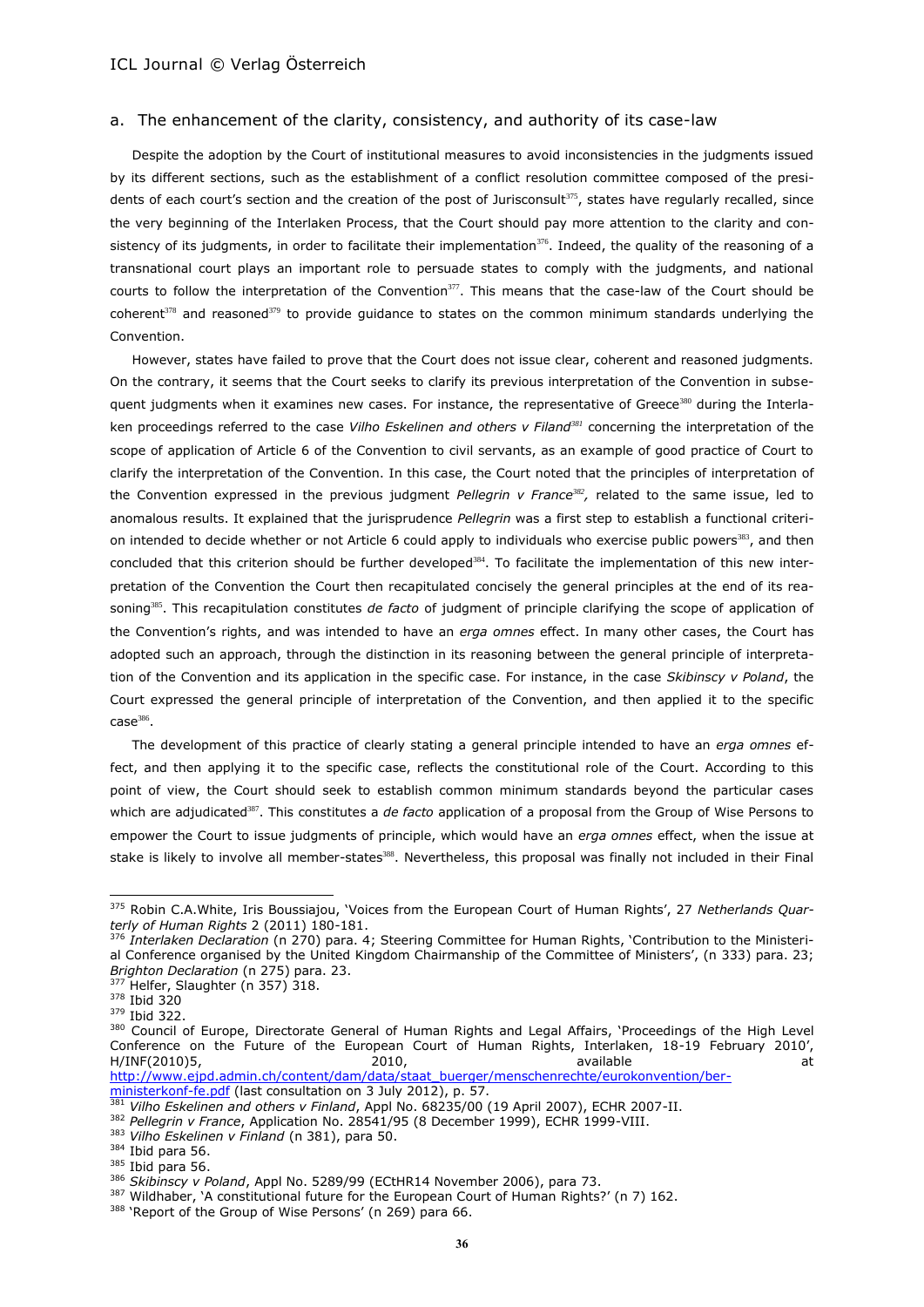#### a. The enhancement of the clarity, consistency, and authority of its case-law

Despite the adoption by the Court of institutional measures to avoid inconsistencies in the judgments issued by its different sections, such as the establishment of a conflict resolution committee composed of the presidents of each court's section and the creation of the post of Jurisconsult<sup>375</sup>, states have regularly recalled, since the very beginning of the Interlaken Process, that the Court should pay more attention to the clarity and consistency of its judgments, in order to facilitate their implementation<sup>376</sup>. Indeed, the quality of the reasoning of a transnational court plays an important role to persuade states to comply with the judgments, and national courts to follow the interpretation of the Convention $377$ . This means that the case-law of the Court should be coherent $378$  and reasoned $379$  to provide quidance to states on the common minimum standards underlying the Convention.

<span id="page-35-0"></span>However, states have failed to prove that the Court does not issue clear, coherent and reasoned judgments. On the contrary, it seems that the Court seeks to clarify its previous interpretation of the Convention in subsequent judgments when it examines new cases. For instance, the representative of Greece<sup>380</sup> during the Interlaken proceedings referred to the case *Vilho Eskelinen and others v Filand<sup>381</sup>* concerning the interpretation of the scope of application of Article 6 of the Convention to civil servants, as an example of good practice of Court to clarify the interpretation of the Convention. In this case, the Court noted that the principles of interpretation of the Convention expressed in the previous judgment *Pellegrin v France*<sup>382</sup>, related to the same issue, led to anomalous results. It explained that the jurisprudence *Pellegrin* was a first step to establish a functional criterion intended to decide whether or not Article 6 could apply to individuals who exercise public powers<sup>383</sup>, and then concluded that this criterion should be further developed<sup>384</sup>. To facilitate the implementation of this new interpretation of the Convention the Court then recapitulated concisely the general principles at the end of its reasoning<sup>385</sup>. This recapitulation constitutes *de facto* of judgment of principle clarifying the scope of application of the Convention's rights, and was intended to have an *erga omnes* effect. In many other cases, the Court has adopted such an approach, through the distinction in its reasoning between the general principle of interpretation of the Convention and its application in the specific case. For instance, in the case *Skibinscy v Poland*, the Court expressed the general principle of interpretation of the Convention, and then applied it to the specific  $\mathsf{case}^\mathsf{386}.$ 

The development of this practice of clearly stating a general principle intended to have an *erga omnes* effect, and then applying it to the specific case, reflects the constitutional role of the Court. According to this point of view, the Court should seek to establish common minimum standards beyond the particular cases which are adjudicated<sup>387</sup>. This constitutes a *de facto* application of a proposal from the Group of Wise Persons to empower the Court to issue judgments of principle, which would have an *erga omnes* effect, when the issue at stake is likely to involve all member-states<sup>388</sup>. Nevertheless, this proposal was finally not included in their Final

<sup>375</sup> Robin C.A.White, Iris Boussiajou, 'Voices from the European Court of Human Rights', 27 *Netherlands Quarterly of Human Rights* 2 (2011) 180-181.

<sup>&</sup>lt;sup>376</sup> Interlaken Declaration (n [270](#page-24-3)) para. 4; Steering Committee for Human Rights, 'Contribution to the Ministerial Conference organised by the United Kingdom Chairmanship of the Committee of Ministers', (n [333\)](#page-29-1) para. 23; *Brighton Declaration* (n [275\)](#page-24-1) para. 23.

Helfer, Slaughter (n [357\)](#page-32-2) 318.

<sup>378</sup> Ibid 320

<sup>379</sup> Ibid 322.

<sup>380</sup> Council of Europe, Directorate General of Human Rights and Legal Affairs, 'Proceedings of the High Level Conference on the Future of the European Court of Human Rights, Interlaken, 18-19 February 2010', H/INF(2010)5, 2010, available at [http://www.ejpd.admin.ch/content/dam/data/staat\\_buerger/menschenrechte/eurokonvention/ber-](http://www.ejpd.admin.ch/content/dam/data/staat_buerger/menschenrechte/eurokonvention/ber-ministerkonf-fe.pdf)

[ministerkonf-fe.pdf](http://www.ejpd.admin.ch/content/dam/data/staat_buerger/menschenrechte/eurokonvention/ber-ministerkonf-fe.pdf) (last consultation on 3 July 2012), p. 57.

<sup>381</sup> *Vilho Eskelinen and others v Finland*, Appl No. 68235/00 (19 April 2007), ECHR 2007-II.

<sup>382</sup> *Pellegrin v France*, Application No. 28541/95 (8 December 1999), ECHR 1999-VIII.

<sup>383</sup> *Vilho Eskelinen v Finland* (n [381\)](#page-35-0), para 50.

<sup>384</sup> Ibid para 56. <sup>385</sup> Ibid para 56.

<sup>&</sup>lt;sup>386</sup> Skibinscy v Poland, Appl No. 5289/99 (ECtHR14 November 2006), para 73.

<sup>387</sup> Wildhaber, 'A constitutional future for the European Court of Human Rights?' (n [7\)](#page-1-0) 162.

<sup>388 &#</sup>x27;Report of the Group of Wise Persons' (n [269\)](#page-24-2) para 66.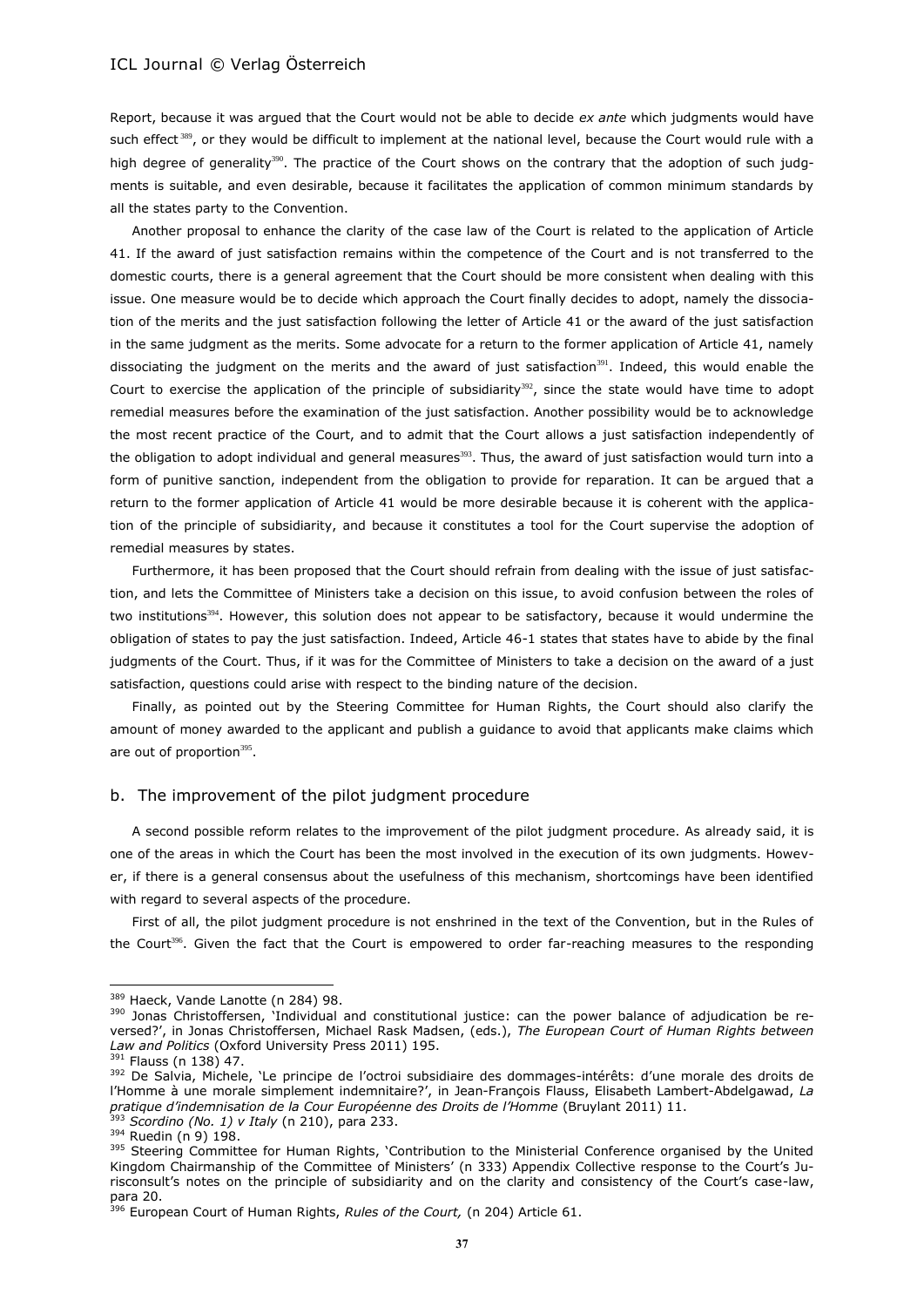Report, because it was argued that the Court would not be able to decide *ex ante* which judgments would have such effect 389, or they would be difficult to implement at the national level, because the Court would rule with a high degree of generality<sup>390</sup>. The practice of the Court shows on the contrary that the adoption of such judgments is suitable, and even desirable, because it facilitates the application of common minimum standards by all the states party to the Convention.

Another proposal to enhance the clarity of the case law of the Court is related to the application of Article 41. If the award of just satisfaction remains within the competence of the Court and is not transferred to the domestic courts, there is a general agreement that the Court should be more consistent when dealing with this issue. One measure would be to decide which approach the Court finally decides to adopt, namely the dissociation of the merits and the just satisfaction following the letter of Article 41 or the award of the just satisfaction in the same judgment as the merits. Some advocate for a return to the former application of Article 41, namely dissociating the judgment on the merits and the award of just satisfaction<sup>391</sup>. Indeed, this would enable the Court to exercise the application of the principle of subsidiarity $392$ , since the state would have time to adopt remedial measures before the examination of the just satisfaction. Another possibility would be to acknowledge the most recent practice of the Court, and to admit that the Court allows a just satisfaction independently of the obligation to adopt individual and general measures $393$ . Thus, the award of just satisfaction would turn into a form of punitive sanction, independent from the obligation to provide for reparation. It can be argued that a return to the former application of Article 41 would be more desirable because it is coherent with the application of the principle of subsidiarity, and because it constitutes a tool for the Court supervise the adoption of remedial measures by states.

Furthermore, it has been proposed that the Court should refrain from dealing with the issue of just satisfaction, and lets the Committee of Ministers take a decision on this issue, to avoid confusion between the roles of two institutions<sup>394</sup>. However, this solution does not appear to be satisfactory, because it would undermine the obligation of states to pay the just satisfaction. Indeed, Article 46-1 states that states have to abide by the final judgments of the Court. Thus, if it was for the Committee of Ministers to take a decision on the award of a just satisfaction, questions could arise with respect to the binding nature of the decision.

Finally, as pointed out by the Steering Committee for Human Rights, the Court should also clarify the amount of money awarded to the applicant and publish a guidance to avoid that applicants make claims which are out of proportion<sup>395</sup>.

#### b. The improvement of the pilot judgment procedure

A second possible reform relates to the improvement of the pilot judgment procedure. As already said, it is one of the areas in which the Court has been the most involved in the execution of its own judgments. However, if there is a general consensus about the usefulness of this mechanism, shortcomings have been identified with regard to several aspects of the procedure.

First of all, the pilot judgment procedure is not enshrined in the text of the Convention, but in the Rules of the Court<sup>396</sup>. Given the fact that the Court is empowered to order far-reaching measures to the responding

<sup>389</sup> Haeck, Vande Lanotte (n [284\)](#page-25-0) 98.

<sup>&</sup>lt;sup>390</sup> Jonas Christoffersen, Individual and constitutional justice: can the power balance of adjudication be reversed?', in Jonas Christoffersen, Michael Rask Madsen, (eds.), *The European Court of Human Rights between Law and Politics* (Oxford University Press 2011) 195.

<sup>391</sup> Flauss ([n 138\)](#page-13-1) 47.

<sup>392</sup> De Salvia, Michele, 'Le principe de l'octroi subsidiaire des dommages-intérêts: d'une morale des droits de l'Homme à une morale simplement indemnitaire?', in Jean-François Flauss, Elisabeth Lambert-Abdelgawad, *La pratique d'indemnisation de la Cour Européenne des Droits de l'Homme* (Bruylant 2011) 11. <sup>393</sup> *Scordino (No. 1) v Italy* (n [210\)](#page-19-0), para 233.

<sup>394</sup> Ruedin (n 9) 198.

<sup>&</sup>lt;sup>395</sup> Steering Committee for Human Rights, 'Contribution to the Ministerial Conference organised by the United Kingdom Chairmanship of the Committee of Ministers' (n [333](#page-29-1)) Appendix Collective response to the Court's Jurisconsult's notes on the principle of subsidiarity and on the clarity and consistency of the Court's case-law, para 20.

<sup>396</sup> European Court of Human Rights, *Rules of the Court,* (n [204\)](#page-18-4) Article 61.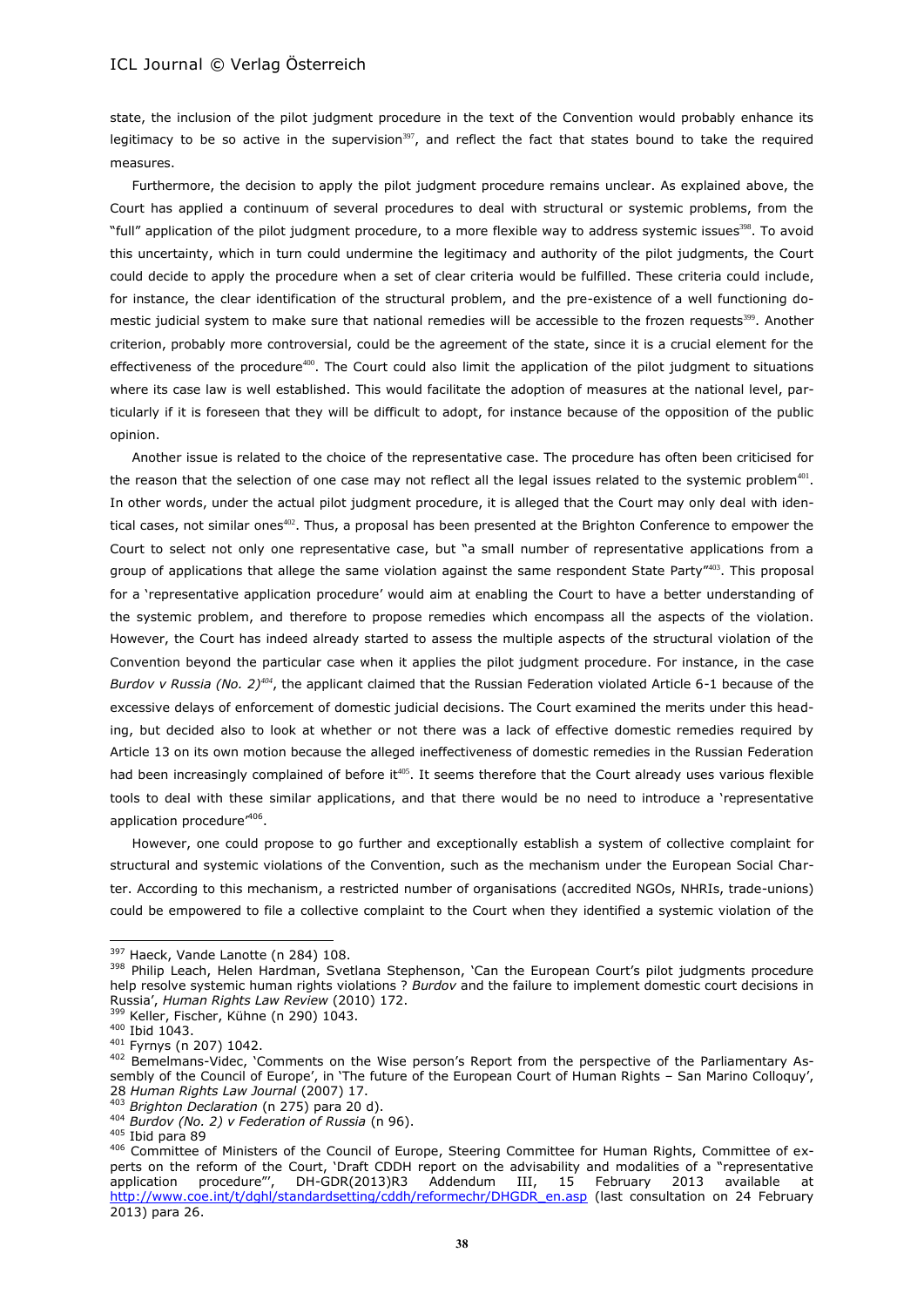state, the inclusion of the pilot judgment procedure in the text of the Convention would probably enhance its legitimacy to be so active in the supervision<sup>397</sup>, and reflect the fact that states bound to take the required measures.

Furthermore, the decision to apply the pilot judgment procedure remains unclear. As explained above, the Court has applied a continuum of several procedures to deal with structural or systemic problems, from the "full" application of the pilot judgment procedure, to a more flexible way to address systemic issues<sup>398</sup>. To avoid this uncertainty, which in turn could undermine the legitimacy and authority of the pilot judgments, the Court could decide to apply the procedure when a set of clear criteria would be fulfilled. These criteria could include, for instance, the clear identification of the structural problem, and the pre-existence of a well functioning domestic judicial system to make sure that national remedies will be accessible to the frozen requests<sup>399</sup>. Another criterion, probably more controversial, could be the agreement of the state, since it is a crucial element for the effectiveness of the procedure<sup>400</sup>. The Court could also limit the application of the pilot judgment to situations where its case law is well established. This would facilitate the adoption of measures at the national level, particularly if it is foreseen that they will be difficult to adopt, for instance because of the opposition of the public opinion.

Another issue is related to the choice of the representative case. The procedure has often been criticised for the reason that the selection of one case may not reflect all the legal issues related to the systemic problem $^{401}$ . In other words, under the actual pilot judgment procedure, it is alleged that the Court may only deal with identical cases, not similar ones<sup>402</sup>. Thus, a proposal has been presented at the Brighton Conference to empower the Court to select not only one representative case, but "a small number of representative applications from a group of applications that allege the same violation against the same respondent State Party"<sup>403</sup>. This proposal for a 'representative application procedure' would aim at enabling the Court to have a better understanding of the systemic problem, and therefore to propose remedies which encompass all the aspects of the violation. However, the Court has indeed already started to assess the multiple aspects of the structural violation of the Convention beyond the particular case when it applies the pilot judgment procedure. For instance, in the case *Burdov v Russia (No. 2)<sup>404</sup>*, the applicant claimed that the Russian Federation violated Article 6-1 because of the excessive delays of enforcement of domestic judicial decisions. The Court examined the merits under this heading, but decided also to look at whether or not there was a lack of effective domestic remedies required by Article 13 on its own motion because the alleged ineffectiveness of domestic remedies in the Russian Federation had been increasingly complained of before it<sup>405</sup>. It seems therefore that the Court already uses various flexible tools to deal with these similar applications, and that there would be no need to introduce a 'representative application procedure<sup>'406</sup>.

However, one could propose to go further and exceptionally establish a system of collective complaint for structural and systemic violations of the Convention, such as the mechanism under the European Social Charter. According to this mechanism, a restricted number of organisations (accredited NGOs, NHRIs, trade-unions) could be empowered to file a collective complaint to the Court when they identified a systemic violation of the

l

<sup>397</sup> Haeck, Vande Lanotte (n [284\)](#page-25-0) 108.

<sup>398</sup> Philip Leach, Helen Hardman, Svetlana Stephenson, 'Can the European Court's pilot judgments procedure help resolve systemic human rights violations ? *Burdov* and the failure to implement domestic court decisions in Russia', *Human Rights Law Review* (2010) 172.

<sup>399</sup> Keller, Fischer, Kühne (n [290\)](#page-26-1) 1043.

<sup>400</sup> Ibid 1043.

<sup>401</sup> Fyrnys (n [207\)](#page-18-1) 1042.

<sup>402</sup> Bemelmans-Videc, 'Comments on the Wise person's Report from the perspective of the Parliamentary Assembly of the Council of Europe', in 'The future of the European Court of Human Rights – San Marino Colloquy', 28 *Human Rights Law Journal* (2007) 17.

<sup>403</sup> *Brighton Declaration* (n [275\)](#page-24-1) para 20 d).

<sup>404</sup> *Burdov (No. 2) v Federation of Russia* (n 96).

<sup>405</sup> Ibid para 89

<sup>406</sup> Committee of Ministers of the Council of Europe, Steering Committee for Human Rights, Committee of experts on the reform of the Court, 'Draft CDDH report on the advisability and modalities of a "representative application procedure"', DH-GDR(2013)R3 Addendum III, 15 February 2013 available at [http://www.coe.int/t/dghl/standardsetting/cddh/reformechr/DHGDR\\_en.asp](http://www.coe.int/t/dghl/standardsetting/cddh/reformechr/DHGDR_en.asp) (last consultation on 24 February 2013) para 26.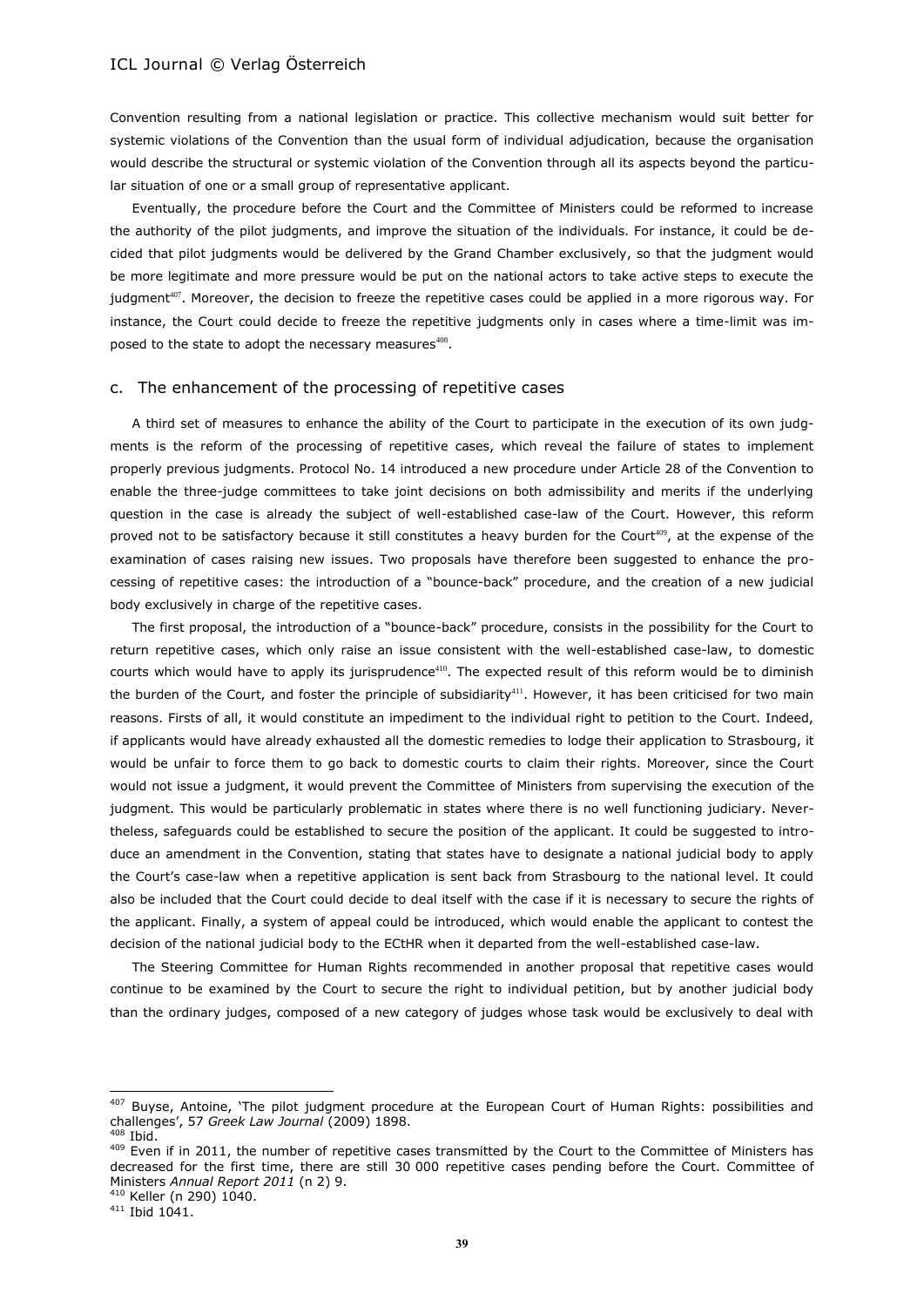Convention resulting from a national legislation or practice. This collective mechanism would suit better for systemic violations of the Convention than the usual form of individual adjudication, because the organisation would describe the structural or systemic violation of the Convention through all its aspects beyond the particular situation of one or a small group of representative applicant.

Eventually, the procedure before the Court and the Committee of Ministers could be reformed to increase the authority of the pilot judgments, and improve the situation of the individuals. For instance, it could be decided that pilot judgments would be delivered by the Grand Chamber exclusively, so that the judgment would be more legitimate and more pressure would be put on the national actors to take active steps to execute the judgment<sup>407</sup>. Moreover, the decision to freeze the repetitive cases could be applied in a more rigorous way. For instance, the Court could decide to freeze the repetitive judgments only in cases where a time-limit was imposed to the state to adopt the necessary measures<sup>408</sup>.

#### c. The enhancement of the processing of repetitive cases

A third set of measures to enhance the ability of the Court to participate in the execution of its own judgments is the reform of the processing of repetitive cases, which reveal the failure of states to implement properly previous judgments. Protocol No. 14 introduced a new procedure under Article 28 of the Convention to enable the three-judge committees to take joint decisions on both admissibility and merits if the underlying question in the case is already the subject of well-established case-law of the Court. However, this reform proved not to be satisfactory because it still constitutes a heavy burden for the Court<sup>409</sup>, at the expense of the examination of cases raising new issues. Two proposals have therefore been suggested to enhance the processing of repetitive cases: the introduction of a "bounce-back" procedure, and the creation of a new judicial body exclusively in charge of the repetitive cases.

The first proposal, the introduction of a "bounce-back" procedure, consists in the possibility for the Court to return repetitive cases, which only raise an issue consistent with the well-established case-law, to domestic courts which would have to apply its jurisprudence<sup>410</sup>. The expected result of this reform would be to diminish the burden of the Court, and foster the principle of subsidiarity<sup>411</sup>. However, it has been criticised for two main reasons. Firsts of all, it would constitute an impediment to the individual right to petition to the Court. Indeed, if applicants would have already exhausted all the domestic remedies to lodge their application to Strasbourg, it would be unfair to force them to go back to domestic courts to claim their rights. Moreover, since the Court would not issue a judgment, it would prevent the Committee of Ministers from supervising the execution of the judgment. This would be particularly problematic in states where there is no well functioning judiciary. Nevertheless, safeguards could be established to secure the position of the applicant. It could be suggested to introduce an amendment in the Convention, stating that states have to designate a national judicial body to apply the Court's case-law when a repetitive application is sent back from Strasbourg to the national level. It could also be included that the Court could decide to deal itself with the case if it is necessary to secure the rights of the applicant. Finally, a system of appeal could be introduced, which would enable the applicant to contest the decision of the national judicial body to the ECtHR when it departed from the well-established case-law.

The Steering Committee for Human Rights recommended in another proposal that repetitive cases would continue to be examined by the Court to secure the right to individual petition, but by another judicial body than the ordinary judges, composed of a new category of judges whose task would be exclusively to deal with

 $\overline{\phantom{a}}$ 

<sup>407</sup> Buyse, Antoine, 'The pilot judgment procedure at the European Court of Human Rights: possibilities and challenges', 57 *Greek Law Journal* (2009) 1898. Ibid.

<sup>&</sup>lt;sup>409</sup> Even if in 2011, the number of repetitive cases transmitted by the Court to the Committee of Ministers has decreased for the first time, there are still 30 000 repetitive cases pending before the Court. Committee of Ministers *Annual Report 2011* (n [2\)](#page-0-1) 9.

<sup>410</sup> Keller ([n 290\)](#page-26-1) 1040.

<sup>411</sup> Ibid 1041.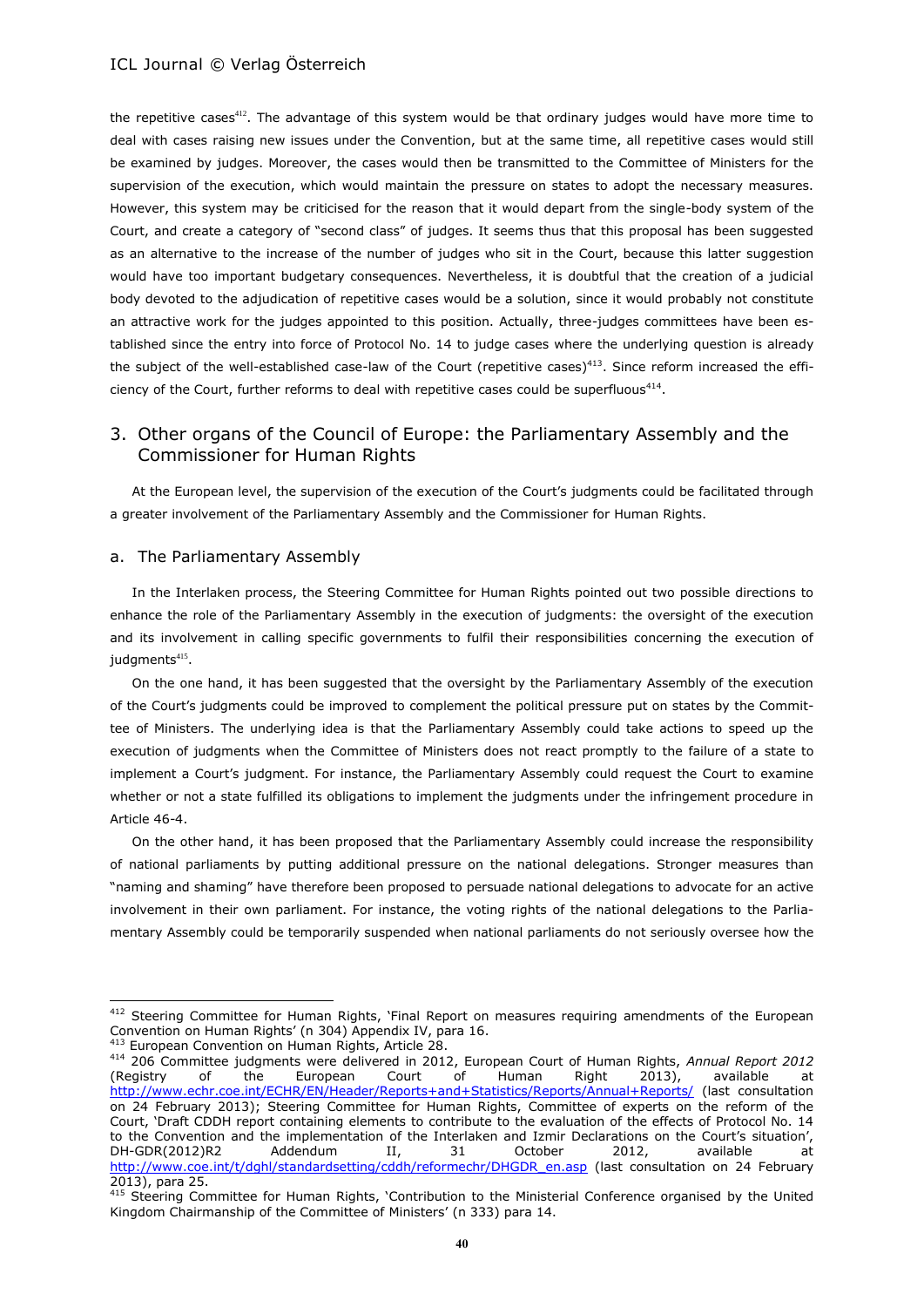the repetitive cases<sup>412</sup>. The advantage of this system would be that ordinary judges would have more time to deal with cases raising new issues under the Convention, but at the same time, all repetitive cases would still be examined by judges. Moreover, the cases would then be transmitted to the Committee of Ministers for the supervision of the execution, which would maintain the pressure on states to adopt the necessary measures. However, this system may be criticised for the reason that it would depart from the single-body system of the Court, and create a category of "second class" of judges. It seems thus that this proposal has been suggested as an alternative to the increase of the number of judges who sit in the Court, because this latter suggestion would have too important budgetary consequences. Nevertheless, it is doubtful that the creation of a judicial body devoted to the adjudication of repetitive cases would be a solution, since it would probably not constitute an attractive work for the judges appointed to this position. Actually, three-judges committees have been established since the entry into force of Protocol No. 14 to judge cases where the underlying question is already the subject of the well-established case-law of the Court (repetitive cases)<sup>413</sup>. Since reform increased the efficiency of the Court, further reforms to deal with repetitive cases could be superfluous<sup>414</sup>.

# 3. Other organs of the Council of Europe: the Parliamentary Assembly and the Commissioner for Human Rights

At the European level, the supervision of the execution of the Court's judgments could be facilitated through a greater involvement of the Parliamentary Assembly and the Commissioner for Human Rights.

#### a. The Parliamentary Assembly

In the Interlaken process, the Steering Committee for Human Rights pointed out two possible directions to enhance the role of the Parliamentary Assembly in the execution of judgments: the oversight of the execution and its involvement in calling specific governments to fulfil their responsibilities concerning the execution of judgments<sup>415</sup>.

On the one hand, it has been suggested that the oversight by the Parliamentary Assembly of the execution of the Court's judgments could be improved to complement the political pressure put on states by the Committee of Ministers. The underlying idea is that the Parliamentary Assembly could take actions to speed up the execution of judgments when the Committee of Ministers does not react promptly to the failure of a state to implement a Court's judgment. For instance, the Parliamentary Assembly could request the Court to examine whether or not a state fulfilled its obligations to implement the judgments under the infringement procedure in Article 46-4.

On the other hand, it has been proposed that the Parliamentary Assembly could increase the responsibility of national parliaments by putting additional pressure on the national delegations. Stronger measures than "naming and shaming" have therefore been proposed to persuade national delegations to advocate for an active involvement in their own parliament. For instance, the voting rights of the national delegations to the Parliamentary Assembly could be temporarily suspended when national parliaments do not seriously oversee how the

<sup>412</sup> Steering Committee for Human Rights, 'Final Report on measures requiring amendments of the European Convention on Human Rights' (n [304\)](#page-27-0) Appendix IV, para 16.

<sup>413</sup> European Convention on Human Rights, Article 28.

<sup>414</sup> 206 Committee judgments were delivered in 2012, European Court of Human Rights, *Annual Report 2012* (Registry of the European Court of Human Right 2013), available at <http://www.echr.coe.int/ECHR/EN/Header/Reports+and+Statistics/Reports/Annual+Reports/> (last consultation on 24 February 2013); Steering Committee for Human Rights, Committee of experts on the reform of the Court, 'Draft CDDH report containing elements to contribute to the evaluation of the effects of Protocol No. 14 to the Convention and the implementation of the Interlaken and Izmir Declarations on the Court's situation', DH-GDR(2012)R2 Addendum II, 31 October 2012, available at [http://www.coe.int/t/dghl/standardsetting/cddh/reformechr/DHGDR\\_en.asp](http://www.coe.int/t/dghl/standardsetting/cddh/reformechr/DHGDR_en.asp) (last consultation on 24 February 2013), para 25.

<sup>415</sup> Steering Committee for Human Rights, 'Contribution to the Ministerial Conference organised by the United Kingdom Chairmanship of the Committee of Ministers' (n [333\)](#page-29-1) para 14.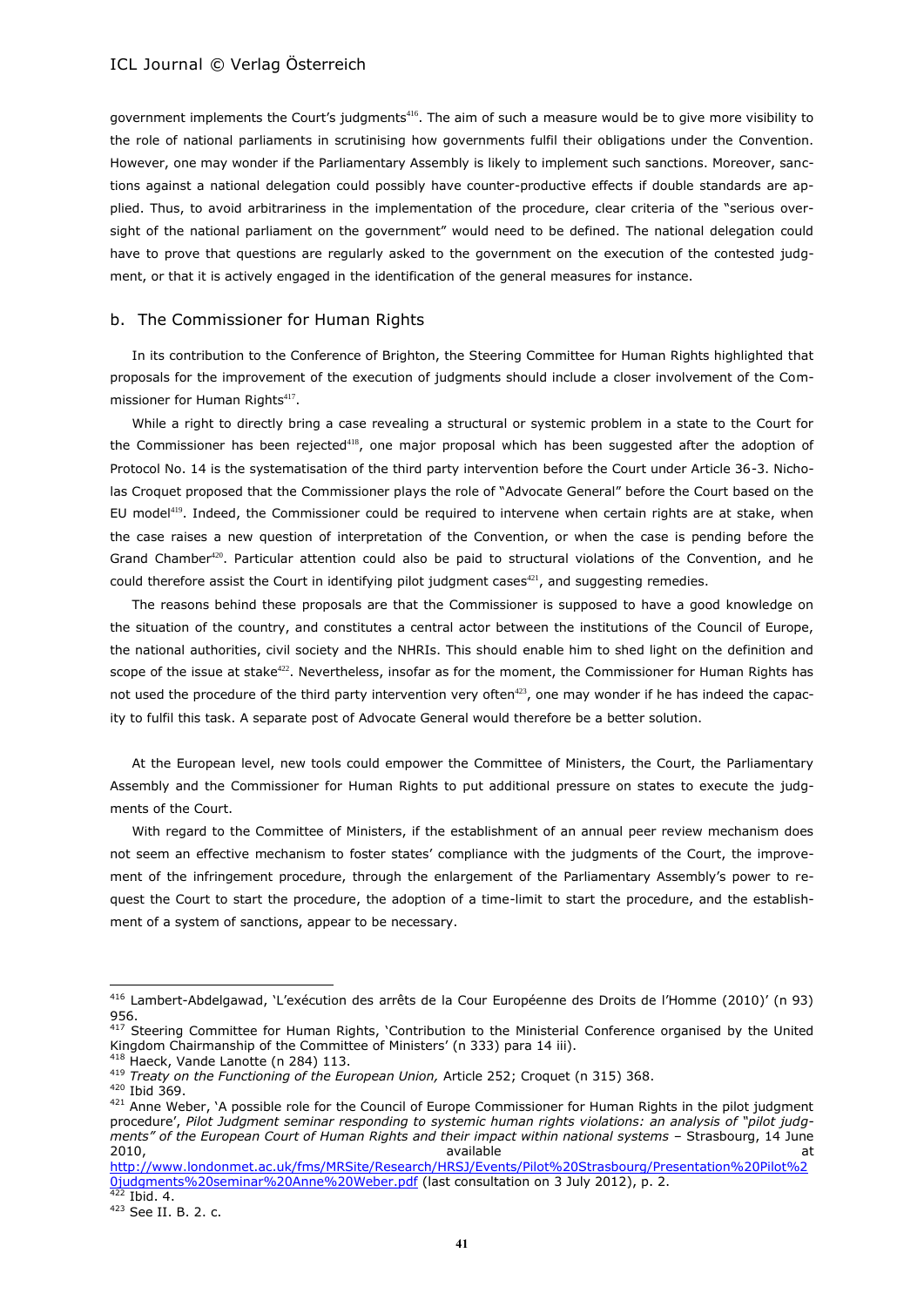government implements the Court's judgments<sup>416</sup>. The aim of such a measure would be to give more visibility to the role of national parliaments in scrutinising how governments fulfil their obligations under the Convention. However, one may wonder if the Parliamentary Assembly is likely to implement such sanctions. Moreover, sanctions against a national delegation could possibly have counter-productive effects if double standards are applied. Thus, to avoid arbitrariness in the implementation of the procedure, clear criteria of the "serious oversight of the national parliament on the government" would need to be defined. The national delegation could have to prove that questions are regularly asked to the government on the execution of the contested judgment, or that it is actively engaged in the identification of the general measures for instance.

#### b. The Commissioner for Human Rights

In its contribution to the Conference of Brighton, the Steering Committee for Human Rights highlighted that proposals for the improvement of the execution of judgments should include a closer involvement of the Commissioner for Human Rights<sup>417</sup>.

While a right to directly bring a case revealing a structural or systemic problem in a state to the Court for the Commissioner has been rejected<sup>418</sup>, one major proposal which has been suggested after the adoption of Protocol No. 14 is the systematisation of the third party intervention before the Court under Article 36-3. Nicholas Croquet proposed that the Commissioner plays the role of "Advocate General" before the Court based on the EU model<sup>419</sup>. Indeed, the Commissioner could be required to intervene when certain rights are at stake, when the case raises a new question of interpretation of the Convention, or when the case is pending before the Grand Chamber<sup>420</sup>. Particular attention could also be paid to structural violations of the Convention, and he could therefore assist the Court in identifying pilot judgment cases $421$ , and suggesting remedies.

The reasons behind these proposals are that the Commissioner is supposed to have a good knowledge on the situation of the country, and constitutes a central actor between the institutions of the Council of Europe, the national authorities, civil society and the NHRIs. This should enable him to shed light on the definition and scope of the issue at stake<sup>422</sup>. Nevertheless, insofar as for the moment, the Commissioner for Human Rights has not used the procedure of the third party intervention very often<sup>423</sup>, one may wonder if he has indeed the capacity to fulfil this task. A separate post of Advocate General would therefore be a better solution.

At the European level, new tools could empower the Committee of Ministers, the Court, the Parliamentary Assembly and the Commissioner for Human Rights to put additional pressure on states to execute the judgments of the Court.

With regard to the Committee of Ministers, if the establishment of an annual peer review mechanism does not seem an effective mechanism to foster states' compliance with the judgments of the Court, the improvement of the infringement procedure, through the enlargement of the Parliamentary Assembly's power to request the Court to start the procedure, the adoption of a time-limit to start the procedure, and the establishment of a system of sanctions, appear to be necessary.

<sup>416</sup> Lambert-Abdelgawad, 'L'exécution des arrêts de la Cour Européenne des Droits de l'Homme (2010)' (n 93) 956.

<sup>417</sup> Steering Committee for Human Rights, 'Contribution to the Ministerial Conference organised by the United Kingdom Chairmanship of the Committee of Ministers' (n [333\)](#page-29-1) para 14 iii). <sup>418</sup> Haeck, Vande Lanotte (n [284\)](#page-25-0) 113.

<sup>419</sup> *Treaty on the Functioning of the European Union,* Article 252; Croquet ([n 315\)](#page-27-1) 368.

<sup>420</sup> Ibid 369.

<sup>421</sup> Anne Weber, 'A possible role for the Council of Europe Commissioner for Human Rights in the pilot judgment procedure', *Pilot Judgment seminar responding to systemic human rights violations: an analysis of "pilot judgments" of the European Court of Human Rights and their impact within national systems* – Strasbourg, 14 June 2010, available and the state at the control of the control of the control of the control of the control of th

[http://www.londonmet.ac.uk/fms/MRSite/Research/HRSJ/Events/Pilot%20Strasbourg/Presentation%20Pilot%2](http://www.londonmet.ac.uk/fms/MRSite/Research/HRSJ/Events/Pilot%20Strasbourg/Presentation%20Pilot%20judgments%20seminar%20Anne%20Weber.pdf) [0judgments%20seminar%20Anne%20Weber.pdf](http://www.londonmet.ac.uk/fms/MRSite/Research/HRSJ/Events/Pilot%20Strasbourg/Presentation%20Pilot%20judgments%20seminar%20Anne%20Weber.pdf) (last consultation on 3 July 2012), p. 2.  $422$  Ibid. 4.

<sup>423</sup> See II. B. 2. c.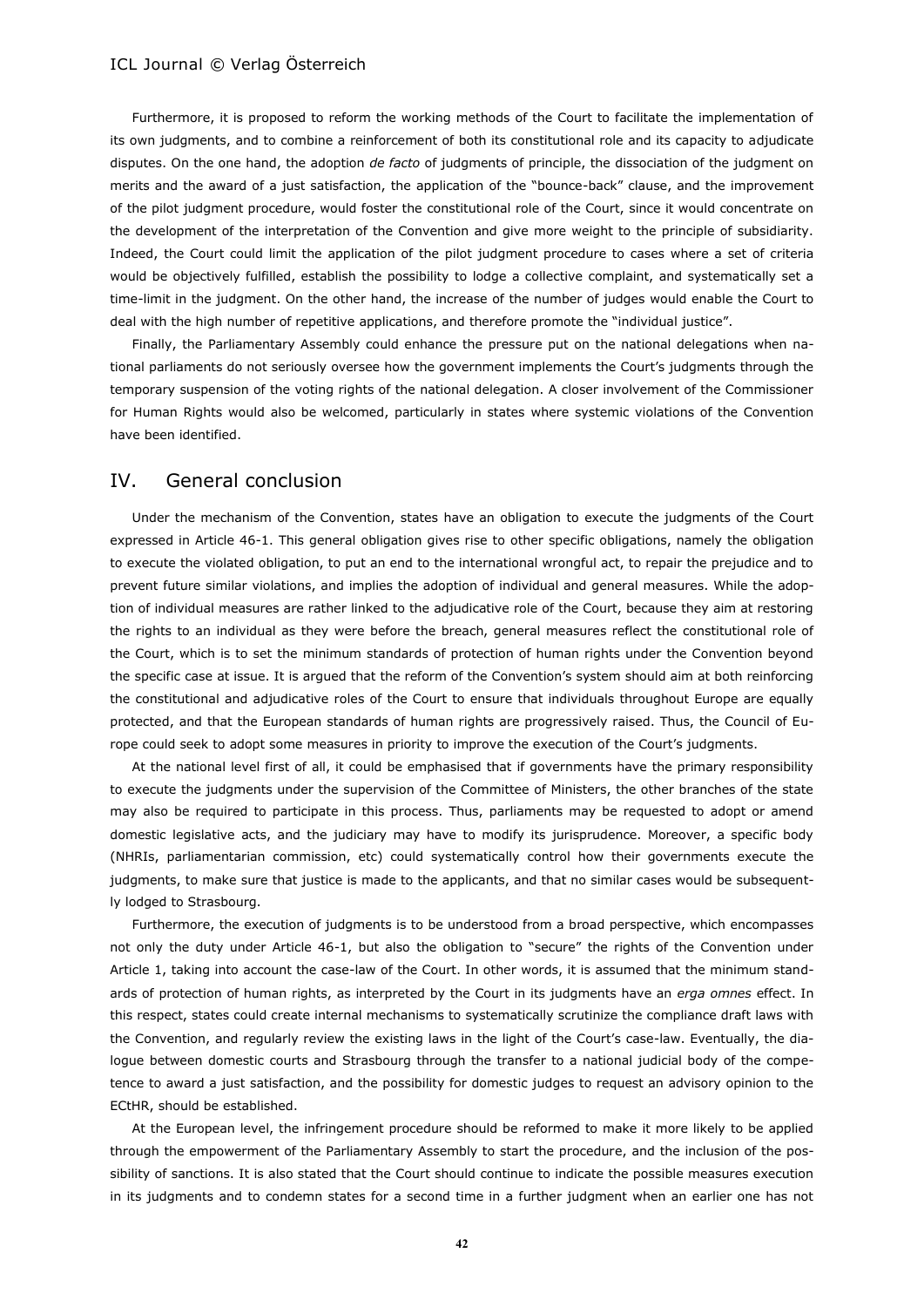Furthermore, it is proposed to reform the working methods of the Court to facilitate the implementation of its own judgments, and to combine a reinforcement of both its constitutional role and its capacity to adjudicate disputes. On the one hand, the adoption *de facto* of judgments of principle, the dissociation of the judgment on merits and the award of a just satisfaction, the application of the "bounce-back" clause, and the improvement of the pilot judgment procedure, would foster the constitutional role of the Court, since it would concentrate on the development of the interpretation of the Convention and give more weight to the principle of subsidiarity. Indeed, the Court could limit the application of the pilot judgment procedure to cases where a set of criteria would be objectively fulfilled, establish the possibility to lodge a collective complaint, and systematically set a time-limit in the judgment. On the other hand, the increase of the number of judges would enable the Court to deal with the high number of repetitive applications, and therefore promote the "individual justice".

Finally, the Parliamentary Assembly could enhance the pressure put on the national delegations when national parliaments do not seriously oversee how the government implements the Court's judgments through the temporary suspension of the voting rights of the national delegation. A closer involvement of the Commissioner for Human Rights would also be welcomed, particularly in states where systemic violations of the Convention have been identified.

# IV. General conclusion

Under the mechanism of the Convention, states have an obligation to execute the judgments of the Court expressed in Article 46-1. This general obligation gives rise to other specific obligations, namely the obligation to execute the violated obligation, to put an end to the international wrongful act, to repair the prejudice and to prevent future similar violations, and implies the adoption of individual and general measures. While the adoption of individual measures are rather linked to the adjudicative role of the Court, because they aim at restoring the rights to an individual as they were before the breach, general measures reflect the constitutional role of the Court, which is to set the minimum standards of protection of human rights under the Convention beyond the specific case at issue. It is argued that the reform of the Convention's system should aim at both reinforcing the constitutional and adjudicative roles of the Court to ensure that individuals throughout Europe are equally protected, and that the European standards of human rights are progressively raised. Thus, the Council of Europe could seek to adopt some measures in priority to improve the execution of the Court's judgments.

At the national level first of all, it could be emphasised that if governments have the primary responsibility to execute the judgments under the supervision of the Committee of Ministers, the other branches of the state may also be required to participate in this process. Thus, parliaments may be requested to adopt or amend domestic legislative acts, and the judiciary may have to modify its jurisprudence. Moreover, a specific body (NHRIs, parliamentarian commission, etc) could systematically control how their governments execute the judgments, to make sure that justice is made to the applicants, and that no similar cases would be subsequently lodged to Strasbourg.

Furthermore, the execution of judgments is to be understood from a broad perspective, which encompasses not only the duty under Article 46-1, but also the obligation to "secure" the rights of the Convention under Article 1, taking into account the case-law of the Court. In other words, it is assumed that the minimum standards of protection of human rights, as interpreted by the Court in its judgments have an *erga omnes* effect. In this respect, states could create internal mechanisms to systematically scrutinize the compliance draft laws with the Convention, and regularly review the existing laws in the light of the Court's case-law. Eventually, the dialogue between domestic courts and Strasbourg through the transfer to a national judicial body of the competence to award a just satisfaction, and the possibility for domestic judges to request an advisory opinion to the ECtHR, should be established.

At the European level, the infringement procedure should be reformed to make it more likely to be applied through the empowerment of the Parliamentary Assembly to start the procedure, and the inclusion of the possibility of sanctions. It is also stated that the Court should continue to indicate the possible measures execution in its judgments and to condemn states for a second time in a further judgment when an earlier one has not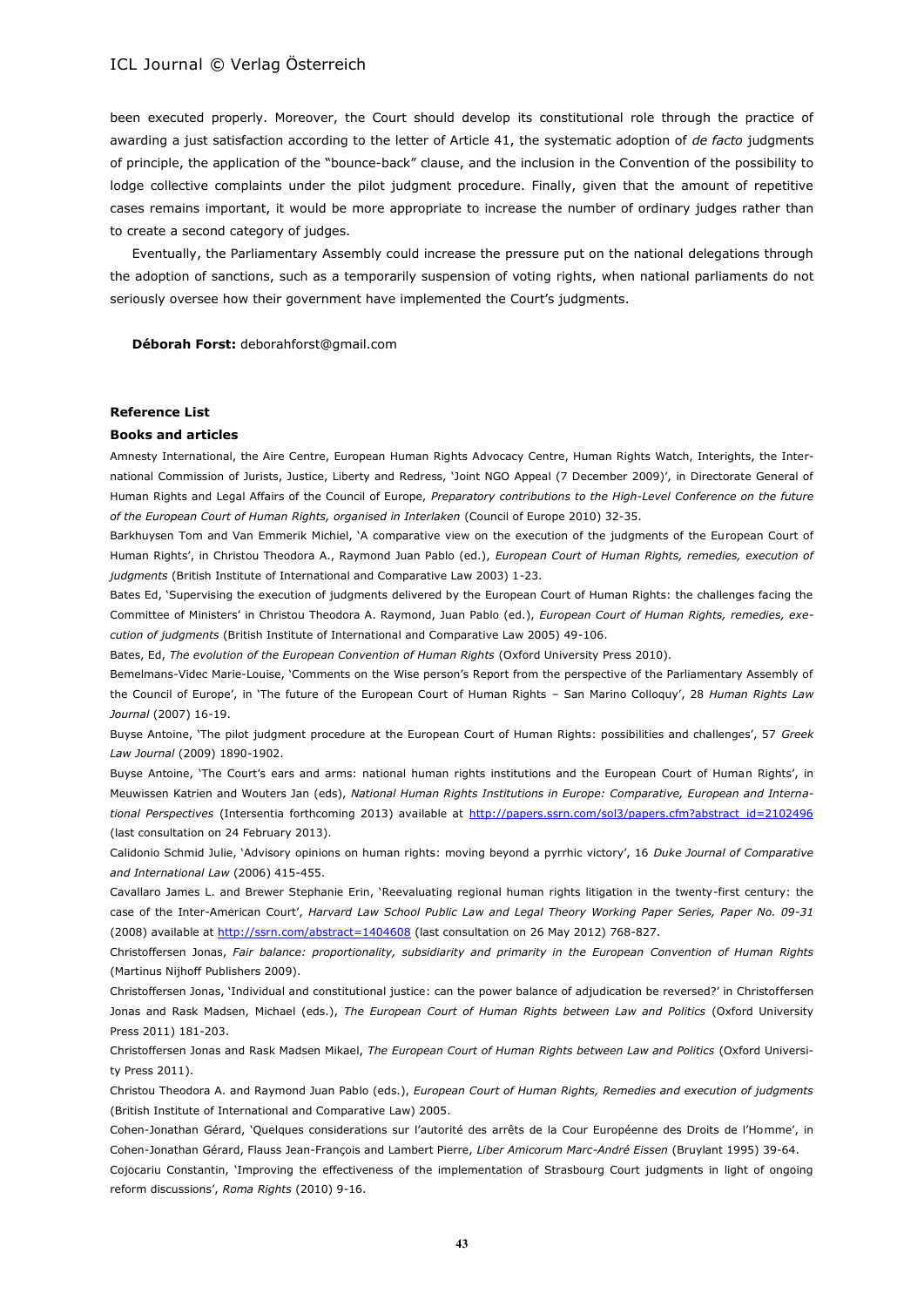been executed properly. Moreover, the Court should develop its constitutional role through the practice of awarding a just satisfaction according to the letter of Article 41, the systematic adoption of *de facto* judgments of principle, the application of the "bounce-back" clause, and the inclusion in the Convention of the possibility to lodge collective complaints under the pilot judgment procedure. Finally, given that the amount of repetitive cases remains important, it would be more appropriate to increase the number of ordinary judges rather than to create a second category of judges.

Eventually, the Parliamentary Assembly could increase the pressure put on the national delegations through the adoption of sanctions, such as a temporarily suspension of voting rights, when national parliaments do not seriously oversee how their government have implemented the Court's judgments.

**Déborah Forst:** deborahforst@gmail.com

#### **Reference List**

#### **Books and articles**

Amnesty International, the Aire Centre, European Human Rights Advocacy Centre, Human Rights Watch, Interights, the International Commission of Jurists, Justice, Liberty and Redress, 'Joint NGO Appeal (7 December 2009)', in Directorate General of Human Rights and Legal Affairs of the Council of Europe, *Preparatory contributions to the High-Level Conference on the future of the European Court of Human Rights, organised in Interlaken* (Council of Europe 2010) 32-35.

Barkhuysen Tom and Van Emmerik Michiel, 'A comparative view on the execution of the judgments of the European Court of Human Rights', in Christou Theodora A., Raymond Juan Pablo (ed.), *European Court of Human Rights, remedies, execution of judgments* (British Institute of International and Comparative Law 2003) 1-23.

Bates Ed, 'Supervising the execution of judgments delivered by the European Court of Human Rights: the challenges facing the Committee of Ministers' in Christou Theodora A. Raymond, Juan Pablo (ed.), *European Court of Human Rights, remedies, execution of judgments* (British Institute of International and Comparative Law 2005) 49-106.

Bates, Ed, *The evolution of the European Convention of Human Rights* (Oxford University Press 2010).

Bemelmans-Videc Marie-Louise, 'Comments on the Wise person's Report from the perspective of the Parliamentary Assembly of the Council of Europe', in 'The future of the European Court of Human Rights – San Marino Colloquy', 28 *Human Rights Law Journal* (2007) 16-19.

Buyse Antoine, 'The pilot judgment procedure at the European Court of Human Rights: possibilities and challenges', 57 *Greek Law Journal* (2009) 1890-1902.

Buyse Antoine, 'The Court's ears and arms: national human rights institutions and the European Court of Human Rights', in Meuwissen Katrien and Wouters Jan (eds), *National Human Rights Institutions in Europe: Comparative, European and Interna*tional Perspectives (Intersentia forthcoming 2013) available at [http://papers.ssrn.com/sol3/papers.cfm?abstract\\_id=2102496](http://papers.ssrn.com/sol3/papers.cfm?abstract_id=2102496) (last consultation on 24 February 2013).

Calidonio Schmid Julie, 'Advisory opinions on human rights: moving beyond a pyrrhic victory', 16 *Duke Journal of Comparative and International Law* (2006) 415-455.

Cavallaro James L. and Brewer Stephanie Erin, 'Reevaluating regional human rights litigation in the twenty-first century: the case of the Inter-American Court', *Harvard Law School Public Law and Legal Theory Working Paper Series, Paper No. 09-31* (2008) available at<http://ssrn.com/abstract=1404608> (last consultation on 26 May 2012) 768-827.

Christoffersen Jonas, *Fair balance: proportionality, subsidiarity and primarity in the European Convention of Human Rights* (Martinus Nijhoff Publishers 2009).

Christoffersen Jonas, 'Individual and constitutional justice: can the power balance of adjudication be reversed?' in Christoffersen Jonas and Rask Madsen, Michael (eds.), *The European Court of Human Rights between Law and Politics* (Oxford University Press 2011) 181-203.

Christoffersen Jonas and Rask Madsen Mikael, *The European Court of Human Rights between Law and Politics* (Oxford University Press 2011).

Christou Theodora A. and Raymond Juan Pablo (eds.), *European Court of Human Rights, Remedies and execution of judgments* (British Institute of International and Comparative Law) 2005.

Cohen-Jonathan Gérard, 'Quelques considerations sur l'autorité des arrêts de la Cour Européenne des Droits de l'Homme', in Cohen-Jonathan Gérard, Flauss Jean-François and Lambert Pierre, *Liber Amicorum Marc-André Eissen* (Bruylant 1995) 39-64.

Cojocariu Constantin, 'Improving the effectiveness of the implementation of Strasbourg Court judgments in light of ongoing reform discussions', *Roma Rights* (2010) 9-16.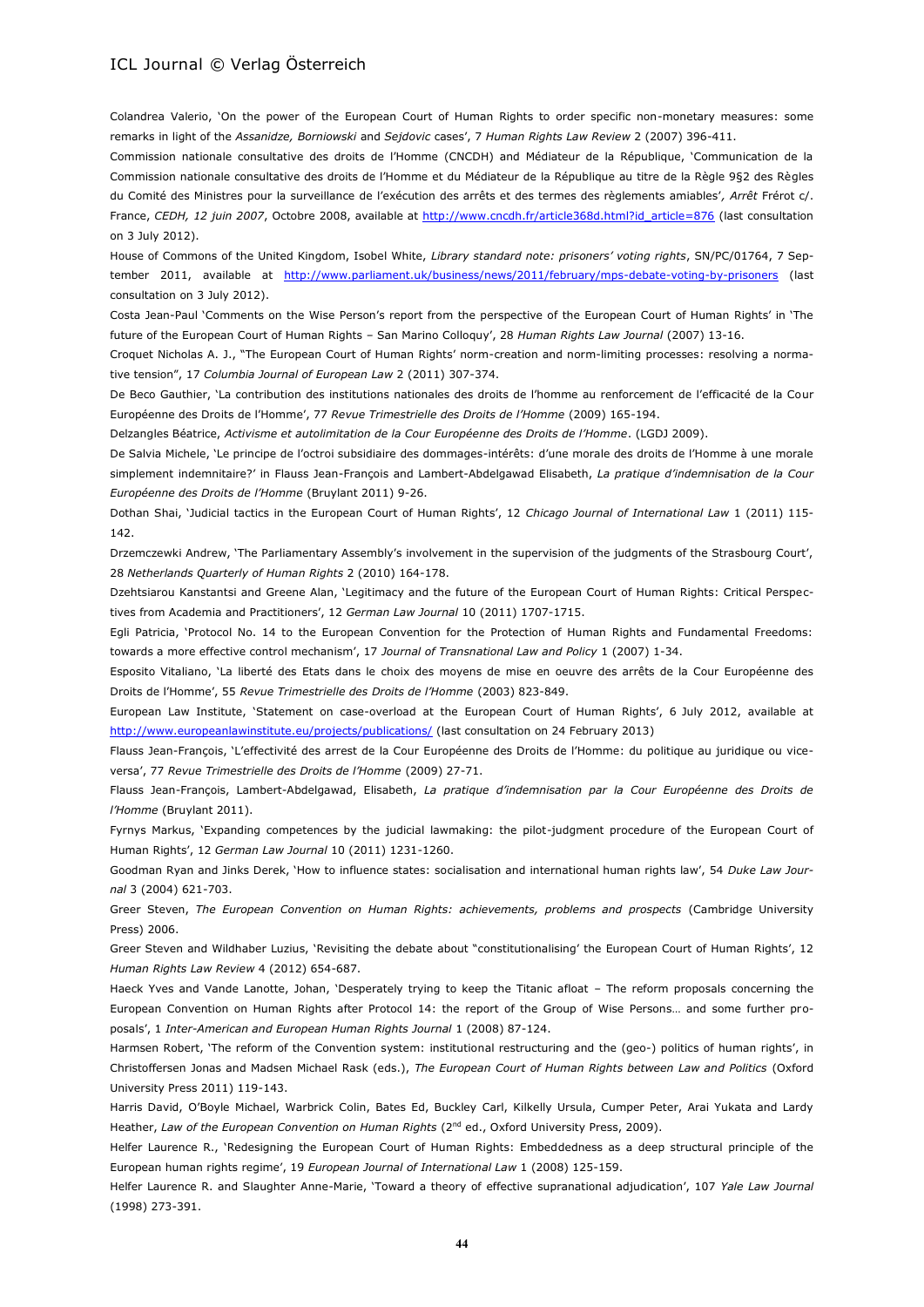Colandrea Valerio, 'On the power of the European Court of Human Rights to order specific non-monetary measures: some remarks in light of the *Assanidze, Borniowski* and *Sejdovic* cases', 7 *Human Rights Law Review* 2 (2007) 396-411.

Commission nationale consultative des droits de l'Homme (CNCDH) and Médiateur de la République, 'Communication de la Commission nationale consultative des droits de l'Homme et du Médiateur de la République au titre de la Règle 9§2 des Règles du Comité des Ministres pour la surveillance de l'exécution des arrêts et des termes des règlements amiables'*, Arrêt* Frérot c/. France, CEDH, 12 juin 2007, Octobre 2008, available at [http://www.cncdh.fr/article368d.html?id\\_article=876](http://www.cncdh.fr/article368d.html?id_article=876) (last consultation on 3 July 2012).

House of Commons of the United Kingdom, Isobel White, *Library standard note: prisoners' voting rights*, SN/PC/01764, 7 September 2011, available at <http://www.parliament.uk/business/news/2011/february/mps-debate-voting-by-prisoners> (last consultation on 3 July 2012).

Costa Jean-Paul 'Comments on the Wise Person's report from the perspective of the European Court of Human Rights' in 'The future of the European Court of Human Rights – San Marino Colloquy', 28 *Human Rights Law Journal* (2007) 13-16.

Croquet Nicholas A. J., "The European Court of Human Rights' norm-creation and norm-limiting processes: resolving a normative tension", 17 *Columbia Journal of European Law* 2 (2011) 307-374.

De Beco Gauthier, 'La contribution des institutions nationales des droits de l'homme au renforcement de l'efficacité de la Cour Européenne des Droits de l'Homme', 77 *Revue Trimestrielle des Droits de l'Homme* (2009) 165-194.

Delzangles Béatrice, *Activisme et autolimitation de la Cour Européenne des Droits de l'Homme*. (LGDJ 2009).

De Salvia Michele, 'Le principe de l'octroi subsidiaire des dommages-intérêts: d'une morale des droits de l'Homme à une morale simplement indemnitaire?' in Flauss Jean-François and Lambert-Abdelgawad Elisabeth, *La pratique d'indemnisation de la Cour Européenne des Droits de l'Homme* (Bruylant 2011) 9-26.

Dothan Shai, 'Judicial tactics in the European Court of Human Rights', 12 *Chicago Journal of International Law* 1 (2011) 115- 142.

Drzemczewki Andrew, 'The Parliamentary Assembly's involvement in the supervision of the judgments of the Strasbourg Court', 28 *Netherlands Quarterly of Human Rights* 2 (2010) 164-178.

Dzehtsiarou Kanstantsi and Greene Alan, 'Legitimacy and the future of the European Court of Human Rights: Critical Perspectives from Academia and Practitioners', 12 *German Law Journal* 10 (2011) 1707-1715.

Egli Patricia, 'Protocol No. 14 to the European Convention for the Protection of Human Rights and Fundamental Freedoms: towards a more effective control mechanism', 17 *Journal of Transnational Law and Policy* 1 (2007) 1-34.

Esposito Vitaliano, 'La liberté des Etats dans le choix des moyens de mise en oeuvre des arrêts de la Cour Européenne des Droits de l'Homme', 55 *Revue Trimestrielle des Droits de l'Homme* (2003) 823-849.

European Law Institute, 'Statement on case-overload at the European Court of Human Rights', 6 July 2012, available at <http://www.europeanlawinstitute.eu/projects/publications/> (last consultation on 24 February 2013)

Flauss Jean-François, 'L'effectivité des arrest de la Cour Européenne des Droits de l'Homme: du politique au juridique ou viceversa', 77 *Revue Trimestrielle des Droits de l'Homme* (2009) 27-71.

Flauss Jean-François, Lambert-Abdelgawad, Elisabeth, *La pratique d'indemnisation par la Cour Européenne des Droits de l'Homme* (Bruylant 2011).

Fyrnys Markus, 'Expanding competences by the judicial lawmaking: the pilot-judgment procedure of the European Court of Human Rights', 12 *German Law Journal* 10 (2011) 1231-1260.

Goodman Ryan and Jinks Derek, 'How to influence states: socialisation and international human rights law', 54 *Duke Law Journal* 3 (2004) 621-703.

Greer Steven, *The European Convention on Human Rights: achievements, problems and prospects* (Cambridge University Press) 2006.

Greer Steven and Wildhaber Luzius, 'Revisiting the debate about "constitutionalising' the European Court of Human Rights', 12 *Human Rights Law Review* 4 (2012) 654-687.

Haeck Yves and Vande Lanotte, Johan, 'Desperately trying to keep the Titanic afloat – The reform proposals concerning the European Convention on Human Rights after Protocol 14: the report of the Group of Wise Persons… and some further proposals', 1 *Inter-American and European Human Rights Journal* 1 (2008) 87-124.

Harmsen Robert, 'The reform of the Convention system: institutional restructuring and the (geo-) politics of human rights', in Christoffersen Jonas and Madsen Michael Rask (eds.), *The European Court of Human Rights between Law and Politics* (Oxford University Press 2011) 119-143.

Harris David, O'Boyle Michael, Warbrick Colin, Bates Ed, Buckley Carl, Kilkelly Ursula, Cumper Peter, Arai Yukata and Lardy Heather, *Law of the European Convention on Human Rights* (2<sup>nd</sup> ed., Oxford University Press, 2009).

Helfer Laurence R., 'Redesigning the European Court of Human Rights: Embeddedness as a deep structural principle of the European human rights regime', 19 *European Journal of International Law* 1 (2008) 125-159.

Helfer Laurence R. and Slaughter Anne-Marie, 'Toward a theory of effective supranational adjudication', 107 *Yale Law Journal* (1998) 273-391.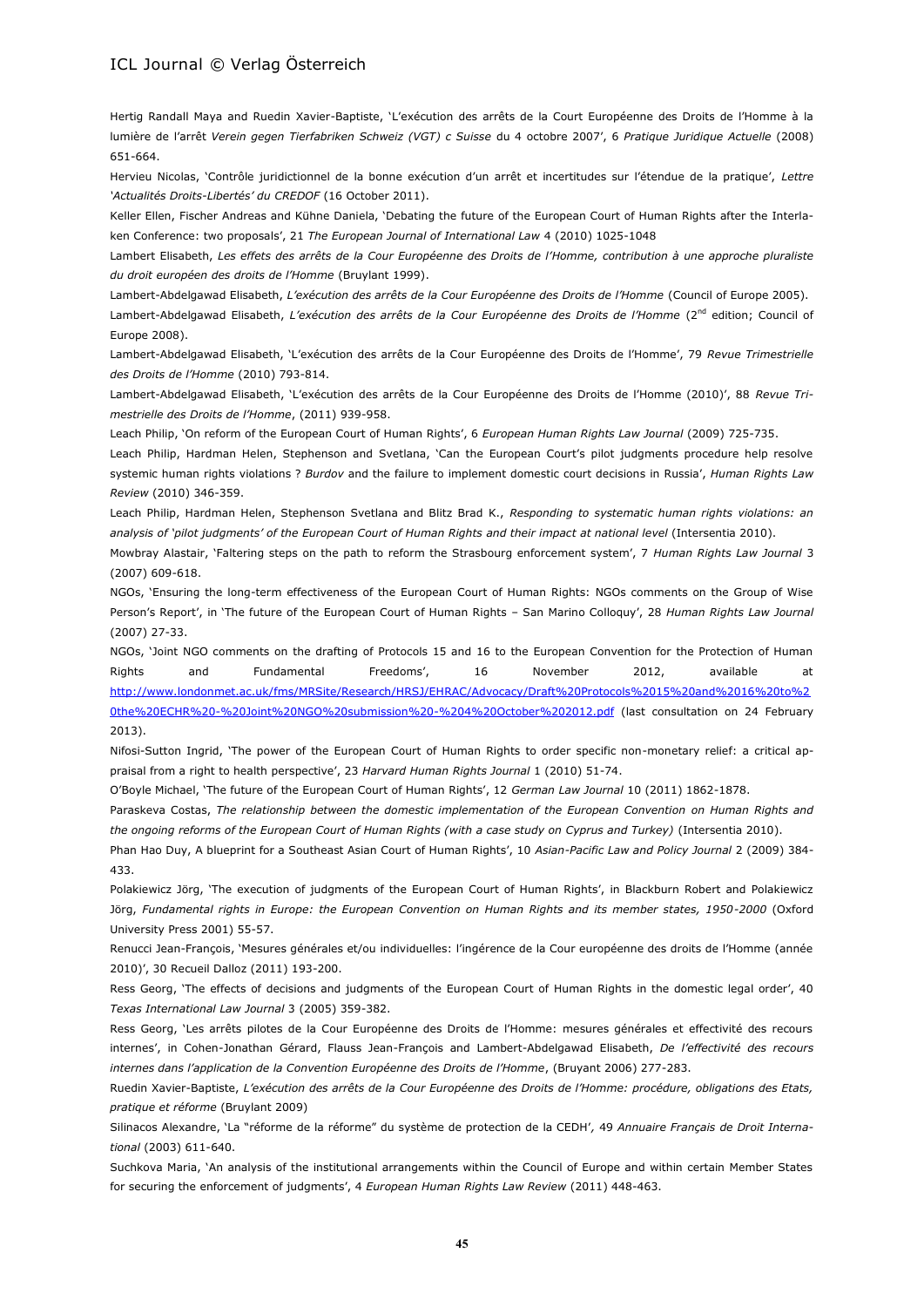Hertig Randall Maya and Ruedin Xavier-Baptiste, 'L'exécution des arrêts de la Court Européenne des Droits de l'Homme à la lumière de l'arrêt *Verein gegen Tierfabriken Schweiz (VGT) c Suisse* du 4 octobre 2007', 6 *Pratique Juridique Actuelle* (2008) 651-664.

Hervieu Nicolas, 'Contrôle juridictionnel de la bonne exécution d'un arrêt et incertitudes sur l'étendue de la pratique', *Lettre 'Actualités Droits-Libertés' du CREDOF* (16 October 2011).

Keller Ellen, Fischer Andreas and Kühne Daniela, 'Debating the future of the European Court of Human Rights after the Interlaken Conference: two proposals', 21 *The European Journal of International Law* 4 (2010) 1025-1048

Lambert Elisabeth, *Les effets des arrêts de la Cour Européenne des Droits de l'Homme, contribution à une approche pluraliste du droit européen des droits de l'Homme* (Bruylant 1999).

Lambert-Abdelgawad Elisabeth, *L'exécution des arrêts de la Cour Européenne des Droits de l'Homme* (Council of Europe 2005).

Lambert-Abdelgawad Elisabeth, *L'exécution des arrêts de la Cour Européenne des Droits de l'Homme* (2<sup>nd</sup> edition; Council of Europe 2008).

Lambert-Abdelgawad Elisabeth, 'L'exécution des arrêts de la Cour Européenne des Droits de l'Homme', 79 *Revue Trimestrielle des Droits de l'Homme* (2010) 793-814.

Lambert-Abdelgawad Elisabeth, 'L'exécution des arrêts de la Cour Européenne des Droits de l'Homme (2010)', 88 *Revue Trimestrielle des Droits de l'Homme*, (2011) 939-958.

Leach Philip, 'On reform of the European Court of Human Rights', 6 *European Human Rights Law Journal* (2009) 725-735.

Leach Philip, Hardman Helen, Stephenson and Svetlana, 'Can the European Court's pilot judgments procedure help resolve systemic human rights violations ? *Burdov* and the failure to implement domestic court decisions in Russia', *Human Rights Law Review* (2010) 346-359.

Leach Philip, Hardman Helen, Stephenson Svetlana and Blitz Brad K., *Responding to systematic human rights violations: an analysis of 'pilot judgments' of the European Court of Human Rights and their impact at national level* (Intersentia 2010).

Mowbray Alastair, 'Faltering steps on the path to reform the Strasbourg enforcement system', 7 *Human Rights Law Journal* 3 (2007) 609-618.

NGOs, 'Ensuring the long-term effectiveness of the European Court of Human Rights: NGOs comments on the Group of Wise Person's Report', in 'The future of the European Court of Human Rights – San Marino Colloquy', 28 *Human Rights Law Journal* (2007) 27-33.

NGOs, 'Joint NGO comments on the drafting of Protocols 15 and 16 to the European Convention for the Protection of Human Rights and Fundamental Freedoms', 16 November 2012, available at [http://www.londonmet.ac.uk/fms/MRSite/Research/HRSJ/EHRAC/Advocacy/Draft%20Protocols%2015%20and%2016%20to%2](http://www.londonmet.ac.uk/fms/MRSite/Research/HRSJ/EHRAC/Advocacy/Draft%20Protocols%2015%20and%2016%20to%20the%20ECHR%20-%20Joint%20NGO%20submission%20-%204%20October%202012.pdf) [0the%20ECHR%20-%20Joint%20NGO%20submission%20-%204%20October%202012.pdf](http://www.londonmet.ac.uk/fms/MRSite/Research/HRSJ/EHRAC/Advocacy/Draft%20Protocols%2015%20and%2016%20to%20the%20ECHR%20-%20Joint%20NGO%20submission%20-%204%20October%202012.pdf) (last consultation on 24 February 2013).

Nifosi-Sutton Ingrid, 'The power of the European Court of Human Rights to order specific non-monetary relief: a critical appraisal from a right to health perspective', 23 *Harvard Human Rights Journal* 1 (2010) 51-74.

O'Boyle Michael, 'The future of the European Court of Human Rights', 12 *German Law Journal* 10 (2011) 1862-1878.

Paraskeva Costas, *The relationship between the domestic implementation of the European Convention on Human Rights and the ongoing reforms of the European Court of Human Rights (with a case study on Cyprus and Turkey)* (Intersentia 2010).

Phan Hao Duy, A blueprint for a Southeast Asian Court of Human Rights', 10 *Asian-Pacific Law and Policy Journal* 2 (2009) 384- 433.

Polakiewicz Jörg, 'The execution of judgments of the European Court of Human Rights', in Blackburn Robert and Polakiewicz Jörg, *Fundamental rights in Europe: the European Convention on Human Rights and its member states, 1950-2000* (Oxford University Press 2001) 55-57.

Renucci Jean-François, 'Mesures générales et/ou individuelles: l'ingérence de la Cour européenne des droits de l'Homme (année 2010)', 30 Recueil Dalloz (2011) 193-200.

Ress Georg, 'The effects of decisions and judgments of the European Court of Human Rights in the domestic legal order', 40 *Texas International Law Journal* 3 (2005) 359-382.

Ress Georg, 'Les arrêts pilotes de la Cour Européenne des Droits de l'Homme: mesures générales et effectivité des recours internes', in Cohen-Jonathan Gérard, Flauss Jean-François and Lambert-Abdelgawad Elisabeth, *De l'effectivité des recours internes dans l'application de la Convention Européenne des Droits de l'Homme*, (Bruyant 2006) 277-283.

Ruedin Xavier-Baptiste, *L'exécution des arrêts de la Cour Européenne des Droits de l'Homme: procédure, obligations des Etats, pratique et réforme* (Bruylant 2009)

Silinacos Alexandre, 'La "réforme de la réforme" du système de protection de la CEDH'*,* 49 *Annuaire Français de Droit International* (2003) 611-640.

Suchkova Maria, 'An analysis of the institutional arrangements within the Council of Europe and within certain Member States for securing the enforcement of judgments', 4 *European Human Rights Law Review* (2011) 448-463.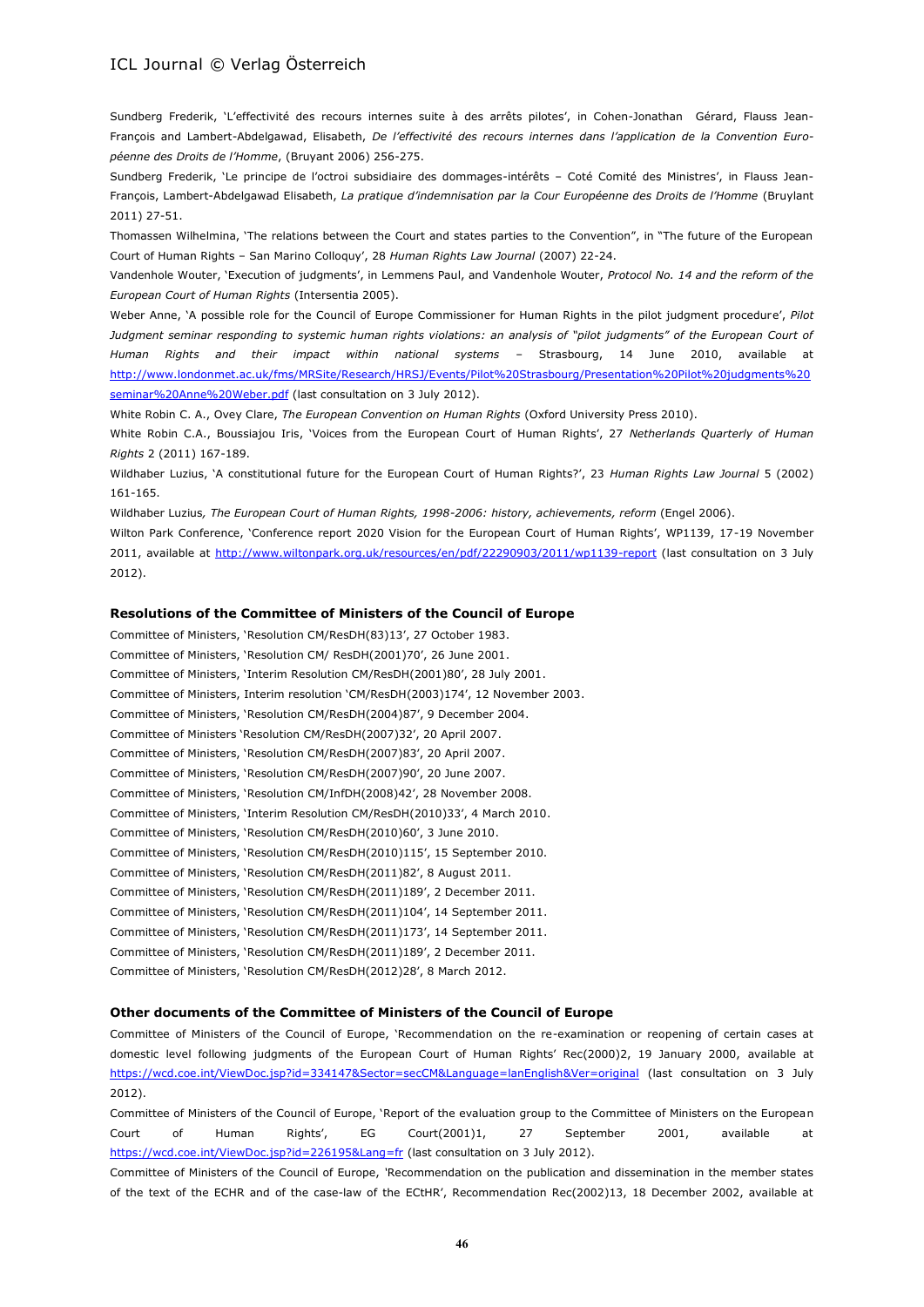Sundberg Frederik, 'L'effectivité des recours internes suite à des arrêts pilotes', in Cohen-Jonathan Gérard, Flauss Jean-François and Lambert-Abdelgawad, Elisabeth, *De l'effectivité des recours internes dans l'application de la Convention Européenne des Droits de l'Homme*, (Bruyant 2006) 256-275.

Sundberg Frederik, 'Le principe de l'octroi subsidiaire des dommages-intérêts – Coté Comité des Ministres', in Flauss Jean-François, Lambert-Abdelgawad Elisabeth, *La pratique d'indemnisation par la Cour Européenne des Droits de l'Homme* (Bruylant 2011) 27-51.

Thomassen Wilhelmina, 'The relations between the Court and states parties to the Convention", in "The future of the European Court of Human Rights – San Marino Colloquy', 28 *Human Rights Law Journal* (2007) 22-24.

Vandenhole Wouter, 'Execution of judgments', in Lemmens Paul, and Vandenhole Wouter, *Protocol No. 14 and the reform of the European Court of Human Rights* (Intersentia 2005).

Weber Anne, 'A possible role for the Council of Europe Commissioner for Human Rights in the pilot judgment procedure', *Pilot*  Judgment seminar responding to systemic human rights violations: an analysis of "pilot judgments" of the European Court of *Human Rights and their impact within national systems* – Strasbourg, 14 June 2010, available at [http://www.londonmet.ac.uk/fms/MRSite/Research/HRSJ/Events/Pilot%20Strasbourg/Presentation%20Pilot%20judgments%20](http://www.londonmet.ac.uk/fms/MRSite/Research/HRSJ/Events/Pilot%20Strasbourg/Presentation%20Pilot%20judgments%20seminar%20Anne%20Weber.pdf) [seminar%20Anne%20Weber.pdf](http://www.londonmet.ac.uk/fms/MRSite/Research/HRSJ/Events/Pilot%20Strasbourg/Presentation%20Pilot%20judgments%20seminar%20Anne%20Weber.pdf) (last consultation on 3 July 2012).

White Robin C. A., Ovey Clare, *The European Convention on Human Rights* (Oxford University Press 2010).

White Robin C.A., Boussiajou Iris, 'Voices from the European Court of Human Rights', 27 *Netherlands Quarterly of Human Rights* 2 (2011) 167-189.

Wildhaber Luzius, 'A constitutional future for the European Court of Human Rights?', 23 *Human Rights Law Journal* 5 (2002) 161-165.

Wildhaber Luzius*, The European Court of Human Rights, 1998-2006: history, achievements, reform* (Engel 2006).

Wilton Park Conference, 'Conference report 2020 Vision for the European Court of Human Rights', WP1139, 17-19 November 2011, available at<http://www.wiltonpark.org.uk/resources/en/pdf/22290903/2011/wp1139-report> (last consultation on 3 July 2012).

#### **Resolutions of the Committee of Ministers of the Council of Europe**

Committee of Ministers, 'Resolution CM/ResDH(83)13', 27 October 1983. Committee of Ministers, 'Resolution CM/ ResDH(2001)70', 26 June 2001. Committee of Ministers, 'Interim Resolution CM/ResDH(2001)80', 28 July 2001. Committee of Ministers, Interim resolution 'CM/ResDH(2003)174', 12 November 2003. Committee of Ministers, 'Resolution CM/ResDH(2004)87', 9 December 2004. Committee of Ministers 'Resolution CM/ResDH(2007)32', 20 April 2007. Committee of Ministers, 'Resolution CM/ResDH(2007)83', 20 April 2007. Committee of Ministers, 'Resolution CM/ResDH(2007)90', 20 June 2007. Committee of Ministers, 'Resolution CM/InfDH(2008)42', 28 November 2008. Committee of Ministers, 'Interim Resolution CM/ResDH(2010)33', 4 March 2010. Committee of Ministers, 'Resolution CM/ResDH(2010)60', 3 June 2010. Committee of Ministers, 'Resolution CM/ResDH(2010)115', 15 September 2010. Committee of Ministers, 'Resolution CM/ResDH(2011)82', 8 August 2011. Committee of Ministers, 'Resolution CM/ResDH(2011)189', 2 December 2011. Committee of Ministers, 'Resolution CM/ResDH(2011)104', 14 September 2011. Committee of Ministers, 'Resolution CM/ResDH(2011)173', 14 September 2011. Committee of Ministers, 'Resolution CM/ResDH(2011)189', 2 December 2011. Committee of Ministers, 'Resolution CM/ResDH(2012)28', 8 March 2012.

#### **Other documents of the Committee of Ministers of the Council of Europe**

Committee of Ministers of the Council of Europe, 'Recommendation on the re-examination or reopening of certain cases at domestic level following judgments of the European Court of Human Rights' Rec(2000)2, 19 January 2000, available at <https://wcd.coe.int/ViewDoc.jsp?id=334147&Sector=secCM&Language=lanEnglish&Ver=original> (last consultation on 3 July 2012).

Committee of Ministers of the Council of Europe, 'Report of the evaluation group to the Committee of Ministers on the European Court of Human Rights', EG Court(2001)1, 27 September 2001, available at <https://wcd.coe.int/ViewDoc.jsp?id=226195&Lang=fr> (last consultation on 3 July 2012).

Committee of Ministers of the Council of Europe, *'*Recommendation on the publication and dissemination in the member states of the text of the ECHR and of the case-law of the ECtHR', Recommendation Rec(2002)13, 18 December 2002, available at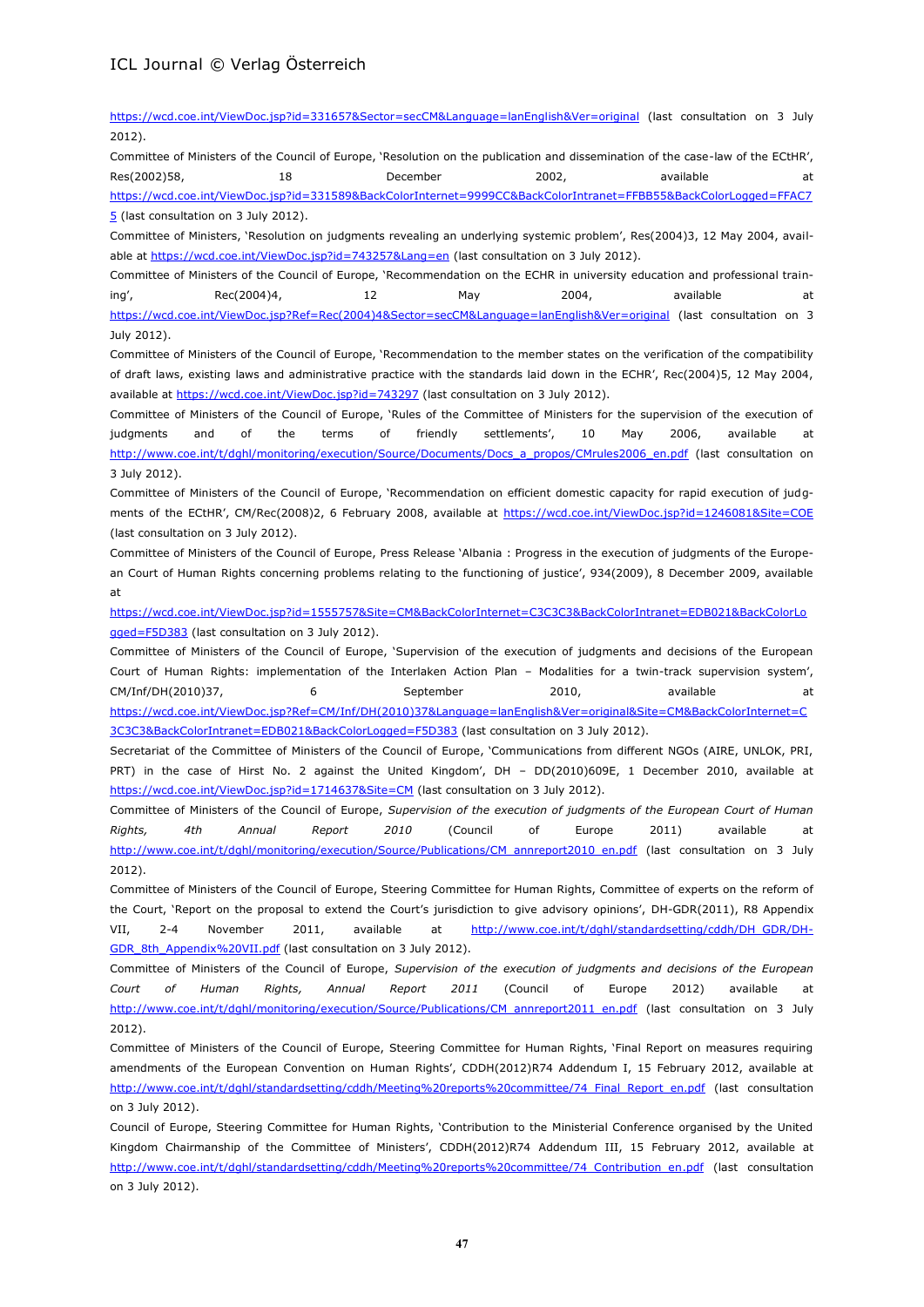[5](https://wcd.coe.int/ViewDoc.jsp?id=331589&BackColorInternet=9999CC&BackColorIntranet=FFBB55&BackColorLogged=FFAC75) (last consultation on 3 July 2012).

<https://wcd.coe.int/ViewDoc.jsp?id=331657&Sector=secCM&Language=lanEnglish&Ver=original> (last consultation on 3 July 2012).

Committee of Ministers of the Council of Europe, 'Resolution on the publication and dissemination of the case-law of the ECtHR', Res(2002)58, 18 18 December 2002, available at [https://wcd.coe.int/ViewDoc.jsp?id=331589&BackColorInternet=9999CC&BackColorIntranet=FFBB55&BackColorLogged=FFAC7](https://wcd.coe.int/ViewDoc.jsp?id=331589&BackColorInternet=9999CC&BackColorIntranet=FFBB55&BackColorLogged=FFAC75)

Committee of Ministers, 'Resolution on judgments revealing an underlying systemic problem', Res(2004)3, 12 May 2004, available at<https://wcd.coe.int/ViewDoc.jsp?id=743257&Lang=en> (last consultation on 3 July 2012).

Committee of Ministers of the Council of Europe, 'Recommendation on the ECHR in university education and professional training',  $Rec(2004)4$ ,  $12$  May 2004, available at [https://wcd.coe.int/ViewDoc.jsp?Ref=Rec\(2004\)4&Sector=secCM&Language=lanEnglish&Ver=original](https://wcd.coe.int/ViewDoc.jsp?Ref=Rec(2004)4&Sector=secCM&Language=lanEnglish&Ver=original) (last consultation on 3 July 2012).

Committee of Ministers of the Council of Europe, 'Recommendation to the member states on the verification of the compatibility of draft laws, existing laws and administrative practice with the standards laid down in the ECHR', Rec(2004)5, 12 May 2004, available at<https://wcd.coe.int/ViewDoc.jsp?id=743297> (last consultation on 3 July 2012).

Committee of Ministers of the Council of Europe, 'Rules of the Committee of Ministers for the supervision of the execution of judgments and of the terms of friendly settlements', 10 May 2006, available at [http://www.coe.int/t/dghl/monitoring/execution/Source/Documents/Docs\\_a\\_propos/CMrules2006\\_en.pdf](http://www.coe.int/t/dghl/monitoring/execution/Source/Documents/Docs_a_propos/CMrules2006_en.pdf) (last consultation on 3 July 2012).

Committee of Ministers of the Council of Europe, 'Recommendation on efficient domestic capacity for rapid execution of judgments of the ECtHR', CM/Rec(2008)2, 6 February 2008, available at <https://wcd.coe.int/ViewDoc.jsp?id=1246081&Site=COE> (last consultation on 3 July 2012).

Committee of Ministers of the Council of Europe, Press Release 'Albania : Progress in the execution of judgments of the European Court of Human Rights concerning problems relating to the functioning of justice', 934(2009), 8 December 2009, available at

[https://wcd.coe.int/ViewDoc.jsp?id=1555757&Site=CM&BackColorInternet=C3C3C3&BackColorIntranet=EDB021&BackColorLo](https://wcd.coe.int/ViewDoc.jsp?id=1555757&Site=CM&BackColorInternet=C3C3C3&BackColorIntranet=EDB021&BackColorLogged=F5D383) [gged=F5D383](https://wcd.coe.int/ViewDoc.jsp?id=1555757&Site=CM&BackColorInternet=C3C3C3&BackColorIntranet=EDB021&BackColorLogged=F5D383) (last consultation on 3 July 2012).

Committee of Ministers of the Council of Europe, 'Supervision of the execution of judgments and decisions of the European Court of Human Rights: implementation of the Interlaken Action Plan – Modalities for a twin-track supervision system', CM/Inf/DH(2010)37, 6 September 2010, available at [https://wcd.coe.int/ViewDoc.jsp?Ref=CM/Inf/DH\(2010\)37&Language=lanEnglish&Ver=original&Site=CM&BackColorInternet=C](https://wcd.coe.int/ViewDoc.jsp?Ref=CM/Inf/DH(2010)37&Language=lanEnglish&Ver=original&Site=CM&BackColorInternet=C3C3C3&BackColorIntranet=EDB021&BackColorLogged=F5D383) [3C3C3&BackColorIntranet=EDB021&BackColorLogged=F5D383](https://wcd.coe.int/ViewDoc.jsp?Ref=CM/Inf/DH(2010)37&Language=lanEnglish&Ver=original&Site=CM&BackColorInternet=C3C3C3&BackColorIntranet=EDB021&BackColorLogged=F5D383) (last consultation on 3 July 2012).

Secretariat of the Committee of Ministers of the Council of Europe, 'Communications from different NGOs (AIRE, UNLOK, PRI, PRT) in the case of Hirst No. 2 against the United Kingdom', DH - DD(2010)609E, 1 December 2010, available at <https://wcd.coe.int/ViewDoc.jsp?id=1714637&Site=CM> (last consultation on 3 July 2012).

Committee of Ministers of the Council of Europe, *Supervision of the execution of judgments of the European Court of Human Rights, 4th Annual Report 2010* (Council of Europe 2011) available at [http://www.coe.int/t/dghl/monitoring/execution/Source/Publications/CM\\_annreport2010\\_en.pdf](http://www.coe.int/t/dghl/monitoring/execution/Source/Publications/CM_annreport2010_en.pdf) (last consultation on 3 July 2012).

Committee of Ministers of the Council of Europe, Steering Committee for Human Rights, Committee of experts on the reform of the Court, 'Report on the proposal to extend the Court's jurisdiction to give advisory opinions', DH-GDR(2011), R8 Appendix VII, 2-4 November 2011, available at [http://www.coe.int/t/dghl/standardsetting/cddh/DH\\_GDR/DH-](http://www.coe.int/t/dghl/standardsetting/cddh/DH_GDR/DH-GDR_8th_Appendix%20VII.pdf)[GDR\\_8th\\_Appendix%20VII.pdf](http://www.coe.int/t/dghl/standardsetting/cddh/DH_GDR/DH-GDR_8th_Appendix%20VII.pdf) (last consultation on 3 July 2012).

Committee of Ministers of the Council of Europe, *Supervision of the execution of judgments and decisions of the European Court of Human Rights, Annual Report 2011* (Council of Europe 2012) available at [http://www.coe.int/t/dghl/monitoring/execution/Source/Publications/CM\\_annreport2011\\_en.pdf](http://www.coe.int/t/dghl/monitoring/execution/Source/Publications/CM_annreport2011_en.pdf) (last consultation on 3 July 2012).

Committee of Ministers of the Council of Europe, Steering Committee for Human Rights, 'Final Report on measures requiring amendments of the European Convention on Human Rights', CDDH(2012)R74 Addendum I, 15 February 2012, available at [http://www.coe.int/t/dghl/standardsetting/cddh/Meeting%20reports%20committee/74\\_Final\\_Report\\_en.pdf](http://www.coe.int/t/dghl/standardsetting/cddh/Meeting%20reports%20committee/74_Final_Report_en.pdf) (last consultation on 3 July 2012).

Council of Europe, Steering Committee for Human Rights, 'Contribution to the Ministerial Conference organised by the United Kingdom Chairmanship of the Committee of Ministers', CDDH(2012)R74 Addendum III, 15 February 2012, available at http://www.coe.int/t/dghl/standardsetting/cddh/Meeting%20reports%20committee/74 Contribution\_en.pdf (last consultation on 3 July 2012).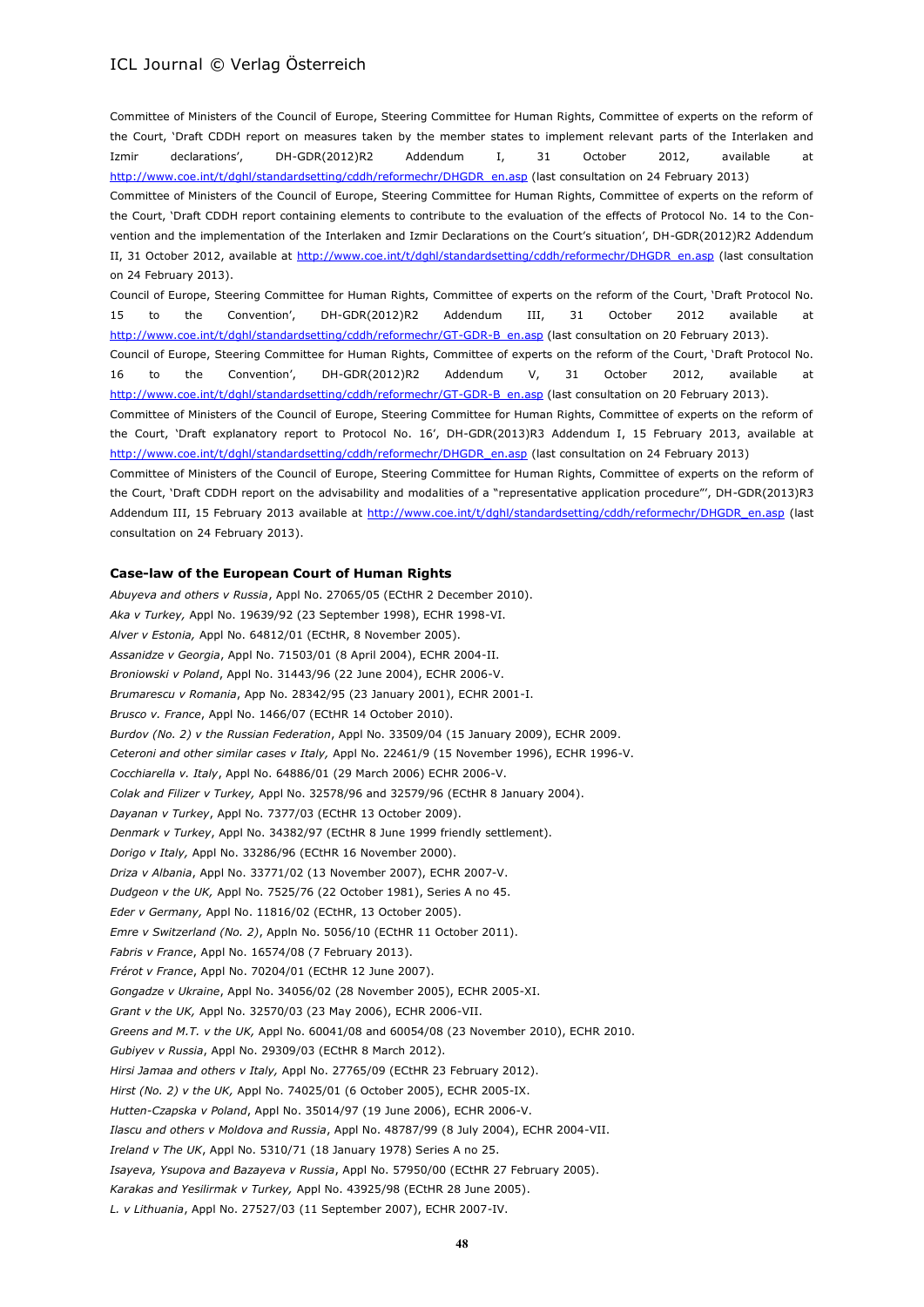Committee of Ministers of the Council of Europe, Steering Committee for Human Rights, Committee of experts on the reform of the Court, 'Draft CDDH report on measures taken by the member states to implement relevant parts of the Interlaken and Izmir declarations', DH-GDR(2012)R2 Addendum I, 31 October 2012, available at [http://www.coe.int/t/dghl/standardsetting/cddh/reformechr/DHGDR\\_en.asp](http://www.coe.int/t/dghl/standardsetting/cddh/reformechr/DHGDR_en.asp) (last consultation on 24 February 2013) Committee of Ministers of the Council of Europe, Steering Committee for Human Rights, Committee of experts on the reform of the Court, 'Draft CDDH report containing elements to contribute to the evaluation of the effects of Protocol No. 14 to the Convention and the implementation of the Interlaken and Izmir Declarations on the Court's situation', DH-GDR(2012)R2 Addendum II, 31 October 2012, available at [http://www.coe.int/t/dghl/standardsetting/cddh/reformechr/DHGDR\\_en.asp](http://www.coe.int/t/dghl/standardsetting/cddh/reformechr/DHGDR_en.asp) (last consultation on 24 February 2013).

Council of Europe, Steering Committee for Human Rights, Committee of experts on the reform of the Court, 'Draft Protocol No. 15 to the Convention', DH-GDR(2012)R2 Addendum III, 31 October 2012 available at [http://www.coe.int/t/dghl/standardsetting/cddh/reformechr/GT-GDR-B\\_en.asp](http://www.coe.int/t/dghl/standardsetting/cddh/reformechr/GT-GDR-B_en.asp) (last consultation on 20 February 2013).

Council of Europe, Steering Committee for Human Rights, Committee of experts on the reform of the Court, 'Draft Protocol No. 16 to the Convention', DH-GDR(2012)R2 Addendum V, 31 October 2012, available at [http://www.coe.int/t/dghl/standardsetting/cddh/reformechr/GT-GDR-B\\_en.asp](http://www.coe.int/t/dghl/standardsetting/cddh/reformechr/GT-GDR-B_en.asp) (last consultation on 20 February 2013).

Committee of Ministers of the Council of Europe, Steering Committee for Human Rights, Committee of experts on the reform of the Court, 'Draft explanatory report to Protocol No. 16', DH-GDR(2013)R3 Addendum I, 15 February 2013, available at [http://www.coe.int/t/dghl/standardsetting/cddh/reformechr/DHGDR\\_en.asp](http://www.coe.int/t/dghl/standardsetting/cddh/reformechr/DHGDR_en.asp) (last consultation on 24 February 2013)

Committee of Ministers of the Council of Europe, Steering Committee for Human Rights, Committee of experts on the reform of the Court, 'Draft CDDH report on the advisability and modalities of a "representative application procedure"', DH-GDR(2013)R3 Addendum III, 15 February 2013 available at [http://www.coe.int/t/dghl/standardsetting/cddh/reformechr/DHGDR\\_en.asp](http://www.coe.int/t/dghl/standardsetting/cddh/reformechr/DHGDR_en.asp) (last consultation on 24 February 2013).

#### **Case-law of the European Court of Human Rights**

*Abuyeva and others v Russia*, Appl No. 27065/05 (ECtHR 2 December 2010). *Aka v Turkey,* Appl No. 19639/92 (23 September 1998), ECHR 1998-VI. *Alver v Estonia,* Appl No. 64812/01 (ECtHR, 8 November 2005). *Assanidze v Georgia*, Appl No. 71503/01 (8 April 2004), ECHR 2004-II. *Broniowski v Poland*, Appl No. 31443/96 (22 June 2004), ECHR 2006-V. *Brumarescu v Romania*, App No. 28342/95 (23 January 2001), ECHR 2001-I. *Brusco v. France*, Appl No. 1466/07 (ECtHR 14 October 2010). *Burdov (No. 2) v the Russian Federation*, Appl No. 33509/04 (15 January 2009), ECHR 2009. *Ceteroni and other similar cases v Italy,* Appl No. 22461/9 (15 November 1996), ECHR 1996-V. *Cocchiarella v. Italy*, Appl No. 64886/01 (29 March 2006) ECHR 2006-V. *Colak and Filizer v Turkey,* Appl No. 32578/96 and 32579/96 (ECtHR 8 January 2004). *Dayanan v Turkey*, Appl No. 7377/03 (ECtHR 13 October 2009). *Denmark v Turkey*, Appl No. 34382/97 (ECtHR 8 June 1999 friendly settlement). *Dorigo v Italy,* Appl No. 33286/96 (ECtHR 16 November 2000). *Driza v Albania*, Appl No. 33771/02 (13 November 2007), ECHR 2007-V. *Dudgeon v the UK,* Appl No. 7525/76 (22 October 1981), Series A no 45. *Eder v Germany,* Appl No. 11816/02 (ECtHR, 13 October 2005). *Emre v Switzerland (No. 2)*, Appln No. 5056/10 (ECtHR 11 October 2011). *Fabris v France*, Appl No. 16574/08 (7 February 2013). *Frérot v France*, Appl No. 70204/01 (ECtHR 12 June 2007). *Gongadze v Ukraine*, Appl No. 34056/02 (28 November 2005), ECHR 2005-XI. *Grant v the UK,* Appl No. 32570/03 (23 May 2006), ECHR 2006-VII. *Greens and M.T. v the UK,* Appl No. 60041/08 and 60054/08 (23 November 2010), ECHR 2010. *Gubiyev v Russia*, Appl No. 29309/03 (ECtHR 8 March 2012). *Hirsi Jamaa and others v Italy,* Appl No. 27765/09 (ECtHR 23 February 2012). *Hirst (No. 2) v the UK,* Appl No. 74025/01 (6 October 2005), ECHR 2005-IX. *Hutten-Czapska v Poland*, Appl No. 35014/97 (19 June 2006), ECHR 2006-V. *Ilascu and others v Moldova and Russia*, Appl No. 48787/99 (8 July 2004), ECHR 2004-VII. *Ireland v The UK*, Appl No. 5310/71 (18 January 1978) Series A no 25. *Isayeva, Ysupova and Bazayeva v Russia*, Appl No. 57950/00 (ECtHR 27 February 2005). *Karakas and Yesilirmak v Turkey,* Appl No. 43925/98 (ECtHR 28 June 2005). *L. v Lithuania*, Appl No. 27527/03 (11 September 2007), ECHR 2007-IV.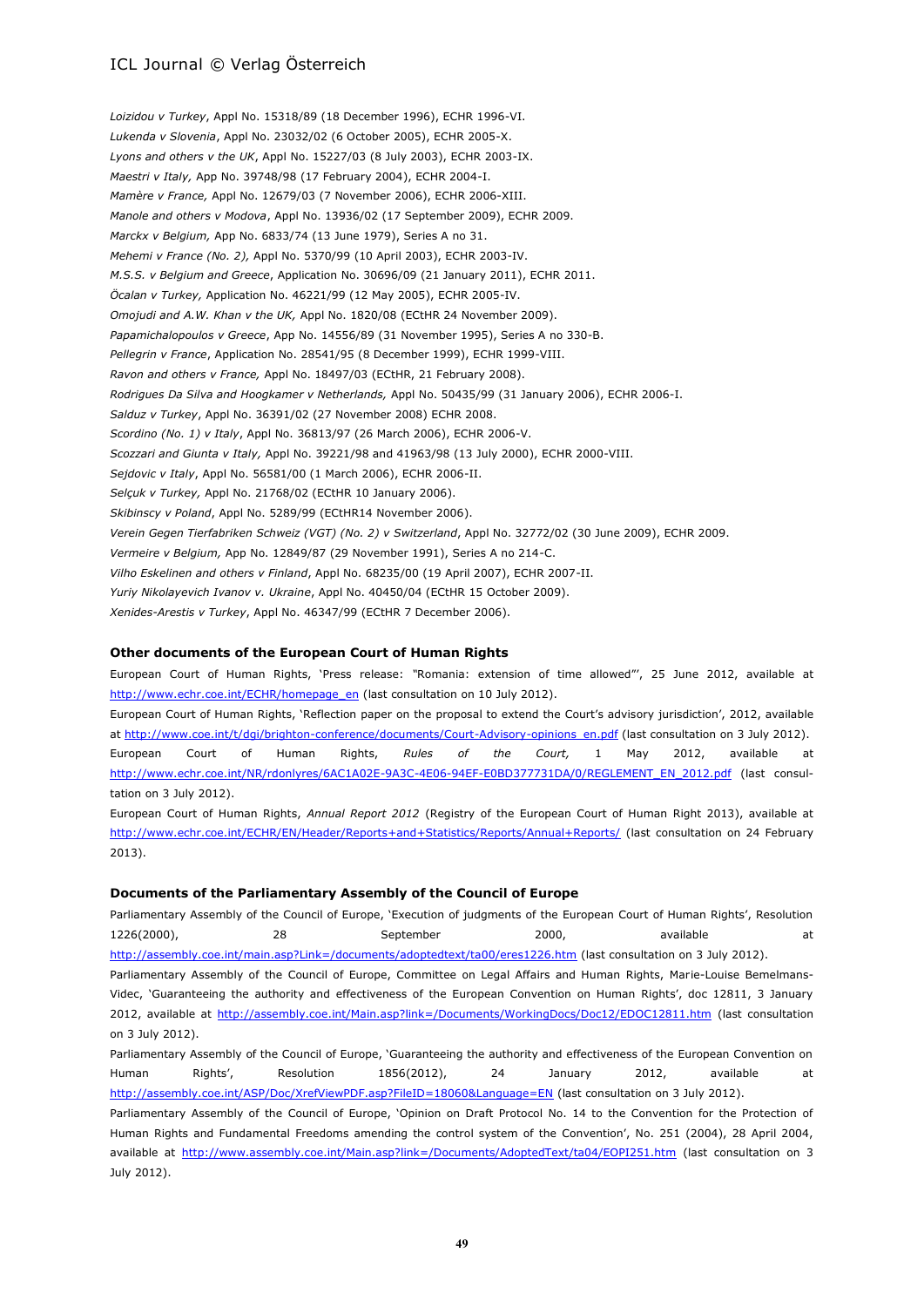*Loizidou v Turkey*, Appl No. 15318/89 (18 December 1996), ECHR 1996-VI. *Lukenda v Slovenia*, Appl No. 23032/02 (6 October 2005), ECHR 2005-X. *Lyons and others v the UK*, Appl No. 15227/03 (8 July 2003), ECHR 2003-IX. *Maestri v Italy,* App No. 39748/98 (17 February 2004), ECHR 2004-I. *Mamère v France,* Appl No. 12679/03 (7 November 2006), ECHR 2006-XIII. *Manole and others v Modova*, Appl No. 13936/02 (17 September 2009), ECHR 2009. *Marckx v Belgium,* App No. 6833/74 (13 June 1979), Series A no 31. *Mehemi v France (No. 2),* Appl No. 5370/99 (10 April 2003), ECHR 2003-IV. *M.S.S. v Belgium and Greece*, Application No. 30696/09 (21 January 2011), ECHR 2011. *Öcalan v Turkey,* Application No. 46221/99 (12 May 2005), ECHR 2005-IV. *Omojudi and A.W. Khan v the UK,* Appl No. 1820/08 (ECtHR 24 November 2009). *Papamichalopoulos v Greece*, App No. 14556/89 (31 November 1995), Series A no 330-B. *Pellegrin v France*, Application No. 28541/95 (8 December 1999), ECHR 1999-VIII. *Ravon and others v France,* Appl No. 18497/03 (ECtHR, 21 February 2008). *Rodrigues Da Silva and Hoogkamer v Netherlands,* Appl No. 50435/99 (31 January 2006), ECHR 2006-I. *Salduz v Turkey*, Appl No. 36391/02 (27 November 2008) ECHR 2008. *Scordino (No. 1) v Italy*, Appl No. 36813/97 (26 March 2006), ECHR 2006-V. *Scozzari and Giunta v Italy,* Appl No. 39221/98 and 41963/98 (13 July 2000), ECHR 2000-VIII. *Sejdovic v Italy*, Appl No. 56581/00 (1 March 2006), ECHR 2006-II. *Selçuk v Turkey,* Appl No. 21768/02 (ECtHR 10 January 2006). *Skibinscy v Poland*, Appl No. 5289/99 (ECtHR14 November 2006). *Verein Gegen Tierfabriken Schweiz (VGT) (No. 2) v Switzerland*, Appl No. 32772/02 (30 June 2009), ECHR 2009. *Vermeire v Belgium,* App No. 12849/87 (29 November 1991), Series A no 214-C. *Vilho Eskelinen and others v Finland*, Appl No. 68235/00 (19 April 2007), ECHR 2007-II. *Yuriy Nikolayevich Ivanov v. Ukraine*, Appl No. 40450/04 (ECtHR 15 October 2009). *Xenides-Arestis v Turkey*, Appl No. 46347/99 (ECtHR 7 December 2006).

### **Other documents of the European Court of Human Rights**

European Court of Human Rights, 'Press release: *"*Romania: extension of time allowed"', 25 June 2012, available at [http://www.echr.coe.int/ECHR/homepage\\_en](http://www.echr.coe.int/ECHR/homepage_en) (last consultation on 10 July 2012).

European Court of Human Rights, 'Reflection paper on the proposal to extend the Court's advisory jurisdiction', 2012, available at [http://www.coe.int/t/dgi/brighton-conference/documents/Court-Advisory-opinions\\_en.pdf](http://www.coe.int/t/dgi/brighton-conference/documents/Court-Advisory-opinions_en.pdf) (last consultation on 3 July 2012). European Court of Human Rights, *Rules of the Court,* 1 May 2012, available at [http://www.echr.coe.int/NR/rdonlyres/6AC1A02E-9A3C-4E06-94EF-E0BD377731DA/0/REGLEMENT\\_EN\\_2012.pdf](http://www.echr.coe.int/NR/rdonlyres/6AC1A02E-9A3C-4E06-94EF-E0BD377731DA/0/REGLEMENT_EN_2012.pdf) (last consultation on 3 July 2012).

European Court of Human Rights, *Annual Report 2012* (Registry of the European Court of Human Right 2013), available at <http://www.echr.coe.int/ECHR/EN/Header/Reports+and+Statistics/Reports/Annual+Reports/> (last consultation on 24 February 2013).

#### **Documents of the Parliamentary Assembly of the Council of Europe**

Parliamentary Assembly of the Council of Europe, 'Execution of judgments of the European Court of Human Rights', Resolution 1226(2000), 28 28 September 2000, available at <http://assembly.coe.int/main.asp?Link=/documents/adoptedtext/ta00/eres1226.htm> (last consultation on 3 July 2012).

Parliamentary Assembly of the Council of Europe, Committee on Legal Affairs and Human Rights, Marie-Louise Bemelmans-Videc, 'Guaranteeing the authority and effectiveness of the European Convention on Human Rights', doc 12811, 3 January 2012, available at<http://assembly.coe.int/Main.asp?link=/Documents/WorkingDocs/Doc12/EDOC12811.htm> (last consultation on 3 July 2012).

Parliamentary Assembly of the Council of Europe, 'Guaranteeing the authority and effectiveness of the European Convention on Human Rights', Resolution 1856(2012), 24 January 2012, available at <http://assembly.coe.int/ASP/Doc/XrefViewPDF.asp?FileID=18060&Language=EN> (last consultation on 3 July 2012).

Parliamentary Assembly of the Council of Europe, 'Opinion on Draft Protocol No. 14 to the Convention for the Protection of Human Rights and Fundamental Freedoms amending the control system of the Convention', No. 251 (2004), 28 April 2004, available at<http://www.assembly.coe.int/Main.asp?link=/Documents/AdoptedText/ta04/EOPI251.htm> (last consultation on 3 July 2012).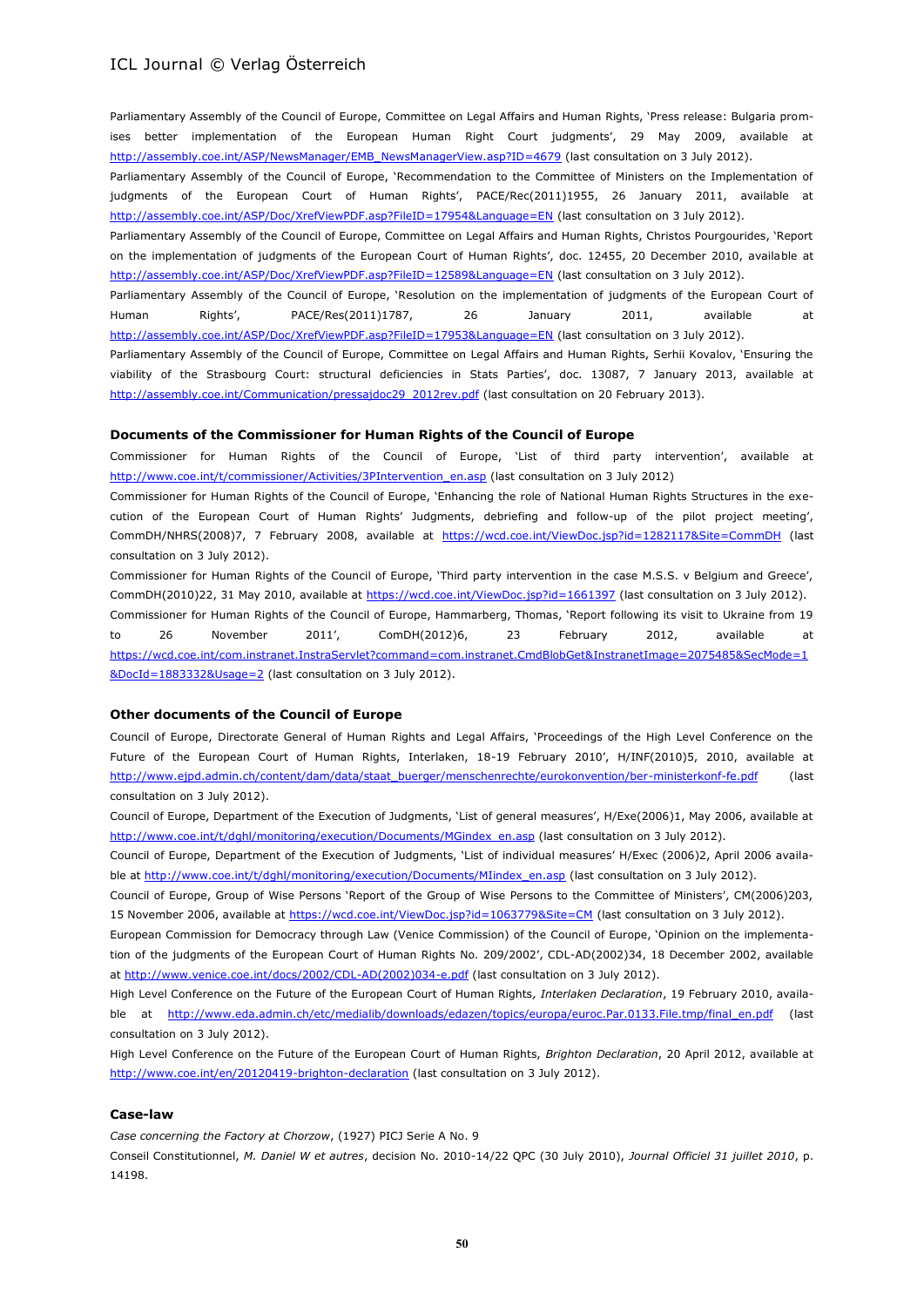Parliamentary Assembly of the Council of Europe, Committee on Legal Affairs and Human Rights, 'Press release: Bulgaria promises better implementation of the European Human Right Court judgments', 29 May 2009, available at [http://assembly.coe.int/ASP/NewsManager/EMB\\_NewsManagerView.asp?ID=4679](http://assembly.coe.int/ASP/NewsManager/EMB_NewsManagerView.asp?ID=4679) (last consultation on 3 July 2012).

Parliamentary Assembly of the Council of Europe, 'Recommendation to the Committee of Ministers on the Implementation of judgments of the European Court of Human Rights', PACE/Rec(2011)1955, 26 January 2011, available at <http://assembly.coe.int/ASP/Doc/XrefViewPDF.asp?FileID=17954&Language=EN> (last consultation on 3 July 2012).

Parliamentary Assembly of the Council of Europe, Committee on Legal Affairs and Human Rights, Christos Pourgourides, 'Report on the implementation of judgments of the European Court of Human Rights', doc. 12455, 20 December 2010, available at <http://assembly.coe.int/ASP/Doc/XrefViewPDF.asp?FileID=12589&Language=EN> (last consultation on 3 July 2012).

Parliamentary Assembly of the Council of Europe, 'Resolution on the implementation of judgments of the European Court of Human Rights', PACE/Res(2011)1787, 26 January 2011, available at <http://assembly.coe.int/ASP/Doc/XrefViewPDF.asp?FileID=17953&Language=EN> (last consultation on 3 July 2012).

Parliamentary Assembly of the Council of Europe, Committee on Legal Affairs and Human Rights, Serhii Kovalov, 'Ensuring the viability of the Strasbourg Court: structural deficiencies in Stats Parties', doc. 13087, 7 January 2013, available at [http://assembly.coe.int/Communication/pressajdoc29\\_2012rev.pdf](http://assembly.coe.int/Communication/pressajdoc29_2012rev.pdf) (last consultation on 20 February 2013).

#### **Documents of the Commissioner for Human Rights of the Council of Europe**

Commissioner for Human Rights of the Council of Europe, 'List of third party intervention', available at [http://www.coe.int/t/commissioner/Activities/3PIntervention\\_en.asp](http://www.coe.int/t/commissioner/Activities/3PIntervention_en.asp) (last consultation on 3 July 2012)

Commissioner for Human Rights of the Council of Europe, 'Enhancing the role of National Human Rights Structures in the execution of the European Court of Human Rights' Judgments, debriefing and follow-up of the pilot project meeting', CommDH/NHRS(2008)7, 7 February 2008, available at <https://wcd.coe.int/ViewDoc.jsp?id=1282117&Site=CommDH> (last consultation on 3 July 2012).

Commissioner for Human Rights of the Council of Europe, 'Third party intervention in the case M.S.S. v Belgium and Greece', CommDH(2010)22, 31 May 2010, available at<https://wcd.coe.int/ViewDoc.jsp?id=1661397> (last consultation on 3 July 2012). Commissioner for Human Rights of the Council of Europe, Hammarberg, Thomas, 'Report following its visit to Ukraine from 19 to 26 November 2011', ComDH(2012)6, 23 February 2012, available at [https://wcd.coe.int/com.instranet.InstraServlet?command=com.instranet.CmdBlobGet&InstranetImage=2075485&SecMode=1](https://wcd.coe.int/com.instranet.InstraServlet?command=com.instranet.CmdBlobGet&InstranetImage=2075485&SecMode=1&DocId=1883332&Usage=2) [&DocId=1883332&Usage=2](https://wcd.coe.int/com.instranet.InstraServlet?command=com.instranet.CmdBlobGet&InstranetImage=2075485&SecMode=1&DocId=1883332&Usage=2) (last consultation on 3 July 2012).

#### **Other documents of the Council of Europe**

Council of Europe, Directorate General of Human Rights and Legal Affairs, 'Proceedings of the High Level Conference on the Future of the European Court of Human Rights, Interlaken, 18-19 February 2010', H/INF(2010)5, 2010, available at [http://www.ejpd.admin.ch/content/dam/data/staat\\_buerger/menschenrechte/eurokonvention/ber-ministerkonf-fe.pdf](http://www.ejpd.admin.ch/content/dam/data/staat_buerger/menschenrechte/eurokonvention/ber-ministerkonf-fe.pdf) (last consultation on 3 July 2012).

Council of Europe, Department of the Execution of Judgments, 'List of general measures', H/Exe(2006)1, May 2006, available at [http://www.coe.int/t/dghl/monitoring/execution/Documents/MGindex\\_en.asp](http://www.coe.int/t/dghl/monitoring/execution/Documents/MGindex_en.asp) (last consultation on 3 July 2012).

Council of Europe, Department of the Execution of Judgments, 'List of individual measures' H/Exec (2006)2, April 2006 available at [http://www.coe.int/t/dghl/monitoring/execution/Documents/MIindex\\_en.asp](http://www.coe.int/t/dghl/monitoring/execution/Documents/MIindex_en.asp) (last consultation on 3 July 2012).

Council of Europe, Group of Wise Persons 'Report of the Group of Wise Persons to the Committee of Ministers', CM(2006)203, 15 November 2006, available a[t https://wcd.coe.int/ViewDoc.jsp?id=1063779&Site=CM](https://wcd.coe.int/ViewDoc.jsp?id=1063779&Site=CM) (last consultation on 3 July 2012).

European Commission for Democracy through Law (Venice Commission) of the Council of Europe, 'Opinion on the implementation of the judgments of the European Court of Human Rights No. 209/2002', CDL-AD(2002)34, 18 December 2002, available at [http://www.venice.coe.int/docs/2002/CDL-AD\(2002\)034-e.pdf](http://www.venice.coe.int/docs/2002/CDL-AD(2002)034-e.pdf) (last consultation on 3 July 2012).

High Level Conference on the Future of the European Court of Human Rights*, Interlaken Declaration*, 19 February 2010, available at [http://www.eda.admin.ch/etc/medialib/downloads/edazen/topics/europa/euroc.Par.0133.File.tmp/final\\_en.pdf](http://www.eda.admin.ch/etc/medialib/downloads/edazen/topics/europa/euroc.Par.0133.File.tmp/final_en.pdf) (last consultation on 3 July 2012).

High Level Conference on the Future of the European Court of Human Rights, *Brighton Declaration*, 20 April 2012, available at <http://www.coe.int/en/20120419-brighton-declaration> (last consultation on 3 July 2012).

#### **Case-law**

*Case concerning the Factory at Chorzow*, (1927) PICJ Serie A No. 9

Conseil Constitutionnel, *M. Daniel W et autres*, decision No. 2010-14/22 QPC (30 July 2010), *Journal Officiel 31 juillet 2010*, p. 14198.